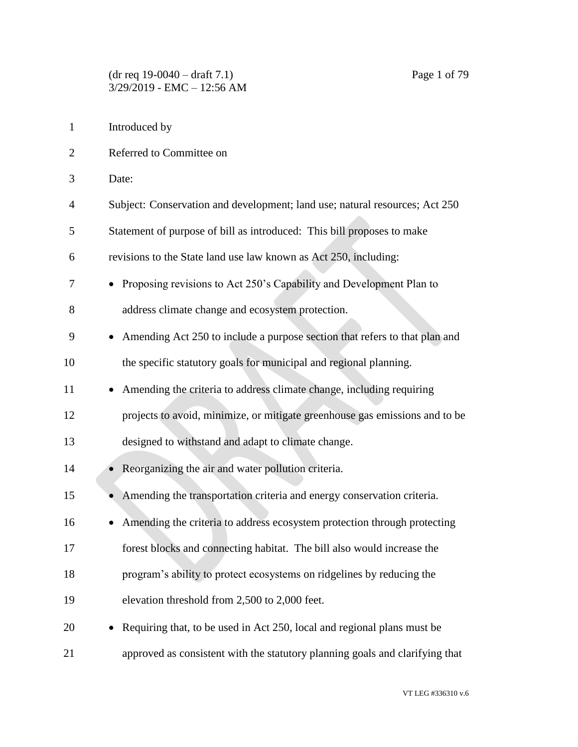Introduced by Referred to Committee on Date: Subject: Conservation and development; land use; natural resources; Act 250 Statement of purpose of bill as introduced: This bill proposes to make revisions to the State land use law known as Act 250, including: • Proposing revisions to Act 250's Capability and Development Plan to address climate change and ecosystem protection. • Amending Act 250 to include a purpose section that refers to that plan and the specific statutory goals for municipal and regional planning. 11 • Amending the criteria to address climate change, including requiring projects to avoid, minimize, or mitigate greenhouse gas emissions and to be designed to withstand and adapt to climate change. 14 • Reorganizing the air and water pollution criteria. 15 • Amending the transportation criteria and energy conservation criteria. • Amending the criteria to address ecosystem protection through protecting forest blocks and connecting habitat. The bill also would increase the program's ability to protect ecosystems on ridgelines by reducing the elevation threshold from 2,500 to 2,000 feet. • Requiring that, to be used in Act 250, local and regional plans must be approved as consistent with the statutory planning goals and clarifying that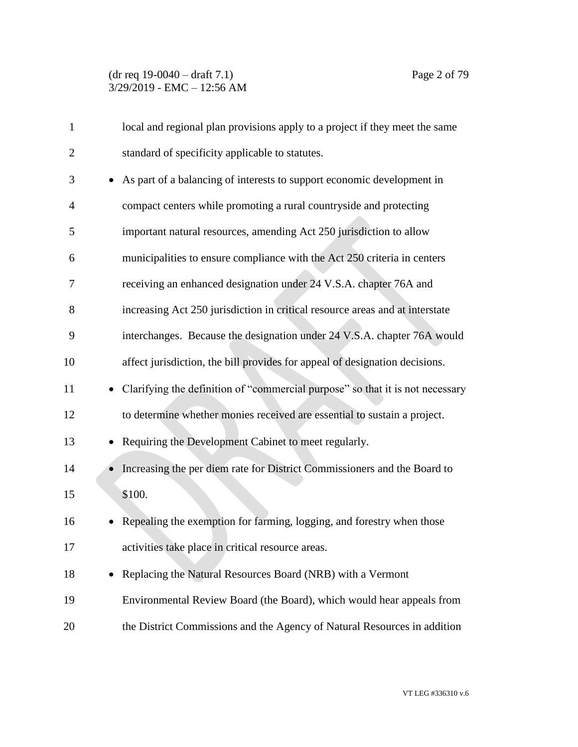| $\mathbf{1}$   | local and regional plan provisions apply to a project if they meet the same     |
|----------------|---------------------------------------------------------------------------------|
| $\overline{2}$ | standard of specificity applicable to statutes.                                 |
| 3              | As part of a balancing of interests to support economic development in          |
| 4              | compact centers while promoting a rural countryside and protecting              |
| 5              | important natural resources, amending Act 250 jurisdiction to allow             |
| 6              | municipalities to ensure compliance with the Act 250 criteria in centers        |
| 7              | receiving an enhanced designation under 24 V.S.A. chapter 76A and               |
| 8              | increasing Act 250 jurisdiction in critical resource areas and at interstate    |
| 9              | interchanges. Because the designation under 24 V.S.A. chapter 76A would         |
| 10             | affect jurisdiction, the bill provides for appeal of designation decisions.     |
| 11             | • Clarifying the definition of "commercial purpose" so that it is not necessary |
| 12             | to determine whether monies received are essential to sustain a project.        |
| 13             | Requiring the Development Cabinet to meet regularly.                            |
| 14             | Increasing the per diem rate for District Commissioners and the Board to        |
| 15             | \$100.                                                                          |
| 16             | Repealing the exemption for farming, logging, and forestry when those           |
| 17             | activities take place in critical resource areas.                               |
| 18             | Replacing the Natural Resources Board (NRB) with a Vermont<br>٠                 |
| 19             | Environmental Review Board (the Board), which would hear appeals from           |
| 20             | the District Commissions and the Agency of Natural Resources in addition        |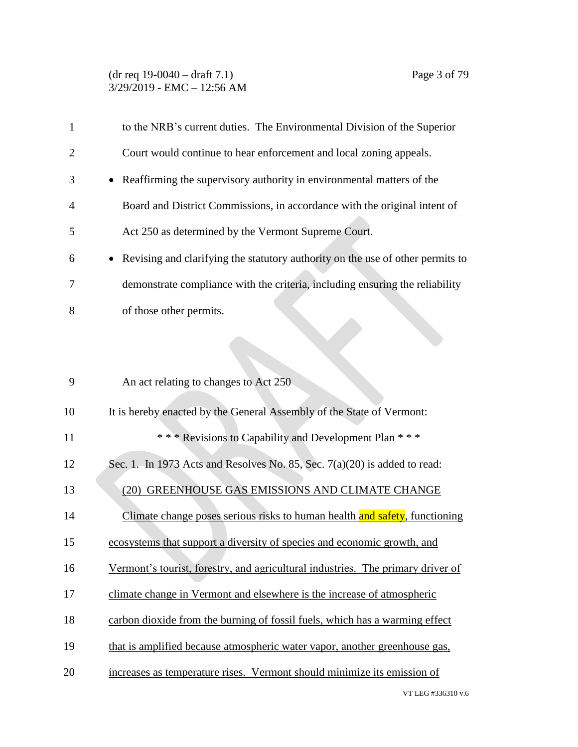# (dr req 19-0040 – draft 7.1) Page 3 of 79 3/29/2019 - EMC – 12:56 AM

| 1              | to the NRB's current duties. The Environmental Division of the Superior                     |
|----------------|---------------------------------------------------------------------------------------------|
| $\overline{2}$ | Court would continue to hear enforcement and local zoning appeals.                          |
| 3              | Reaffirming the supervisory authority in environmental matters of the<br>$\bullet$          |
| 4              | Board and District Commissions, in accordance with the original intent of                   |
| 5              | Act 250 as determined by the Vermont Supreme Court.                                         |
| 6              | Revising and clarifying the statutory authority on the use of other permits to<br>$\bullet$ |
| 7              | demonstrate compliance with the criteria, including ensuring the reliability                |
| 8              | of those other permits.                                                                     |
|                |                                                                                             |
|                |                                                                                             |
| 9              | An act relating to changes to Act 250                                                       |
| 10             | It is hereby enacted by the General Assembly of the State of Vermont:                       |
| 11             | *** Revisions to Capability and Development Plan ***                                        |
| 12             | Sec. 1. In 1973 Acts and Resolves No. 85, Sec. 7(a)(20) is added to read:                   |
| 13             | (20) GREENHOUSE GAS EMISSIONS AND CLIMATE CHANGE                                            |
| 14             | Climate change poses serious risks to human health and safety, functioning                  |
| 15             | ecosystems that support a diversity of species and economic growth, and                     |
| 16             | Vermont's tourist, forestry, and agricultural industries. The primary driver of             |
| 17             | climate change in Vermont and elsewhere is the increase of atmospheric                      |
| 18             | carbon dioxide from the burning of fossil fuels, which has a warming effect                 |
| 19             | that is amplified because atmospheric water vapor, another greenhouse gas,                  |
| 20             | increases as temperature rises. Vermont should minimize its emission of                     |
|                |                                                                                             |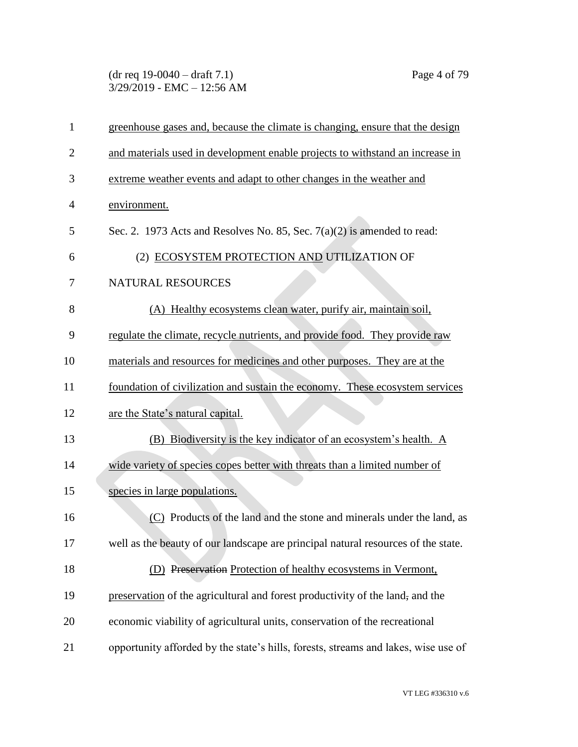(dr req 19-0040 – draft 7.1) Page 4 of 79 3/29/2019 - EMC – 12:56 AM

| greenhouse gases and, because the climate is changing, ensure that the design     |
|-----------------------------------------------------------------------------------|
| and materials used in development enable projects to withstand an increase in     |
| extreme weather events and adapt to other changes in the weather and              |
| environment.                                                                      |
| Sec. 2. 1973 Acts and Resolves No. 85, Sec. $7(a)(2)$ is amended to read:         |
| (2) ECOSYSTEM PROTECTION AND UTILIZATION OF                                       |
| NATURAL RESOURCES                                                                 |
| (A) Healthy ecosystems clean water, purify air, maintain soil,                    |
| regulate the climate, recycle nutrients, and provide food. They provide raw       |
| materials and resources for medicines and other purposes. They are at the         |
|                                                                                   |
| foundation of civilization and sustain the economy. These ecosystem services      |
| are the State's natural capital.                                                  |
| (B) Biodiversity is the key indicator of an ecosystem's health. A                 |
| wide variety of species copes better with threats than a limited number of        |
| species in large populations.                                                     |
| (C) Products of the land and the stone and minerals under the land, as            |
| well as the beauty of our landscape are principal natural resources of the state. |
| (D) Preservation Protection of healthy ecosystems in Vermont,                     |
| preservation of the agricultural and forest productivity of the land, and the     |
| economic viability of agricultural units, conservation of the recreational        |
|                                                                                   |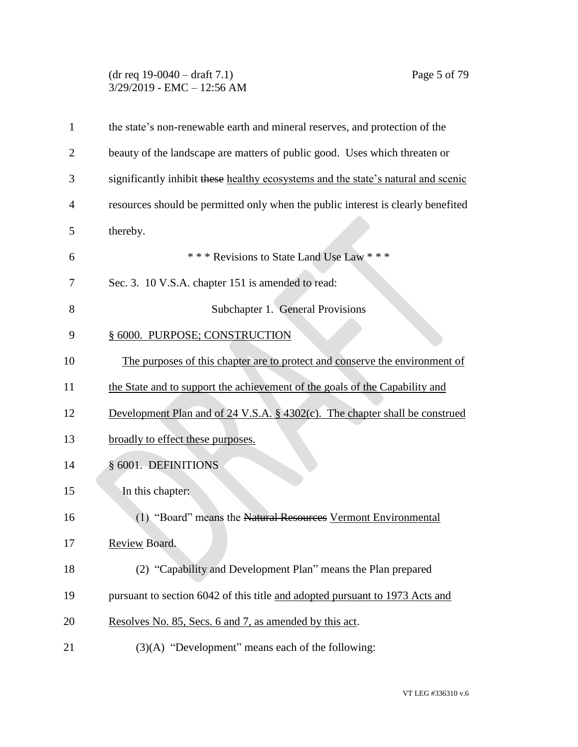# (dr req 19-0040 – draft 7.1) Page 5 of 79 3/29/2019 - EMC – 12:56 AM

| $\mathbf{1}$   | the state's non-renewable earth and mineral reserves, and protection of the       |
|----------------|-----------------------------------------------------------------------------------|
| $\overline{2}$ | beauty of the landscape are matters of public good. Uses which threaten or        |
| 3              | significantly inhibit these healthy ecosystems and the state's natural and scenic |
| 4              | resources should be permitted only when the public interest is clearly benefited  |
| 5              | thereby.                                                                          |
| 6              | *** Revisions to State Land Use Law ***                                           |
| 7              | Sec. 3. 10 V.S.A. chapter 151 is amended to read:                                 |
| 8              | Subchapter 1. General Provisions                                                  |
| 9              | § 6000. PURPOSE; CONSTRUCTION                                                     |
| 10             | The purposes of this chapter are to protect and conserve the environment of       |
| 11             | the State and to support the achievement of the goals of the Capability and       |
| 12             | Development Plan and of 24 V.S.A. § 4302(c). The chapter shall be construed       |
| 13             | broadly to effect these purposes.                                                 |
| 14             | § 6001. DEFINITIONS                                                               |
| 15             | In this chapter:                                                                  |
| 16             | (1) "Board" means the Natural Resources Vermont Environmental                     |
| 17             | Review Board.                                                                     |
| 18             | (2) "Capability and Development Plan" means the Plan prepared                     |
| 19             | pursuant to section 6042 of this title and adopted pursuant to 1973 Acts and      |
| 20             | Resolves No. 85, Secs. 6 and 7, as amended by this act.                           |
| 21             | $(3)(A)$ "Development" means each of the following:                               |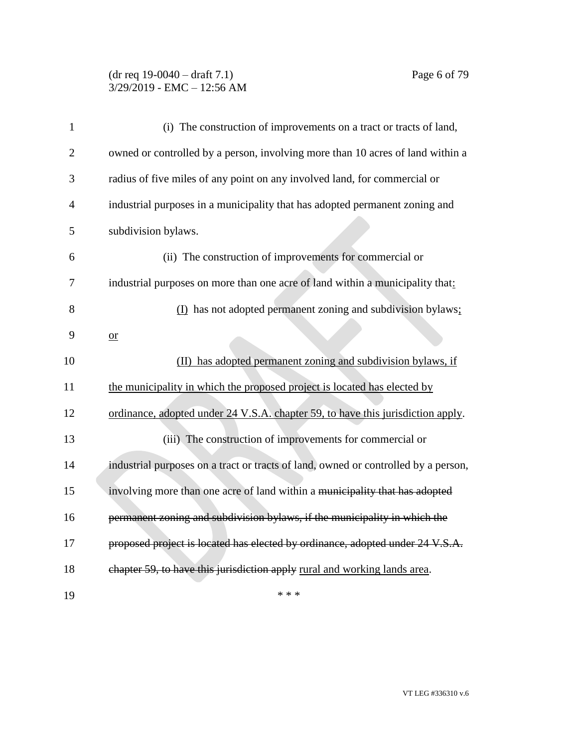### (dr req 19-0040 – draft 7.1) Page 6 of 79 3/29/2019 - EMC – 12:56 AM

| $\mathbf{1}$   | (i) The construction of improvements on a tract or tracts of land,                 |
|----------------|------------------------------------------------------------------------------------|
| $\overline{2}$ | owned or controlled by a person, involving more than 10 acres of land within a     |
| 3              | radius of five miles of any point on any involved land, for commercial or          |
| $\overline{4}$ | industrial purposes in a municipality that has adopted permanent zoning and        |
| 5              | subdivision bylaws.                                                                |
| 6              | (ii) The construction of improvements for commercial or                            |
| 7              | industrial purposes on more than one acre of land within a municipality that:      |
| 8              | (I) has not adopted permanent zoning and subdivision bylaws;                       |
| 9              | $or$                                                                               |
| 10             | (II) has adopted permanent zoning and subdivision bylaws, if                       |
| 11             | the municipality in which the proposed project is located has elected by           |
| 12             | ordinance, adopted under 24 V.S.A. chapter 59, to have this jurisdiction apply.    |
| 13             | (iii) The construction of improvements for commercial or                           |
| 14             | industrial purposes on a tract or tracts of land, owned or controlled by a person, |
| 15             | involving more than one acre of land within a municipality that has adopted        |
| 16             | permanent zoning and subdivision bylaws, if the municipality in which the          |
| 17             | proposed project is located has elected by ordinance, adopted under 24 V.S.A.      |
| 18             | chapter 59, to have this jurisdiction apply rural and working lands area.          |
| 19             | * * *                                                                              |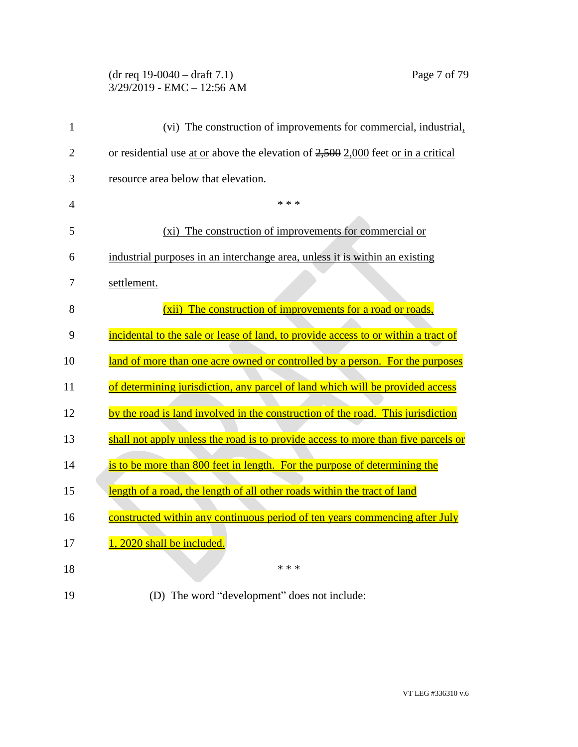## (dr req 19-0040 – draft 7.1) Page 7 of 79 3/29/2019 - EMC – 12:56 AM

| 1              | (vi) The construction of improvements for commercial, industrial,                   |
|----------------|-------------------------------------------------------------------------------------|
| $\overline{2}$ | or residential use at or above the elevation of $2,500$ 2,000 feet or in a critical |
| 3              | resource area below that elevation.                                                 |
| $\overline{4}$ | * * *                                                                               |
| 5              | The construction of improvements for commercial or<br>$(x_i)$                       |
| 6              | industrial purposes in an interchange area, unless it is within an existing         |
| 7              | settlement.                                                                         |
| 8              | The construction of improvements for a road or roads,<br>(xii)                      |
| 9              | incidental to the sale or lease of land, to provide access to or within a tract of  |
| 10             | land of more than one acre owned or controlled by a person. For the purposes        |
| 11             | of determining jurisdiction, any parcel of land which will be provided access       |
| 12             | by the road is land involved in the construction of the road. This jurisdiction     |
| 13             | shall not apply unless the road is to provide access to more than five parcels or   |
| 14             | is to be more than 800 feet in length. For the purpose of determining the           |
| 15             | length of a road, the length of all other roads within the tract of land            |
| 16             | constructed within any continuous period of ten years commencing after July         |
| 17             | 1, 2020 shall be included.                                                          |
| 18             | * * *                                                                               |
|                |                                                                                     |

(D) The word "development" does not include: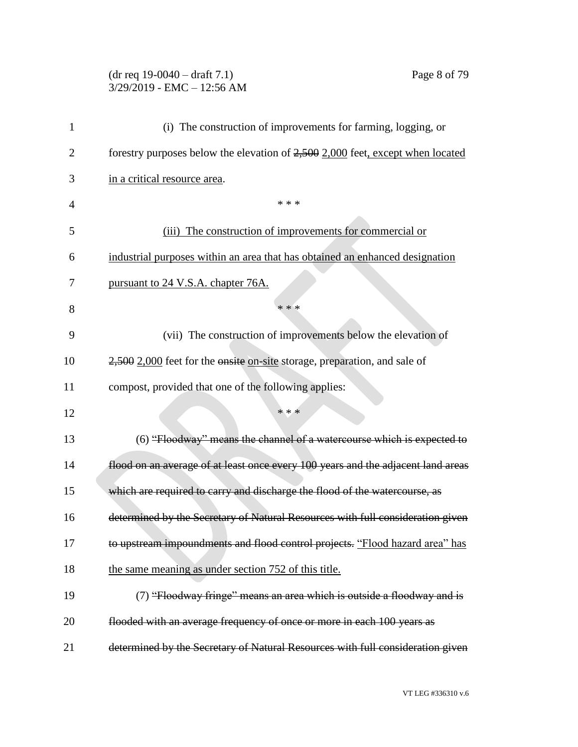## (dr req 19-0040 – draft 7.1) Page 8 of 79 3/29/2019 - EMC – 12:56 AM

| 1  | (i) The construction of improvements for farming, logging, or                    |
|----|----------------------------------------------------------------------------------|
| 2  | forestry purposes below the elevation of 2,500 2,000 feet, except when located   |
| 3  | in a critical resource area.                                                     |
| 4  | * * *                                                                            |
| 5  | The construction of improvements for commercial or<br>(iii)                      |
| 6  | industrial purposes within an area that has obtained an enhanced designation     |
| 7  | pursuant to 24 V.S.A. chapter 76A.                                               |
| 8  | * * *                                                                            |
| 9  | (vii) The construction of improvements below the elevation of                    |
| 10 | 2,500 2,000 feet for the onsite on-site storage, preparation, and sale of        |
| 11 | compost, provided that one of the following applies:                             |
| 12 | * * *                                                                            |
| 13 | (6) "Floodway" means the channel of a watercourse which is expected to           |
| 14 | flood on an average of at least once every 100 years and the adjacent land areas |
| 15 | which are required to carry and discharge the flood of the watercourse, as       |
| 16 | determined by the Secretary of Natural Resources with full consideration given   |
| 17 | to upstream impoundments and flood control projects. "Flood hazard area" has     |
| 18 | the same meaning as under section 752 of this title.                             |
| 19 | (7) "Floodway fringe" means an area which is outside a floodway and is           |
| 20 | flooded with an average frequency of once or more in each 100 years as           |
| 21 | determined by the Secretary of Natural Resources with full consideration given   |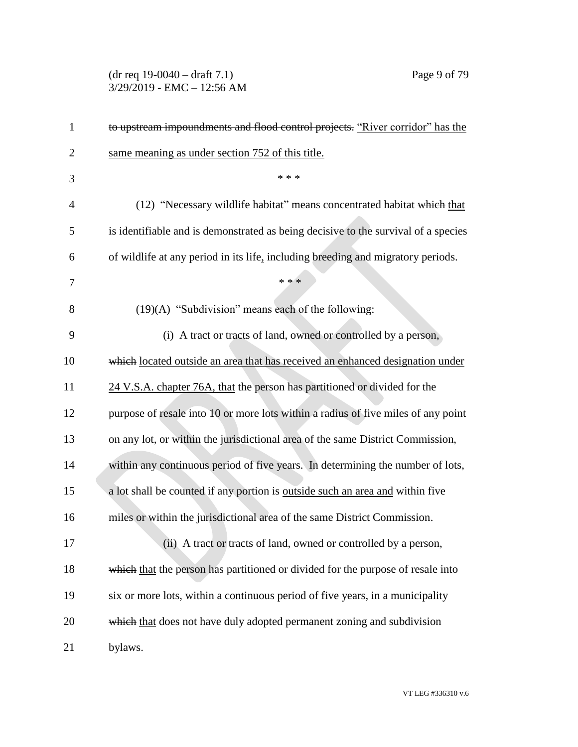#### (dr req 19-0040 – draft 7.1) Page 9 of 79 3/29/2019 - EMC – 12:56 AM

| 1              | to upstream impoundments and flood control projects. "River corridor" has the        |
|----------------|--------------------------------------------------------------------------------------|
| $\overline{2}$ | same meaning as under section 752 of this title.                                     |
| 3              | * * *                                                                                |
| $\overline{4}$ | (12) "Necessary wildlife habitat" means concentrated habitat which that              |
| 5              | is identifiable and is demonstrated as being decisive to the survival of a species   |
| 6              | of wildlife at any period in its life, including breeding and migratory periods.     |
| 7              | * * *                                                                                |
| 8              | $(19)(A)$ "Subdivision" means each of the following:                                 |
| 9              | (i) A tract or tracts of land, owned or controlled by a person,                      |
| 10             | which located outside an area that has received an enhanced designation under        |
| 11             | 24 V.S.A. chapter 76A, that the person has partitioned or divided for the            |
| 12             | purpose of resale into 10 or more lots within a radius of five miles of any point    |
| 13             | on any lot, or within the jurisdictional area of the same District Commission,       |
| 14             | within any continuous period of five years. In determining the number of lots,       |
| 15             | a lot shall be counted if any portion is <u>outside such an area and</u> within five |
| 16             | miles or within the jurisdictional area of the same District Commission.             |
| 17             | (ii) A tract or tracts of land, owned or controlled by a person,                     |
| 18             | which that the person has partitioned or divided for the purpose of resale into      |
| 19             | six or more lots, within a continuous period of five years, in a municipality        |
| 20             | which that does not have duly adopted permanent zoning and subdivision               |
| 21             | bylaws.                                                                              |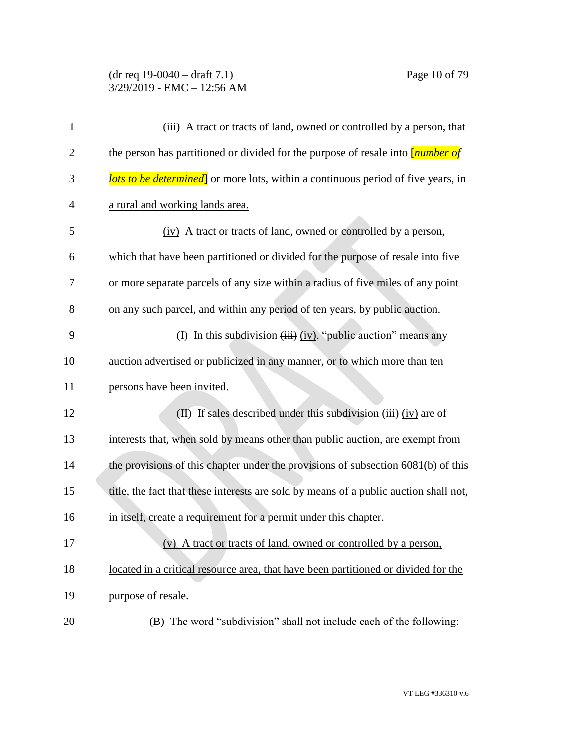# (dr req 19-0040 – draft 7.1) Page 10 of 79 3/29/2019 - EMC – 12:56 AM

| $\mathbf{1}$   | (iii) A tract or tracts of land, owned or controlled by a person, that                   |
|----------------|------------------------------------------------------------------------------------------|
| $\overline{c}$ | the person has partitioned or divided for the purpose of resale into <i>[number of</i> ] |
| 3              | <b>lots to be determined</b> or more lots, within a continuous period of five years, in  |
| 4              | a rural and working lands area.                                                          |
| 5              | (iv) A tract or tracts of land, owned or controlled by a person,                         |
| 6              | which that have been partitioned or divided for the purpose of resale into five          |
| 7              | or more separate parcels of any size within a radius of five miles of any point          |
| 8              | on any such parcel, and within any period of ten years, by public auction.               |
| 9              | (I) In this subdivision $(iii)$ (iv), "public auction" means any                         |
| 10             | auction advertised or publicized in any manner, or to which more than ten                |
| 11             | persons have been invited.                                                               |
| 12             | (II) If sales described under this subdivision $(iii)$ (iv) are of                       |
| 13             | interests that, when sold by means other than public auction, are exempt from            |
| 14             | the provisions of this chapter under the provisions of subsection 6081(b) of this        |
| 15             | title, the fact that these interests are sold by means of a public auction shall not,    |
| 16             | in itself, create a requirement for a permit under this chapter.                         |
| 17             | A tract or tracts of land, owned or controlled by a person,                              |
| 18             | located in a critical resource area, that have been partitioned or divided for the       |
| 19             | purpose of resale.                                                                       |
| 20             | (B) The word "subdivision" shall not include each of the following:                      |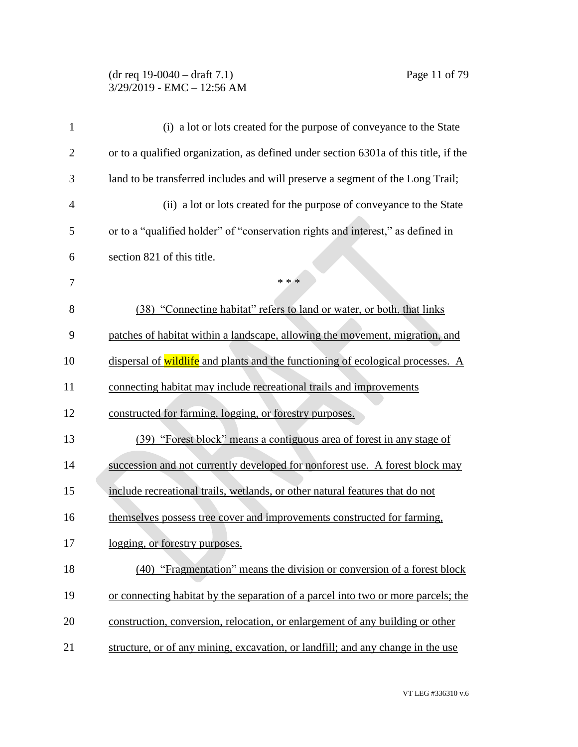#### (dr req 19-0040 – draft 7.1) Page 11 of 79 3/29/2019 - EMC – 12:56 AM

| 1              | (i) a lot or lots created for the purpose of conveyance to the State                 |
|----------------|--------------------------------------------------------------------------------------|
| $\overline{2}$ | or to a qualified organization, as defined under section 6301a of this title, if the |
| 3              | land to be transferred includes and will preserve a segment of the Long Trail;       |
| $\overline{4}$ | (ii) a lot or lots created for the purpose of conveyance to the State                |
| 5              | or to a "qualified holder" of "conservation rights and interest," as defined in      |
| 6              | section 821 of this title.                                                           |
| 7              | * * *                                                                                |
| 8              | (38) "Connecting habitat" refers to land or water, or both, that links               |
| 9              | patches of habitat within a landscape, allowing the movement, migration, and         |
| 10             | dispersal of wildlife and plants and the functioning of ecological processes. A      |
| 11             | connecting habitat may include recreational trails and improvements                  |
| 12             | constructed for farming, logging, or forestry purposes.                              |
| 13             | (39) "Forest block" means a contiguous area of forest in any stage of                |
| 14             | succession and not currently developed for nonforest use. A forest block may         |
| 15             | include recreational trails, wetlands, or other natural features that do not         |
| 16             | themselves possess tree cover and improvements constructed for farming,              |
| 17             | <u>logging, or forestry purposes.</u>                                                |
| 18             | (40) "Fragmentation" means the division or conversion of a forest block              |
| 19             | or connecting habitat by the separation of a parcel into two or more parcels; the    |
| 20             | construction, conversion, relocation, or enlargement of any building or other        |
| 21             | structure, or of any mining, excavation, or landfill; and any change in the use      |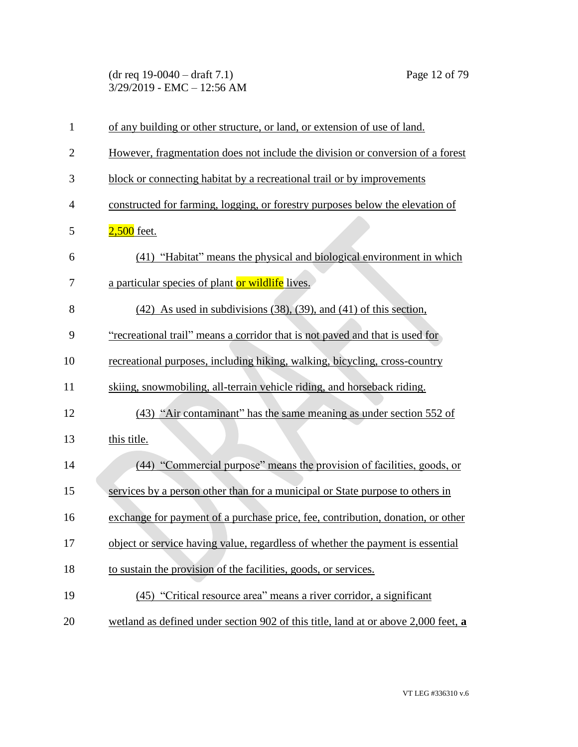(dr req 19-0040 – draft 7.1) Page 12 of 79 3/29/2019 - EMC – 12:56 AM

| $\mathbf{1}$   | of any building or other structure, or land, or extension of use of land.          |
|----------------|------------------------------------------------------------------------------------|
| $\overline{2}$ | However, fragmentation does not include the division or conversion of a forest     |
| 3              | block or connecting habitat by a recreational trail or by improvements             |
| $\overline{4}$ | constructed for farming, logging, or forestry purposes below the elevation of      |
| 5              | $2,500$ feet.                                                                      |
| 6              | (41) "Habitat" means the physical and biological environment in which              |
| 7              | a particular species of plant or wildlife lives.                                   |
| 8              | $(42)$ As used in subdivisions $(38)$ , $(39)$ , and $(41)$ of this section,       |
| 9              | "recreational trail" means a corridor that is not paved and that is used for       |
| 10             | recreational purposes, including hiking, walking, bicycling, cross-country         |
| 11             | skiing, snowmobiling, all-terrain vehicle riding, and horseback riding.            |
| 12             | (43) "Air contaminant" has the same meaning as under section 552 of                |
| 13             | this title.                                                                        |
| 14             | (44) "Commercial purpose" means the provision of facilities, goods, or             |
| 15             | services by a person other than for a municipal or State purpose to others in      |
| 16             | exchange for payment of a purchase price, fee, contribution, donation, or other    |
| 17             | object or service having value, regardless of whether the payment is essential     |
| 18             | to sustain the provision of the facilities, goods, or services.                    |
| 19             | (45) "Critical resource area" means a river corridor, a significant                |
| 20             | wetland as defined under section 902 of this title, land at or above 2,000 feet, a |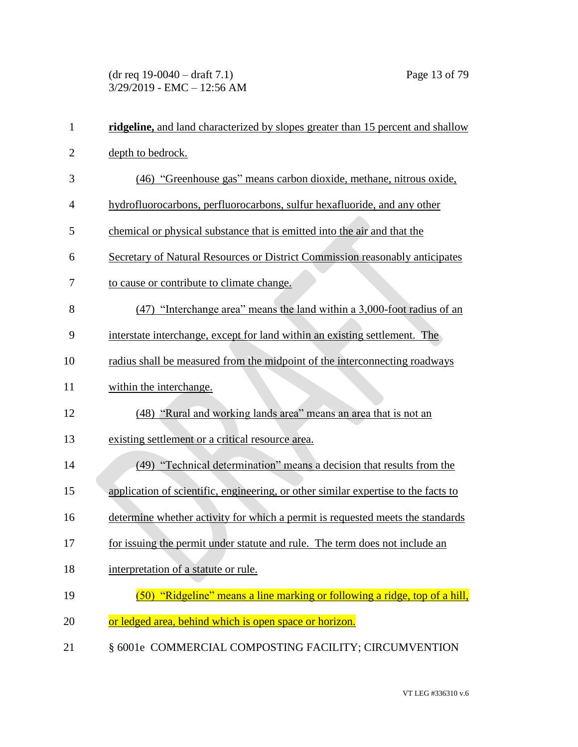(dr req 19-0040 – draft 7.1) Page 13 of 79 3/29/2019 - EMC – 12:56 AM

| $\mathbf{1}$   | ridgeline, and land characterized by slopes greater than 15 percent and shallow    |
|----------------|------------------------------------------------------------------------------------|
| $\overline{2}$ | depth to bedrock.                                                                  |
| 3              | (46) "Greenhouse gas" means carbon dioxide, methane, nitrous oxide,                |
| $\overline{4}$ | hydrofluorocarbons, perfluorocarbons, sulfur hexafluoride, and any other           |
| 5              | chemical or physical substance that is emitted into the air and that the           |
| 6              | Secretary of Natural Resources or District Commission reasonably anticipates       |
| 7              | to cause or contribute to climate change.                                          |
| 8              | (47) "Interchange area" means the land within a 3,000-foot radius of an            |
| 9              | interstate interchange, except for land within an existing settlement. The         |
| 10             | radius shall be measured from the midpoint of the interconnecting roadways         |
| 11             | within the interchange.                                                            |
| 12             | (48) "Rural and working lands area" means an area that is not an                   |
| 13             | existing settlement or a critical resource area.                                   |
| 14             | (49) "Technical determination" means a decision that results from the              |
| 15             | application of scientific, engineering, or other similar expertise to the facts to |
| 16             | determine whether activity for which a permit is requested meets the standards     |
| 17             | for issuing the permit under statute and rule. The term does not include an        |
| 18             | interpretation of a statute or rule.                                               |
| 19             | (50) "Ridgeline" means a line marking or following a ridge, top of a hill,         |
| 20             | or ledged area, behind which is open space or horizon.                             |
| 21             | § 6001e COMMERCIAL COMPOSTING FACILITY; CIRCUMVENTION                              |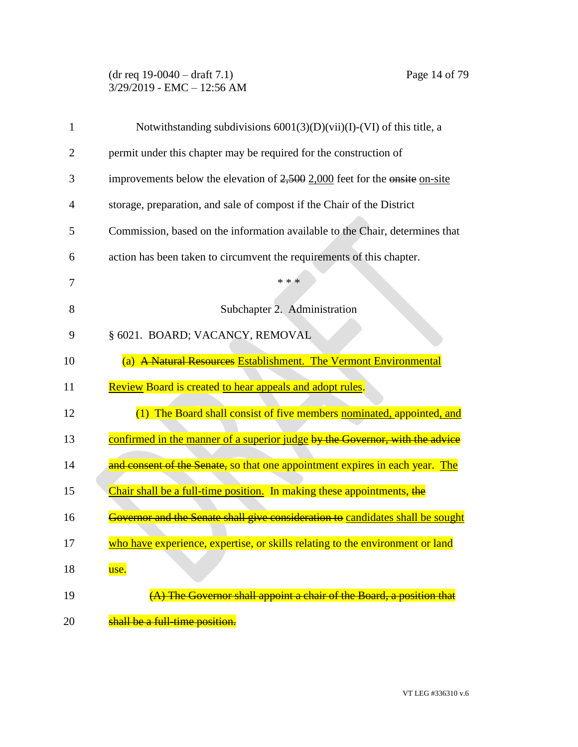## (dr req 19-0040 – draft 7.1) Page 14 of 79 3/29/2019 - EMC – 12:56 AM

| 1  | Notwithstanding subdivisions $6001(3)(D)(\n$ i)(I)-(VI) of this title, a       |
|----|--------------------------------------------------------------------------------|
| 2  | permit under this chapter may be required for the construction of              |
| 3  | improvements below the elevation of $2,500$ 2,000 feet for the onsite on-site  |
| 4  | storage, preparation, and sale of compost if the Chair of the District         |
| 5  | Commission, based on the information available to the Chair, determines that   |
| 6  | action has been taken to circumvent the requirements of this chapter.          |
| 7  | * * *                                                                          |
| 8  | Subchapter 2. Administration                                                   |
| 9  | § 6021. BOARD; VACANCY, REMOVAL                                                |
| 10 | A Natural Resources Establishment. The Vermont Environmental<br>(a)            |
| 11 | Review Board is created to hear appeals and adopt rules.                       |
| 12 | (1) The Board shall consist of five members nominated, appointed, and          |
| 13 | confirmed in the manner of a superior judge by the Governor, with the advice   |
| 14 | and consent of the Senate, so that one appointment expires in each year. The   |
| 15 | Chair shall be a full-time position. In making these appointments, the         |
| 16 | Governor and the Senate shall give consideration to candidates shall be sought |
| 17 | who have experience, expertise, or skills relating to the environment or land  |
| 18 | use.                                                                           |
| 19 | (A) The Governor shall appoint a chair of the Board, a position that           |
| 20 | shall be a full-time position.                                                 |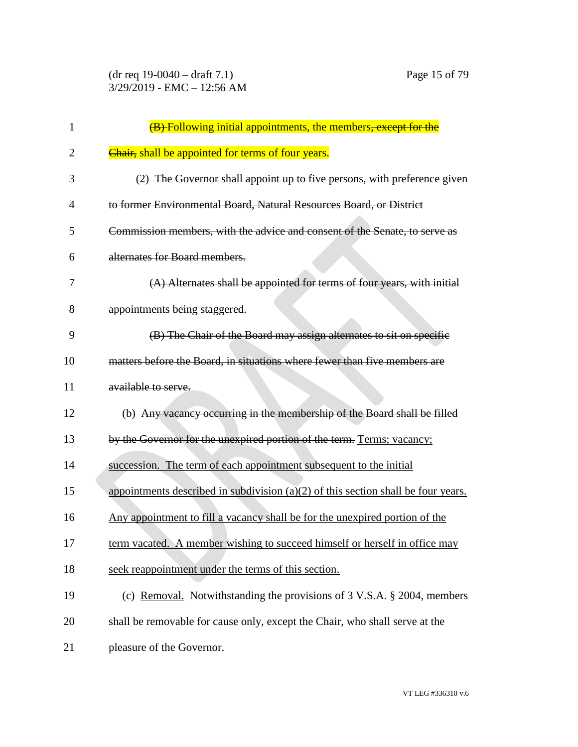(dr req 19-0040 – draft 7.1) Page 15 of 79 3/29/2019 - EMC – 12:56 AM

| 1              | (B) Following initial appointments, the members, except for the                     |
|----------------|-------------------------------------------------------------------------------------|
| $\overline{2}$ | Chair, shall be appointed for terms of four years.                                  |
| 3              | (2) The Governor shall appoint up to five persons, with preference given            |
| $\overline{4}$ | to former Environmental Board, Natural Resources Board, or District                 |
| 5              | Commission members, with the advice and consent of the Senate, to serve as          |
| 6              | alternates for Board members.                                                       |
| 7              | (A) Alternates shall be appointed for terms of four years, with initial             |
| 8              | appointments being staggered.                                                       |
| 9              | (B) The Chair of the Board may assign alternates to sit on specific                 |
| 10             | matters before the Board, in situations where fewer than five members are           |
| 11             | available to serve.                                                                 |
| 12             | (b) Any vacancy occurring in the membership of the Board shall be filled            |
| 13             | by the Governor for the unexpired portion of the term. Terms; vacancy;              |
| 14             | succession. The term of each appointment subsequent to the initial                  |
| 15             | appointments described in subdivision $(a)(2)$ of this section shall be four years. |
| 16             | Any appointment to fill a vacancy shall be for the unexpired portion of the         |
| 17             | term vacated. A member wishing to succeed himself or herself in office may          |
| 18             | seek reappointment under the terms of this section.                                 |
| 19             | (c) Removal. Notwithstanding the provisions of $3 \text{ V.S.A. } § 2004$ , members |
| 20             | shall be removable for cause only, except the Chair, who shall serve at the         |
| 21             | pleasure of the Governor.                                                           |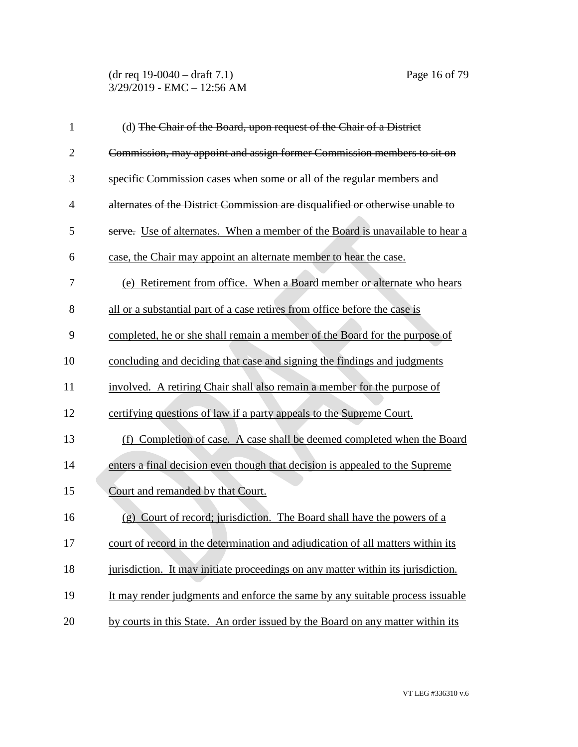| $\mathbf{1}$   | (d) The Chair of the Board, upon request of the Chair of a District              |
|----------------|----------------------------------------------------------------------------------|
| $\overline{2}$ | Commission, may appoint and assign former Commission members to sit on           |
| 3              | specific Commission cases when some or all of the regular members and            |
| $\overline{4}$ | alternates of the District Commission are disqualified or otherwise unable to    |
| 5              | serve. Use of alternates. When a member of the Board is unavailable to hear a    |
| 6              | case, the Chair may appoint an alternate member to hear the case.                |
| 7              | (e) Retirement from office. When a Board member or alternate who hears           |
| 8              | all or a substantial part of a case retires from office before the case is       |
| 9              | completed, he or she shall remain a member of the Board for the purpose of       |
| 10             | concluding and deciding that case and signing the findings and judgments         |
| 11             | involved. A retiring Chair shall also remain a member for the purpose of         |
| 12             | certifying questions of law if a party appeals to the Supreme Court.             |
| 13             | (f) Completion of case. A case shall be deemed completed when the Board          |
| 14             | enters a final decision even though that decision is appealed to the Supreme     |
| 15             | Court and remanded by that Court.                                                |
| 16             | (g) Court of record; jurisdiction. The Board shall have the powers of a          |
| 17             | court of record in the determination and adjudication of all matters within its  |
| 18             | jurisdiction. It may initiate proceedings on any matter within its jurisdiction. |
| 19             | It may render judgments and enforce the same by any suitable process issuable    |
| 20             | by courts in this State. An order issued by the Board on any matter within its   |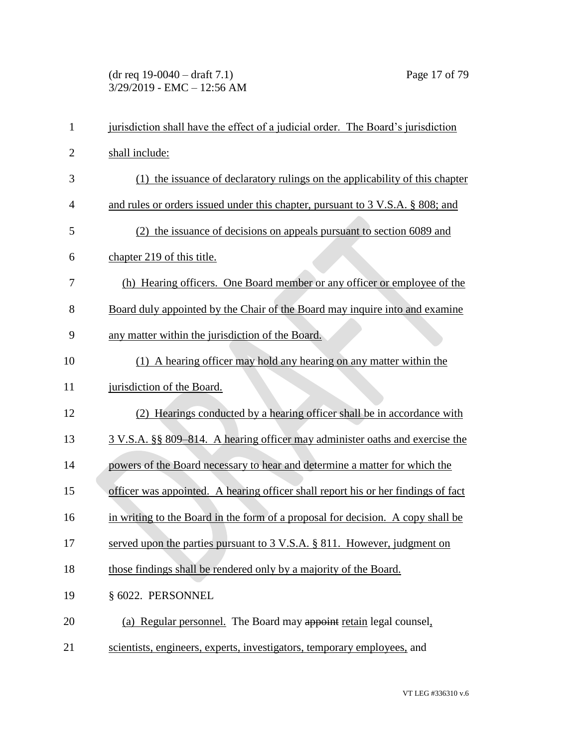#### (dr req 19-0040 – draft 7.1) Page 17 of 79 3/29/2019 - EMC – 12:56 AM

| $\mathbf{1}$   | jurisdiction shall have the effect of a judicial order. The Board's jurisdiction  |
|----------------|-----------------------------------------------------------------------------------|
| $\overline{2}$ | shall include:                                                                    |
| 3              | (1) the issuance of declaratory rulings on the applicability of this chapter      |
| $\overline{4}$ | and rules or orders issued under this chapter, pursuant to 3 V.S.A. § 808; and    |
| 5              | (2) the issuance of decisions on appeals pursuant to section 6089 and             |
| 6              | chapter 219 of this title.                                                        |
| 7              | (h) Hearing officers. One Board member or any officer or employee of the          |
| 8              | Board duly appointed by the Chair of the Board may inquire into and examine       |
| 9              | any matter within the jurisdiction of the Board.                                  |
| 10             | (1) A hearing officer may hold any hearing on any matter within the               |
| 11             | jurisdiction of the Board.                                                        |
| 12             | Hearings conducted by a hearing officer shall be in accordance with               |
| 13             | 3 V.S.A. §§ 809–814. A hearing officer may administer oaths and exercise the      |
| 14             | powers of the Board necessary to hear and determine a matter for which the        |
| 15             | officer was appointed. A hearing officer shall report his or her findings of fact |
| 16             | in writing to the Board in the form of a proposal for decision. A copy shall be   |
| 17             | served upon the parties pursuant to 3 V.S.A. § 811. However, judgment on          |
| 18             | those findings shall be rendered only by a majority of the Board.                 |
| 19             | § 6022. PERSONNEL                                                                 |
| 20             | (a) Regular personnel. The Board may appoint retain legal counsel.                |
| 21             | scientists, engineers, experts, investigators, temporary employees, and           |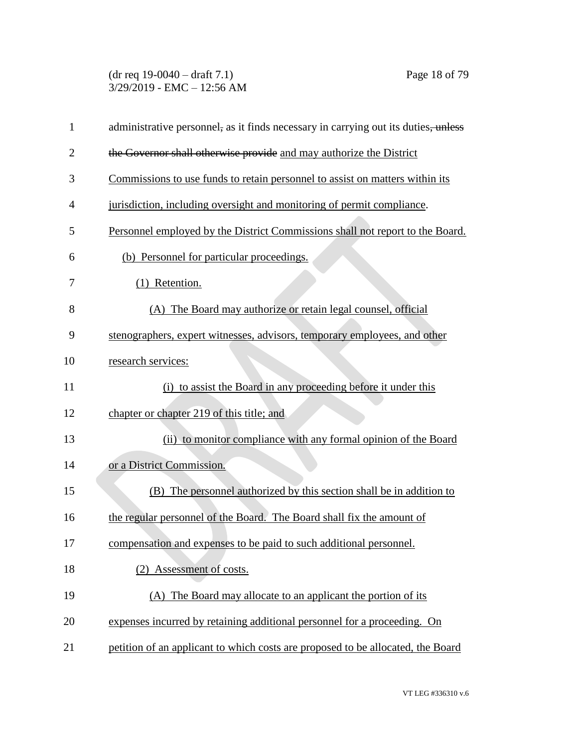(dr req 19-0040 – draft 7.1) Page 18 of 79 3/29/2019 - EMC – 12:56 AM

| $\mathbf{1}$   | administrative personnel, as it finds necessary in carrying out its duties, unless |
|----------------|------------------------------------------------------------------------------------|
| $\overline{2}$ | the Governor shall otherwise provide and may authorize the District                |
| 3              | Commissions to use funds to retain personnel to assist on matters within its       |
| 4              | jurisdiction, including oversight and monitoring of permit compliance.             |
| 5              | Personnel employed by the District Commissions shall not report to the Board.      |
| 6              | (b) Personnel for particular proceedings.                                          |
| 7              | (1) Retention.                                                                     |
| 8              | (A) The Board may authorize or retain legal counsel, official                      |
| 9              | stenographers, expert witnesses, advisors, temporary employees, and other          |
| 10             | research services:                                                                 |
| 11             | (i) to assist the Board in any proceeding before it under this                     |
| 12             | chapter or chapter 219 of this title; and                                          |
| 13             | (ii) to monitor compliance with any formal opinion of the Board                    |
| 14             | or a District Commission.                                                          |
| 15             | (B) The personnel authorized by this section shall be in addition to               |
| 16             | the regular personnel of the Board. The Board shall fix the amount of              |
| 17             | compensation and expenses to be paid to such additional personnel.                 |
| 18             | (2) Assessment of costs.                                                           |
| 19             | (A) The Board may allocate to an applicant the portion of its                      |
| 20             | expenses incurred by retaining additional personnel for a proceeding. On           |
| 21             | petition of an applicant to which costs are proposed to be allocated, the Board    |
|                |                                                                                    |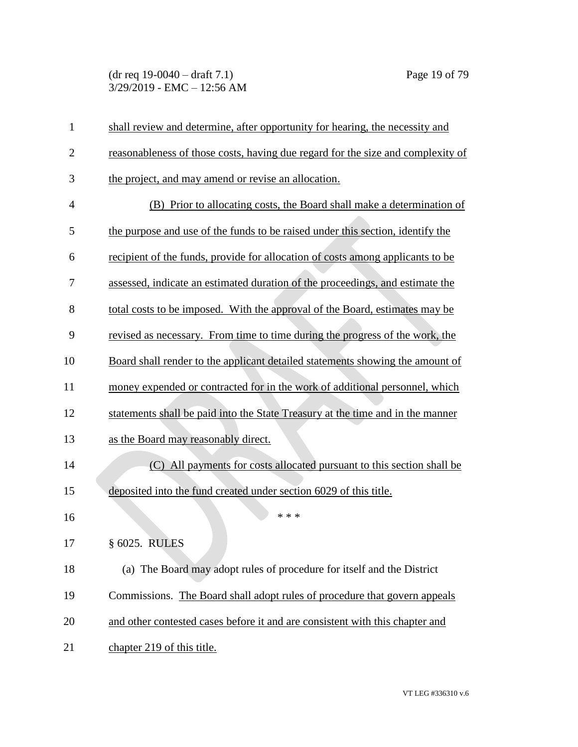| $\mathbf{1}$   | shall review and determine, after opportunity for hearing, the necessity and    |
|----------------|---------------------------------------------------------------------------------|
| $\overline{2}$ | reasonableness of those costs, having due regard for the size and complexity of |
| 3              | the project, and may amend or revise an allocation.                             |
| $\overline{4}$ | (B) Prior to allocating costs, the Board shall make a determination of          |
| 5              | the purpose and use of the funds to be raised under this section, identify the  |
| 6              | recipient of the funds, provide for allocation of costs among applicants to be  |
| 7              | assessed, indicate an estimated duration of the proceedings, and estimate the   |
| 8              | total costs to be imposed. With the approval of the Board, estimates may be     |
| 9              | revised as necessary. From time to time during the progress of the work, the    |
| 10             | Board shall render to the applicant detailed statements showing the amount of   |
| 11             | money expended or contracted for in the work of additional personnel, which     |
| 12             | statements shall be paid into the State Treasury at the time and in the manner  |
| 13             | as the Board may reasonably direct.                                             |
| 14             | (C) All payments for costs allocated pursuant to this section shall be          |
| 15             | deposited into the fund created under section 6029 of this title.               |
| 16             | * * *                                                                           |
| 17             | § 6025. RULES                                                                   |
| 18             | (a) The Board may adopt rules of procedure for itself and the District          |
| 19             | Commissions. The Board shall adopt rules of procedure that govern appeals       |
| 20             | and other contested cases before it and are consistent with this chapter and    |
| 21             | chapter 219 of this title.                                                      |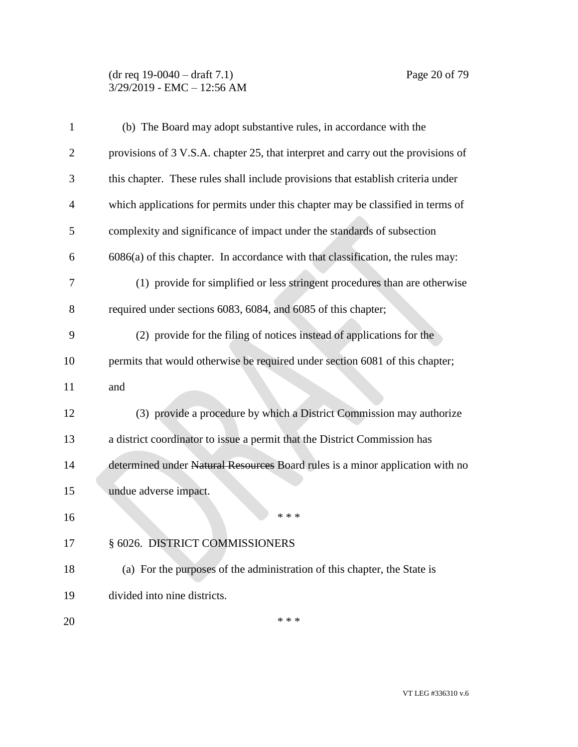#### (dr req 19-0040 – draft 7.1) Page 20 of 79 3/29/2019 - EMC – 12:56 AM

| $\mathbf{1}$   | (b) The Board may adopt substantive rules, in accordance with the                 |
|----------------|-----------------------------------------------------------------------------------|
| $\overline{2}$ | provisions of 3 V.S.A. chapter 25, that interpret and carry out the provisions of |
| 3              | this chapter. These rules shall include provisions that establish criteria under  |
| 4              | which applications for permits under this chapter may be classified in terms of   |
| 5              | complexity and significance of impact under the standards of subsection           |
| 6              | $6086(a)$ of this chapter. In accordance with that classification, the rules may: |
| 7              | (1) provide for simplified or less stringent procedures than are otherwise        |
| 8              | required under sections 6083, 6084, and 6085 of this chapter;                     |
| 9              | (2) provide for the filing of notices instead of applications for the             |
| 10             | permits that would otherwise be required under section 6081 of this chapter;      |
| 11             | and                                                                               |
| 12             | (3) provide a procedure by which a District Commission may authorize              |
| 13             | a district coordinator to issue a permit that the District Commission has         |
| 14             | determined under Natural Resources Board rules is a minor application with no     |
| 15             | undue adverse impact.                                                             |
| 16             | * * *                                                                             |
| 17             | § 6026. DISTRICT COMMISSIONERS                                                    |
| 18             | (a) For the purposes of the administration of this chapter, the State is          |
| 19             | divided into nine districts.                                                      |
| 20             | * * *                                                                             |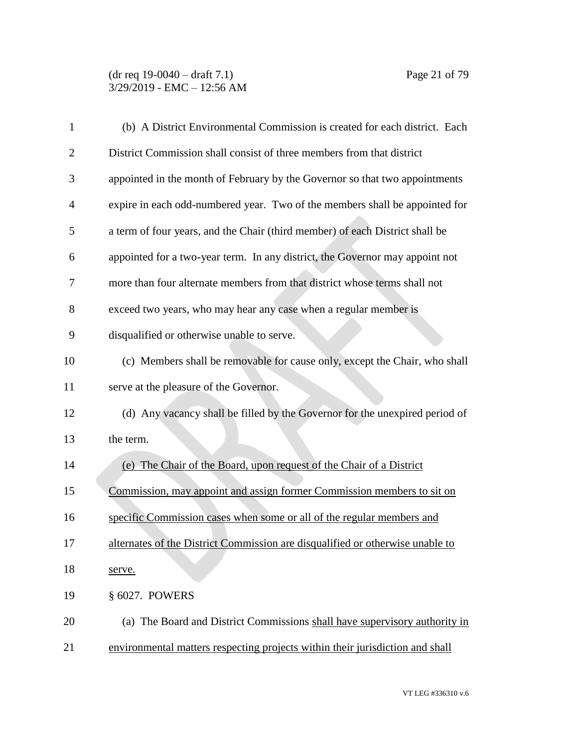| 1              | (b) A District Environmental Commission is created for each district. Each    |
|----------------|-------------------------------------------------------------------------------|
| $\overline{c}$ | District Commission shall consist of three members from that district         |
| 3              | appointed in the month of February by the Governor so that two appointments   |
| 4              | expire in each odd-numbered year. Two of the members shall be appointed for   |
| 5              | a term of four years, and the Chair (third member) of each District shall be  |
| 6              | appointed for a two-year term. In any district, the Governor may appoint not  |
| 7              | more than four alternate members from that district whose terms shall not     |
| 8              | exceed two years, who may hear any case when a regular member is              |
| 9              | disqualified or otherwise unable to serve.                                    |
| 10             | (c) Members shall be removable for cause only, except the Chair, who shall    |
| 11             | serve at the pleasure of the Governor.                                        |
| 12             | (d) Any vacancy shall be filled by the Governor for the unexpired period of   |
| 13             | the term.                                                                     |
| 14             | (e) The Chair of the Board, upon request of the Chair of a District           |
| 15             | Commission, may appoint and assign former Commission members to sit on        |
| 16             | specific Commission cases when some or all of the regular members and         |
| 17             | alternates of the District Commission are disqualified or otherwise unable to |
| 18             | serve.                                                                        |
| 19             | § 6027. POWERS                                                                |
| 20             | (a) The Board and District Commissions shall have supervisory authority in    |
| 21             | environmental matters respecting projects within their jurisdiction and shall |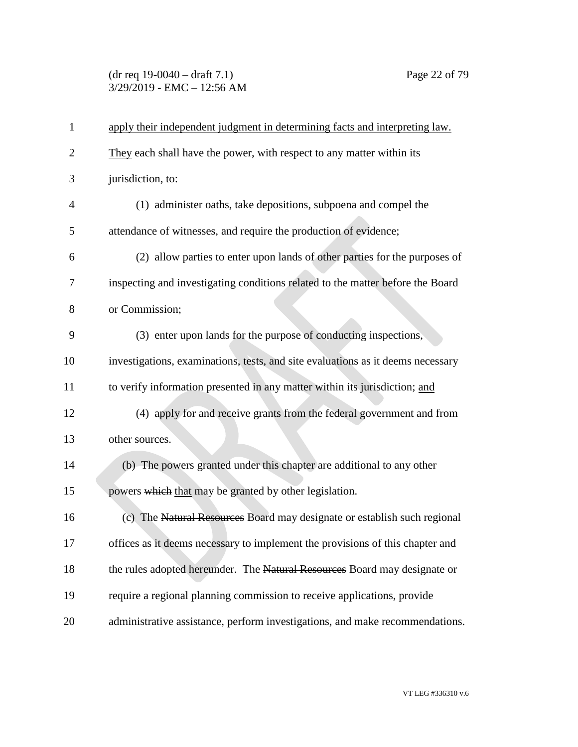## (dr req 19-0040 – draft 7.1) Page 22 of 79 3/29/2019 - EMC – 12:56 AM

| $\mathbf{1}$   | apply their independent judgment in determining facts and interpreting law.     |
|----------------|---------------------------------------------------------------------------------|
| $\overline{2}$ | They each shall have the power, with respect to any matter within its           |
| 3              | jurisdiction, to:                                                               |
| $\overline{4}$ | (1) administer oaths, take depositions, subpoena and compel the                 |
| 5              | attendance of witnesses, and require the production of evidence;                |
| 6              | (2) allow parties to enter upon lands of other parties for the purposes of      |
| 7              | inspecting and investigating conditions related to the matter before the Board  |
| 8              | or Commission;                                                                  |
| 9              | (3) enter upon lands for the purpose of conducting inspections,                 |
| 10             | investigations, examinations, tests, and site evaluations as it deems necessary |
| 11             | to verify information presented in any matter within its jurisdiction; and      |
| 12             | (4) apply for and receive grants from the federal government and from           |
| 13             | other sources.                                                                  |
| 14             | (b) The powers granted under this chapter are additional to any other           |
| 15             | powers which that may be granted by other legislation.                          |
| 16             | (c) The Natural Resources Board may designate or establish such regional        |
| 17             | offices as it deems necessary to implement the provisions of this chapter and   |
| 18             | the rules adopted hereunder. The Natural Resources Board may designate or       |
| 19             | require a regional planning commission to receive applications, provide         |
| 20             | administrative assistance, perform investigations, and make recommendations.    |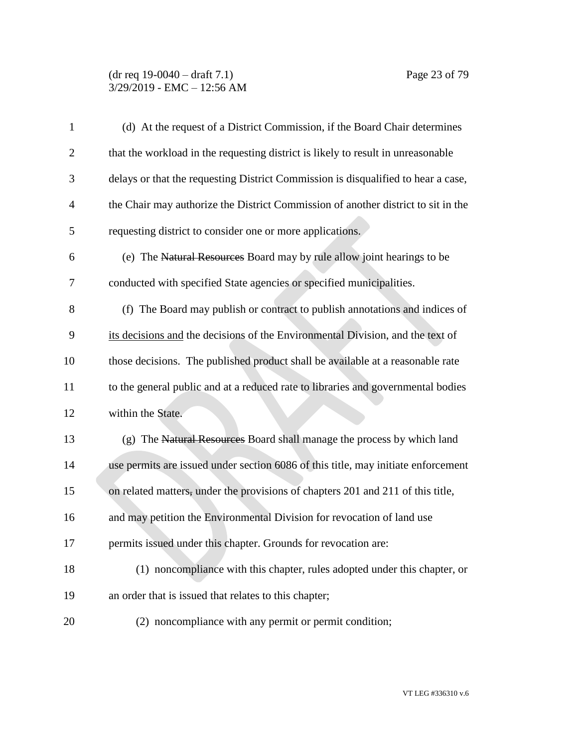#### (dr req 19-0040 – draft 7.1) Page 23 of 79 3/29/2019 - EMC – 12:56 AM

| $\mathbf{1}$   | (d) At the request of a District Commission, if the Board Chair determines        |
|----------------|-----------------------------------------------------------------------------------|
| $\overline{2}$ | that the workload in the requesting district is likely to result in unreasonable  |
| 3              | delays or that the requesting District Commission is disqualified to hear a case, |
| 4              | the Chair may authorize the District Commission of another district to sit in the |
| 5              | requesting district to consider one or more applications.                         |
| 6              | (e) The Natural Resources Board may by rule allow joint hearings to be            |
| 7              | conducted with specified State agencies or specified municipalities.              |
| 8              | (f) The Board may publish or contract to publish annotations and indices of       |
| 9              | its decisions and the decisions of the Environmental Division, and the text of    |
| 10             | those decisions. The published product shall be available at a reasonable rate    |
| 11             | to the general public and at a reduced rate to libraries and governmental bodies  |
| 12             | within the State.                                                                 |
| 13             | (g) The Natural Resources Board shall manage the process by which land            |
| 14             | use permits are issued under section 6086 of this title, may initiate enforcement |
| 15             | on related matters, under the provisions of chapters 201 and 211 of this title,   |
| 16             | and may petition the Environmental Division for revocation of land use            |
| 17             | permits issued under this chapter. Grounds for revocation are:                    |
| 18             | (1) noncompliance with this chapter, rules adopted under this chapter, or         |
| 19             | an order that is issued that relates to this chapter;                             |
| 20             | (2) noncompliance with any permit or permit condition;                            |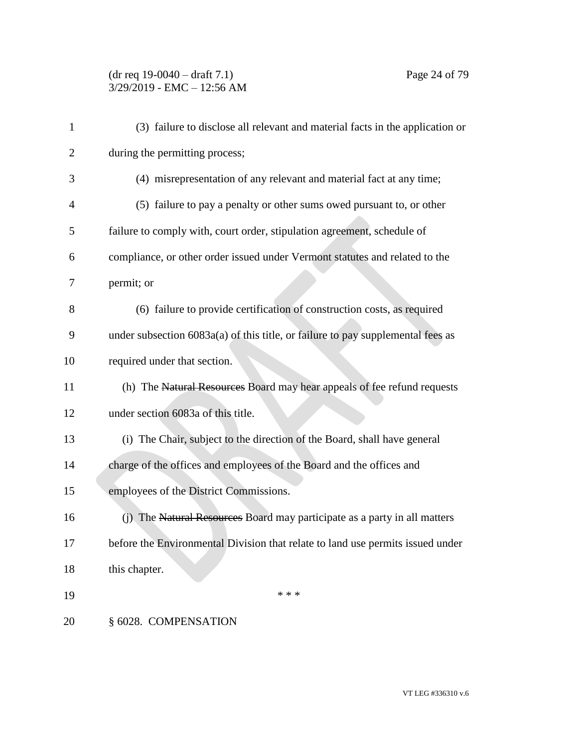# (dr req 19-0040 – draft 7.1) Page 24 of 79 3/29/2019 - EMC – 12:56 AM

| 1              | (3) failure to disclose all relevant and material facts in the application or   |
|----------------|---------------------------------------------------------------------------------|
| $\overline{2}$ | during the permitting process;                                                  |
| 3              | (4) misrepresentation of any relevant and material fact at any time;            |
| $\overline{4}$ | (5) failure to pay a penalty or other sums owed pursuant to, or other           |
| 5              | failure to comply with, court order, stipulation agreement, schedule of         |
| 6              | compliance, or other order issued under Vermont statutes and related to the     |
| 7              | permit; or                                                                      |
| 8              | (6) failure to provide certification of construction costs, as required         |
| 9              | under subsection 6083a(a) of this title, or failure to pay supplemental fees as |
| 10             | required under that section.                                                    |
| 11             | (h) The Natural Resources Board may hear appeals of fee refund requests         |
| 12             | under section 6083a of this title.                                              |
| 13             | (i) The Chair, subject to the direction of the Board, shall have general        |
| 14             | charge of the offices and employees of the Board and the offices and            |
| 15             | employees of the District Commissions.                                          |
| 16             | (j) The Natural Resources Board may participate as a party in all matters       |
| 17             | before the Environmental Division that relate to land use permits issued under  |
| 18             | this chapter.                                                                   |
| 19             | * * *                                                                           |
| 20             | § 6028. COMPENSATION                                                            |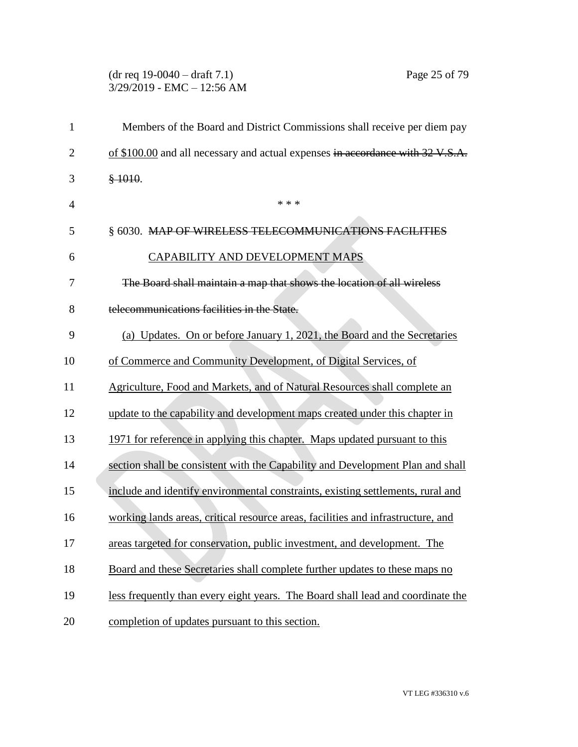## (dr req 19-0040 – draft 7.1) Page 25 of 79 3/29/2019 - EMC – 12:56 AM

| $\mathbf{1}$   | Members of the Board and District Commissions shall receive per diem pay         |
|----------------|----------------------------------------------------------------------------------|
| $\overline{2}$ | of \$100.00 and all necessary and actual expenses in accordance with 32 V.S.A.   |
| 3              | \$1010.                                                                          |
| $\overline{4}$ | * * *                                                                            |
| 5              | § 6030. MAP OF WIRELESS TELECOMMUNICATIONS FACILITIES                            |
| 6              | CAPABILITY AND DEVELOPMENT MAPS                                                  |
| 7              | The Board shall maintain a map that shows the location of all wireless           |
| 8              | telecommunications facilities in the State.                                      |
| 9              | (a) Updates. On or before January 1, 2021, the Board and the Secretaries         |
| 10             | of Commerce and Community Development, of Digital Services, of                   |
| 11             | Agriculture, Food and Markets, and of Natural Resources shall complete an        |
| 12             | update to the capability and development maps created under this chapter in      |
| 13             | 1971 for reference in applying this chapter. Maps updated pursuant to this       |
| 14             | section shall be consistent with the Capability and Development Plan and shall   |
| 15             | include and identify environmental constraints, existing settlements, rural and  |
| 16             | working lands areas, critical resource areas, facilities and infrastructure, and |
| 17             | areas targeted for conservation, public investment, and development. The         |
| 18             | Board and these Secretaries shall complete further updates to these maps no      |
| 19             | less frequently than every eight years. The Board shall lead and coordinate the  |
| 20             | completion of updates pursuant to this section.                                  |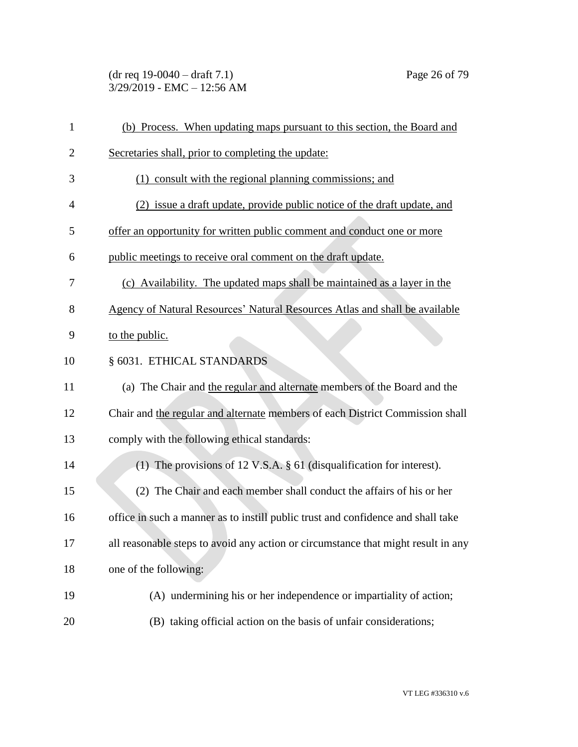(dr req 19-0040 – draft 7.1) Page 26 of 79 3/29/2019 - EMC – 12:56 AM

| $\mathbf{1}$   | (b) Process. When updating maps pursuant to this section, the Board and           |
|----------------|-----------------------------------------------------------------------------------|
| $\overline{2}$ | Secretaries shall, prior to completing the update:                                |
| 3              | (1) consult with the regional planning commissions; and                           |
| $\overline{4}$ | (2) issue a draft update, provide public notice of the draft update, and          |
| 5              | offer an opportunity for written public comment and conduct one or more           |
| 6              | public meetings to receive oral comment on the draft update.                      |
| 7              | (c) Availability. The updated maps shall be maintained as a layer in the          |
| 8              | Agency of Natural Resources' Natural Resources Atlas and shall be available       |
| 9              | to the public.                                                                    |
| 10             | § 6031. ETHICAL STANDARDS                                                         |
| 11             | (a) The Chair and the regular and alternate members of the Board and the          |
| 12             | Chair and the regular and alternate members of each District Commission shall     |
| 13             | comply with the following ethical standards:                                      |
| 14             | (1) The provisions of 12 V.S.A. $\S$ 61 (disqualification for interest).          |
| 15             | (2) The Chair and each member shall conduct the affairs of his or her             |
| 16             | office in such a manner as to instill public trust and confidence and shall take  |
| 17             | all reasonable steps to avoid any action or circumstance that might result in any |
| 18             | one of the following:                                                             |
| 19             | (A) undermining his or her independence or impartiality of action;                |
| 20             | (B) taking official action on the basis of unfair considerations;                 |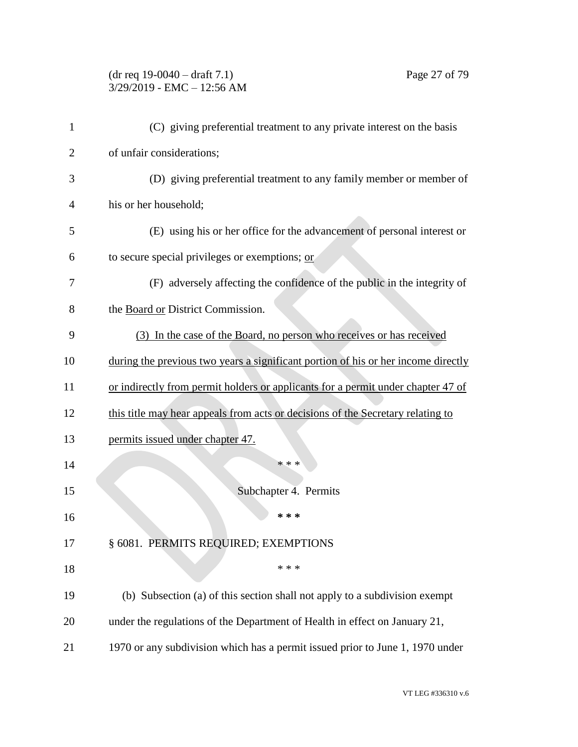#### (dr req 19-0040 – draft 7.1) Page 27 of 79 3/29/2019 - EMC – 12:56 AM

| 1              | (C) giving preferential treatment to any private interest on the basis            |
|----------------|-----------------------------------------------------------------------------------|
| $\overline{2}$ | of unfair considerations;                                                         |
| 3              | (D) giving preferential treatment to any family member or member of               |
| 4              | his or her household;                                                             |
| 5              | (E) using his or her office for the advancement of personal interest or           |
| 6              | to secure special privileges or exemptions; or                                    |
| 7              | (F) adversely affecting the confidence of the public in the integrity of          |
| 8              | the Board or District Commission.                                                 |
| 9              | (3) In the case of the Board, no person who receives or has received              |
| 10             | during the previous two years a significant portion of his or her income directly |
| 11             | or indirectly from permit holders or applicants for a permit under chapter 47 of  |
| 12             | this title may hear appeals from acts or decisions of the Secretary relating to   |
| 13             | permits issued under chapter 47.                                                  |
| 14             | * * *                                                                             |
| 15             | Subchapter 4. Permits                                                             |
| 16             | * * *                                                                             |
| 17             | § 6081. PERMITS REQUIRED; EXEMPTIONS                                              |
| 18             | * * *                                                                             |
| 19             | (b) Subsection (a) of this section shall not apply to a subdivision exempt        |
| 20             | under the regulations of the Department of Health in effect on January 21,        |
| 21             | 1970 or any subdivision which has a permit issued prior to June 1, 1970 under     |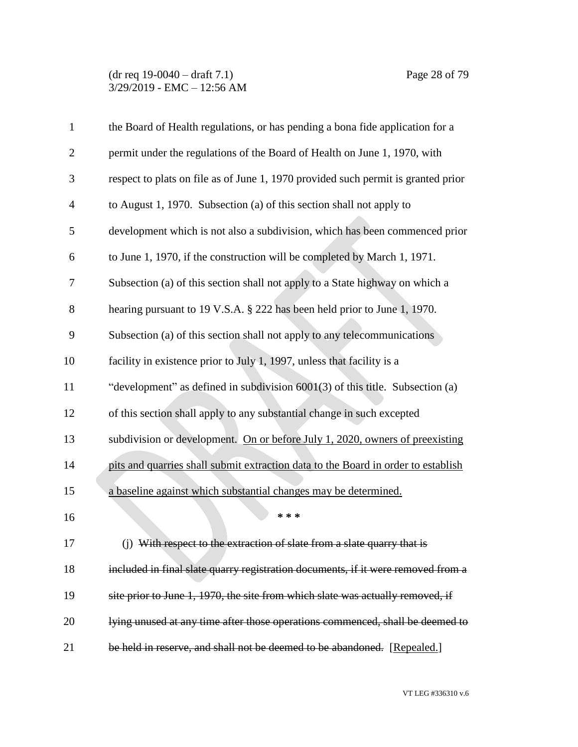| $\mathbf{1}$   | the Board of Health regulations, or has pending a bona fide application for a     |
|----------------|-----------------------------------------------------------------------------------|
| $\overline{2}$ | permit under the regulations of the Board of Health on June 1, 1970, with         |
| 3              | respect to plats on file as of June 1, 1970 provided such permit is granted prior |
| $\overline{4}$ | to August 1, 1970. Subsection (a) of this section shall not apply to              |
| 5              | development which is not also a subdivision, which has been commenced prior       |
| 6              | to June 1, 1970, if the construction will be completed by March 1, 1971.          |
| 7              | Subsection (a) of this section shall not apply to a State highway on which a      |
| 8              | hearing pursuant to 19 V.S.A. § 222 has been held prior to June 1, 1970.          |
| 9              | Subsection (a) of this section shall not apply to any telecommunications          |
| 10             | facility in existence prior to July 1, 1997, unless that facility is a            |
| 11             | "development" as defined in subdivision 6001(3) of this title. Subsection (a)     |
| 12             | of this section shall apply to any substantial change in such excepted            |
| 13             | subdivision or development. On or before July 1, 2020, owners of preexisting      |
| 14             | pits and quarries shall submit extraction data to the Board in order to establish |
| 15             | a baseline against which substantial changes may be determined.                   |
| 16             | * * *                                                                             |
| 17             | (j) With respect to the extraction of slate from a slate quarry that is           |
| 18             | included in final slate quarry registration documents, if it were removed from a  |
| 19             | site prior to June 1, 1970, the site from which slate was actually removed, if    |
| 20             | lying unused at any time after those operations commenced, shall be deemed to     |
| 21             | be held in reserve, and shall not be deemed to be abandoned. [Repealed.]          |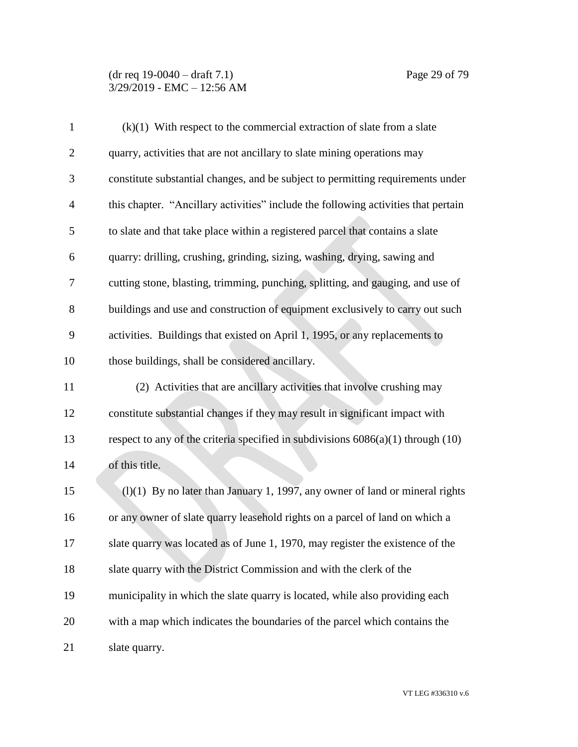#### (dr req 19-0040 – draft 7.1) Page 29 of 79 3/29/2019 - EMC – 12:56 AM

| $\mathbf{1}$   | $(k)(1)$ With respect to the commercial extraction of slate from a slate             |
|----------------|--------------------------------------------------------------------------------------|
| $\overline{2}$ | quarry, activities that are not ancillary to slate mining operations may             |
| 3              | constitute substantial changes, and be subject to permitting requirements under      |
| $\overline{4}$ | this chapter. "Ancillary activities" include the following activities that pertain   |
| 5              | to slate and that take place within a registered parcel that contains a slate        |
| 6              | quarry: drilling, crushing, grinding, sizing, washing, drying, sawing and            |
| 7              | cutting stone, blasting, trimming, punching, splitting, and gauging, and use of      |
| 8              | buildings and use and construction of equipment exclusively to carry out such        |
| 9              | activities. Buildings that existed on April 1, 1995, or any replacements to          |
| 10             | those buildings, shall be considered ancillary.                                      |
| 11             | (2) Activities that are ancillary activities that involve crushing may               |
| 12             | constitute substantial changes if they may result in significant impact with         |
| 13             | respect to any of the criteria specified in subdivisions $6086(a)(1)$ through $(10)$ |
| 14             | of this title.                                                                       |
| 15             | $(l)(1)$ By no later than January 1, 1997, any owner of land or mineral rights       |
| 16             | or any owner of slate quarry leasehold rights on a parcel of land on which a         |
| 17             | slate quarry was located as of June 1, 1970, may register the existence of the       |
| 18             | slate quarry with the District Commission and with the clerk of the                  |
| 19             | municipality in which the slate quarry is located, while also providing each         |
| 20             | with a map which indicates the boundaries of the parcel which contains the           |
| 21             | slate quarry.                                                                        |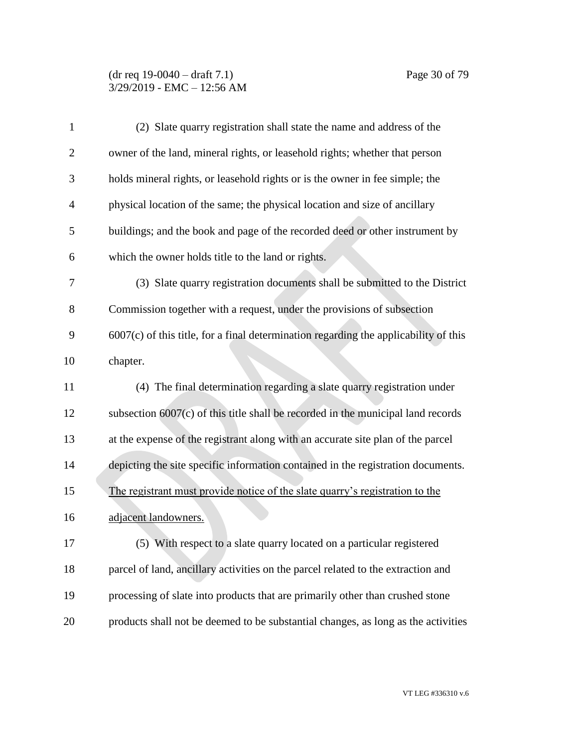#### (dr req 19-0040 – draft 7.1) Page 30 of 79 3/29/2019 - EMC – 12:56 AM

| $\mathbf{1}$   | (2) Slate quarry registration shall state the name and address of the                  |
|----------------|----------------------------------------------------------------------------------------|
| $\overline{2}$ | owner of the land, mineral rights, or leasehold rights; whether that person            |
| 3              | holds mineral rights, or leasehold rights or is the owner in fee simple; the           |
| $\overline{4}$ | physical location of the same; the physical location and size of ancillary             |
| 5              | buildings; and the book and page of the recorded deed or other instrument by           |
| 6              | which the owner holds title to the land or rights.                                     |
| 7              | (3) Slate quarry registration documents shall be submitted to the District             |
| 8              | Commission together with a request, under the provisions of subsection                 |
| 9              | $6007(c)$ of this title, for a final determination regarding the applicability of this |
| 10             | chapter.                                                                               |
| 11             | (4) The final determination regarding a slate quarry registration under                |
| 12             | subsection $6007(c)$ of this title shall be recorded in the municipal land records     |
| 13             | at the expense of the registrant along with an accurate site plan of the parcel        |
| 14             | depicting the site specific information contained in the registration documents.       |
| 15             | The registrant must provide notice of the slate quarry's registration to the           |
| 16             | adjacent landowners.                                                                   |
| 17             | (5) With respect to a slate quarry located on a particular registered                  |
| 18             | parcel of land, ancillary activities on the parcel related to the extraction and       |
| 19             | processing of slate into products that are primarily other than crushed stone          |
| 20             | products shall not be deemed to be substantial changes, as long as the activities      |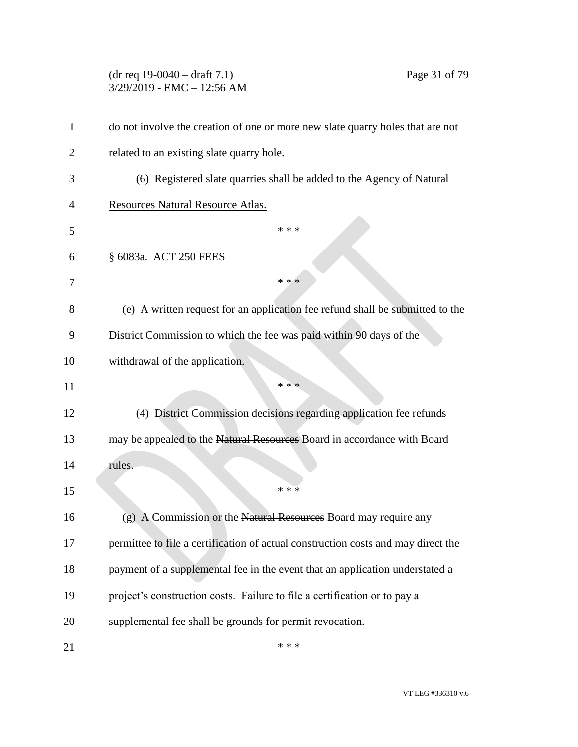# (dr req 19-0040 – draft 7.1) Page 31 of 79 3/29/2019 - EMC – 12:56 AM do not involve the creation of one or more new slate quarry holes that are not related to an existing slate quarry hole. (6) Registered slate quarries shall be added to the Agency of Natural Resources Natural Resource Atlas. \* \* \* § 6083a. ACT 250 FEES  $* * *$  (e) A written request for an application fee refund shall be submitted to the District Commission to which the fee was paid within 90 days of the withdrawal of the application. \*\*\* (4) District Commission decisions regarding application fee refunds 13 may be appealed to the Natural Resources Board in accordance with Board rules. \*\*\* (g) A Commission or the Natural Resources Board may require any permittee to file a certification of actual construction costs and may direct the payment of a supplemental fee in the event that an application understated a project's construction costs. Failure to file a certification or to pay a supplemental fee shall be grounds for permit revocation.  $***$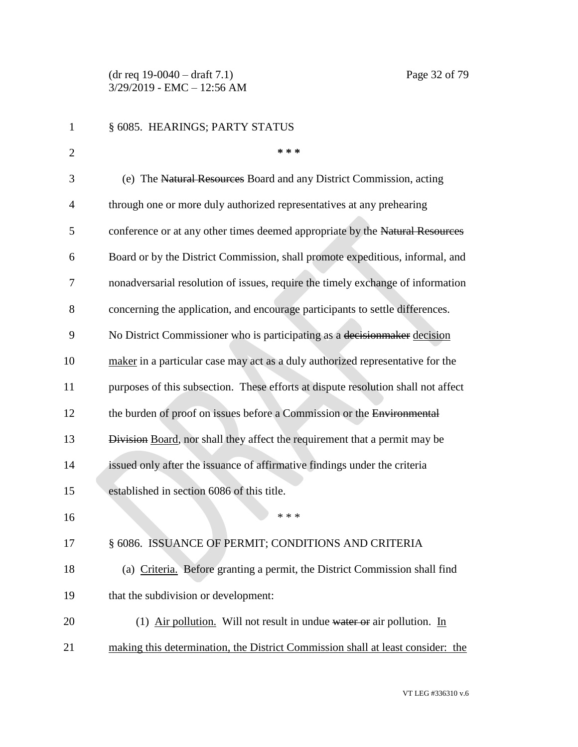(dr req 19-0040 – draft 7.1) Page 32 of 79 3/29/2019 - EMC – 12:56 AM

| 1              | § 6085. HEARINGS; PARTY STATUS                                                    |
|----------------|-----------------------------------------------------------------------------------|
| $\overline{2}$ | * * *                                                                             |
| 3              | (e) The Natural Resources Board and any District Commission, acting               |
| 4              | through one or more duly authorized representatives at any prehearing             |
| 5              | conference or at any other times deemed appropriate by the Natural Resources      |
| 6              | Board or by the District Commission, shall promote expeditious, informal, and     |
| 7              | nonadversarial resolution of issues, require the timely exchange of information   |
| 8              | concerning the application, and encourage participants to settle differences.     |
| 9              | No District Commissioner who is participating as a decision maker decision        |
| 10             | maker in a particular case may act as a duly authorized representative for the    |
| 11             | purposes of this subsection. These efforts at dispute resolution shall not affect |
| 12             | the burden of proof on issues before a Commission or the Environmental            |
| 13             | Division Board, nor shall they affect the requirement that a permit may be        |
| 14             | issued only after the issuance of affirmative findings under the criteria         |
| 15             | established in section 6086 of this title.                                        |
| 16             | * * *                                                                             |
| 17             | § 6086. ISSUANCE OF PERMIT; CONDITIONS AND CRITERIA                               |
| 18             | (a) Criteria. Before granting a permit, the District Commission shall find        |
| 19             | that the subdivision or development:                                              |
| 20             | (1) Air pollution. Will not result in undue water or air pollution. In            |
| 21             | making this determination, the District Commission shall at least consider: the   |

VT LEG #336310 v.6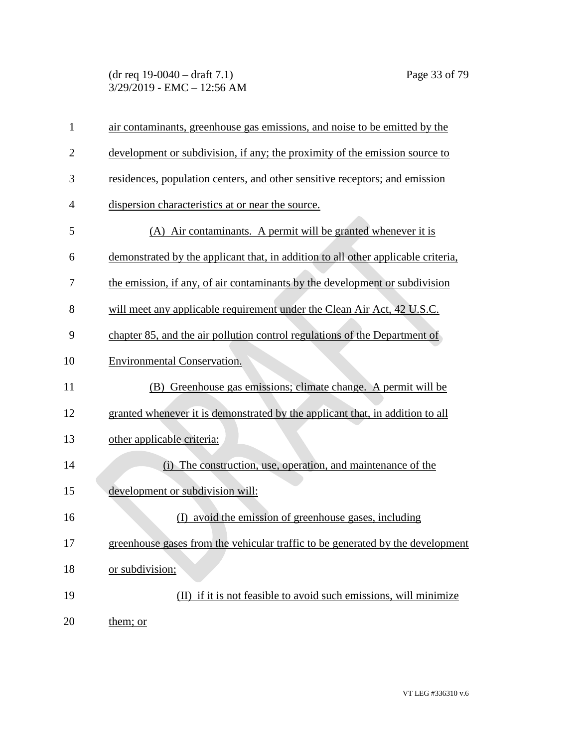## (dr req 19-0040 – draft 7.1) Page 33 of 79 3/29/2019 - EMC – 12:56 AM

| $\mathbf{1}$   | air contaminants, greenhouse gas emissions, and noise to be emitted by the        |
|----------------|-----------------------------------------------------------------------------------|
| $\overline{2}$ | development or subdivision, if any; the proximity of the emission source to       |
| 3              | residences, population centers, and other sensitive receptors; and emission       |
| $\overline{4}$ | dispersion characteristics at or near the source.                                 |
| 5              | (A) Air contaminants. A permit will be granted whenever it is                     |
| 6              | demonstrated by the applicant that, in addition to all other applicable criteria, |
| 7              | the emission, if any, of air contaminants by the development or subdivision       |
| 8              | will meet any applicable requirement under the Clean Air Act, 42 U.S.C.           |
| 9              | chapter 85, and the air pollution control regulations of the Department of        |
| 10             | <b>Environmental Conservation.</b>                                                |
| 11             | (B) Greenhouse gas emissions; climate change. A permit will be                    |
| 12             | granted whenever it is demonstrated by the applicant that, in addition to all     |
| 13             | other applicable criteria:                                                        |
| 14             | (i) The construction, use, operation, and maintenance of the                      |
| 15             | development or subdivision will:                                                  |
| 16             | avoid the emission of greenhouse gases, including<br>(D)                          |
| 17             | greenhouse gases from the vehicular traffic to be generated by the development    |
| 18             | or subdivision;                                                                   |
| 19             | (II) if it is not feasible to avoid such emissions, will minimize                 |
| 20             | them; or                                                                          |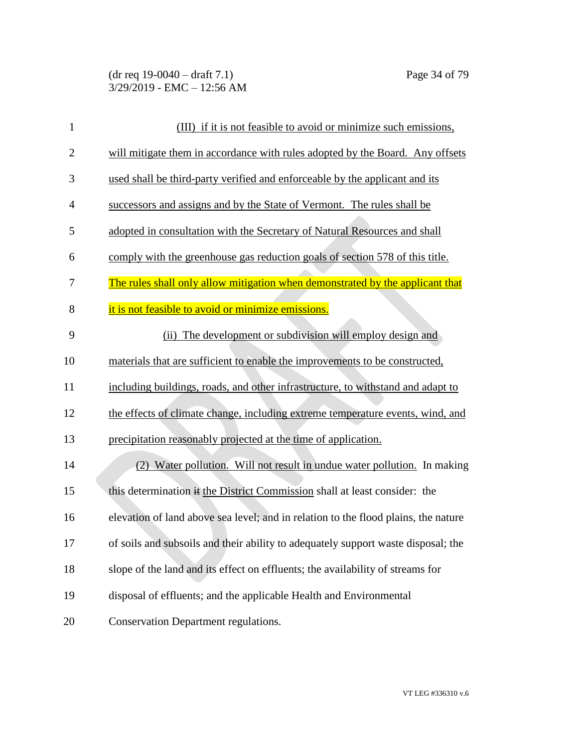| $\mathbf{1}$   | (III) if it is not feasible to avoid or minimize such emissions,                   |
|----------------|------------------------------------------------------------------------------------|
| $\overline{2}$ | will mitigate them in accordance with rules adopted by the Board. Any offsets      |
| 3              | used shall be third-party verified and enforceable by the applicant and its        |
| 4              | successors and assigns and by the State of Vermont. The rules shall be             |
| 5              | adopted in consultation with the Secretary of Natural Resources and shall          |
| 6              | comply with the greenhouse gas reduction goals of section 578 of this title.       |
| 7              | The rules shall only allow mitigation when demonstrated by the applicant that      |
| 8              | it is not feasible to avoid or minimize emissions.                                 |
| 9              | The development or subdivision will employ design and<br>(ii)                      |
| 10             | materials that are sufficient to enable the improvements to be constructed,        |
| 11             | including buildings, roads, and other infrastructure, to withstand and adapt to    |
| 12             | the effects of climate change, including extreme temperature events, wind, and     |
| 13             | precipitation reasonably projected at the time of application.                     |
| 14             | (2) Water pollution. Will not result in undue water pollution. In making           |
| 15             | this determination if the District Commission shall at least consider: the         |
| 16             | elevation of land above sea level; and in relation to the flood plains, the nature |
| 17             | of soils and subsoils and their ability to adequately support waste disposal; the  |
| 18             | slope of the land and its effect on effluents; the availability of streams for     |
| 19             | disposal of effluents; and the applicable Health and Environmental                 |
| 20             | <b>Conservation Department regulations.</b>                                        |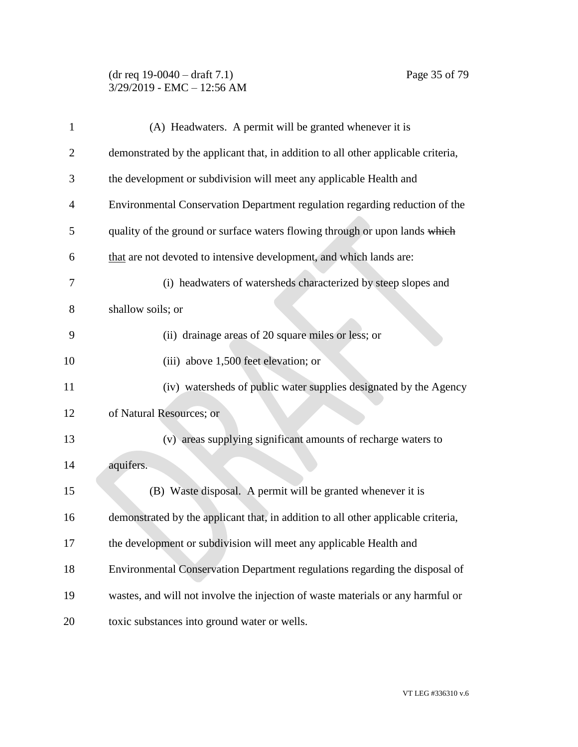#### (dr req 19-0040 – draft 7.1) Page 35 of 79 3/29/2019 - EMC – 12:56 AM

| $\mathbf{1}$   | (A) Headwaters. A permit will be granted whenever it is                           |
|----------------|-----------------------------------------------------------------------------------|
| $\overline{2}$ | demonstrated by the applicant that, in addition to all other applicable criteria, |
| 3              | the development or subdivision will meet any applicable Health and                |
| $\overline{4}$ | Environmental Conservation Department regulation regarding reduction of the       |
| 5              | quality of the ground or surface waters flowing through or upon lands which       |
| 6              | that are not devoted to intensive development, and which lands are:               |
| 7              | (i) headwaters of watersheds characterized by steep slopes and                    |
| 8              | shallow soils; or                                                                 |
| 9              | (ii) drainage areas of 20 square miles or less; or                                |
| 10             | (iii) above 1,500 feet elevation; or                                              |
| 11             | (iv) watersheds of public water supplies designated by the Agency                 |
| 12             | of Natural Resources; or                                                          |
| 13             | (v) areas supplying significant amounts of recharge waters to                     |
| 14             | aquifers.                                                                         |
| 15             | (B) Waste disposal. A permit will be granted whenever it is                       |
| 16             | demonstrated by the applicant that, in addition to all other applicable criteria, |
| 17             | the development or subdivision will meet any applicable Health and                |
| 18             | Environmental Conservation Department regulations regarding the disposal of       |
| 19             | wastes, and will not involve the injection of waste materials or any harmful or   |
| 20             | toxic substances into ground water or wells.                                      |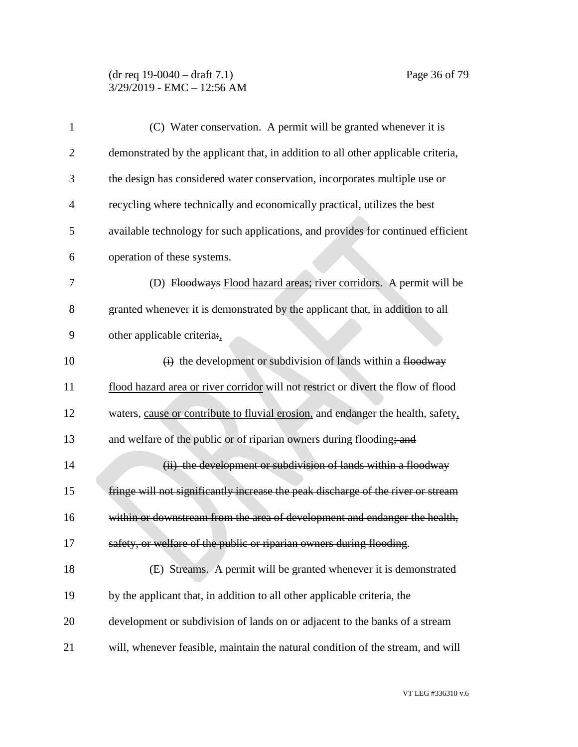#### (dr req 19-0040 – draft 7.1) Page 36 of 79 3/29/2019 - EMC – 12:56 AM

| $\mathbf{1}$   | (C) Water conservation. A permit will be granted whenever it is                   |
|----------------|-----------------------------------------------------------------------------------|
| $\overline{c}$ | demonstrated by the applicant that, in addition to all other applicable criteria, |
| 3              | the design has considered water conservation, incorporates multiple use or        |
| $\overline{4}$ | recycling where technically and economically practical, utilizes the best         |
| 5              | available technology for such applications, and provides for continued efficient  |
| 6              | operation of these systems.                                                       |
| 7              | (D) Floodways Flood hazard areas; river corridors. A permit will be               |
| 8              | granted whenever it is demonstrated by the applicant that, in addition to all     |
| 9              | other applicable criteria:                                                        |
| 10             | $\overrightarrow{(i)}$ the development or subdivision of lands within a flood way |
| 11             | flood hazard area or river corridor will not restrict or divert the flow of flood |
| 12             | waters, cause or contribute to fluvial erosion, and endanger the health, safety,  |
| 13             | and welfare of the public or of riparian owners during flooding; and              |
| 14             | (ii) the development or subdivision of lands within a floodway                    |
| 15             | fringe will not significantly increase the peak discharge of the river or stream  |
| 16             | within or downstream from the area of development and endanger the health,        |
| 17             | safety, or welfare of the public or riparian owners during flooding.              |
| 18             | (E) Streams. A permit will be granted whenever it is demonstrated                 |
| 19             | by the applicant that, in addition to all other applicable criteria, the          |
| 20             | development or subdivision of lands on or adjacent to the banks of a stream       |
| 21             | will, whenever feasible, maintain the natural condition of the stream, and will   |

VT LEG #336310 v.6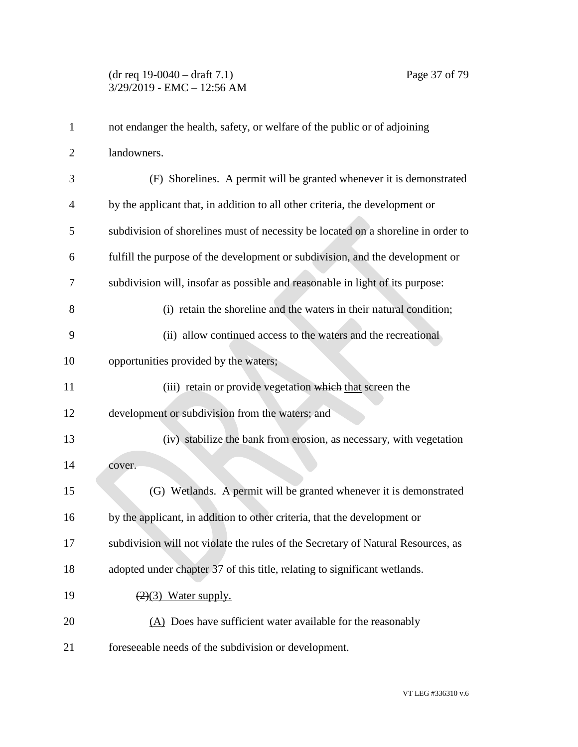| $\mathbf{1}$   | not endanger the health, safety, or welfare of the public or of adjoining         |
|----------------|-----------------------------------------------------------------------------------|
| $\overline{2}$ | landowners.                                                                       |
| 3              | (F) Shorelines. A permit will be granted whenever it is demonstrated              |
| 4              | by the applicant that, in addition to all other criteria, the development or      |
| 5              | subdivision of shorelines must of necessity be located on a shoreline in order to |
| 6              | fulfill the purpose of the development or subdivision, and the development or     |
| 7              | subdivision will, insofar as possible and reasonable in light of its purpose:     |
| 8              | (i) retain the shoreline and the waters in their natural condition;               |
| 9              | (ii) allow continued access to the waters and the recreational                    |
| 10             | opportunities provided by the waters;                                             |
| 11             | (iii) retain or provide vegetation which that screen the                          |
| 12             | development or subdivision from the waters; and                                   |
| 13             | (iv) stabilize the bank from erosion, as necessary, with vegetation               |
| 14             | cover.                                                                            |
| 15             | (G) Wetlands. A permit will be granted whenever it is demonstrated                |
| 16             | by the applicant, in addition to other criteria, that the development or          |
| 17             | subdivision will not violate the rules of the Secretary of Natural Resources, as  |
| 18             | adopted under chapter 37 of this title, relating to significant wetlands.         |
| 19             | $(2)(3)$ Water supply.                                                            |
| 20             | (A) Does have sufficient water available for the reasonably                       |
| 21             | foreseeable needs of the subdivision or development.                              |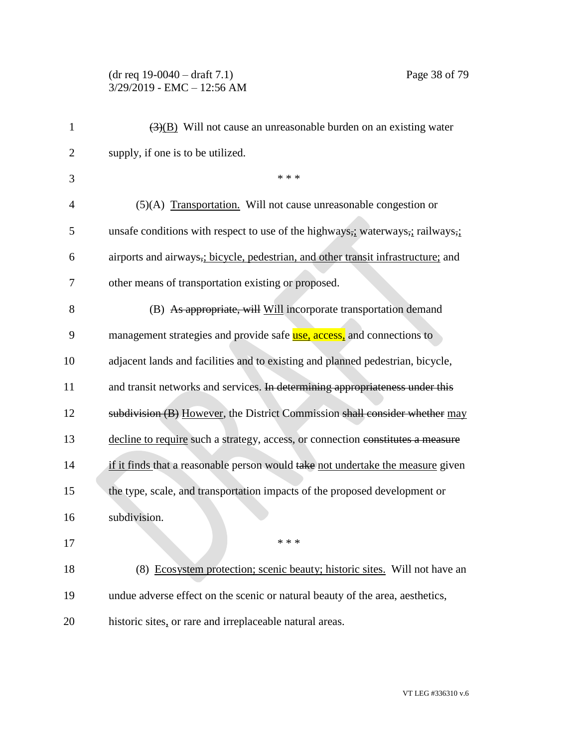#### (dr req 19-0040 – draft 7.1) Page 38 of 79 3/29/2019 - EMC – 12:56 AM

| 1              | $\overline{(3)(B)}$ Will not cause an unreasonable burden on an existing water                                        |
|----------------|-----------------------------------------------------------------------------------------------------------------------|
| $\overline{2}$ | supply, if one is to be utilized.                                                                                     |
| 3              | * * *                                                                                                                 |
| 4              | $(5)(A)$ Transportation. Will not cause unreasonable congestion or                                                    |
| 5              | unsafe conditions with respect to use of the highways <sub>7</sub> ; waterways <sub>7</sub> ; railways <sub>7</sub> ; |
| 6              | airports and airways, i bicycle, pedestrian, and other transit infrastructure; and                                    |
| 7              | other means of transportation existing or proposed.                                                                   |
| 8              | (B) As appropriate, will Will incorporate transportation demand                                                       |
| 9              | management strategies and provide safe <u>use, access</u> , and connections to                                        |
| 10             | adjacent lands and facilities and to existing and planned pedestrian, bicycle,                                        |
| 11             | and transit networks and services. In determining appropriateness under this                                          |
| 12             | subdivision (B) However, the District Commission shall consider whether may                                           |
| 13             | decline to require such a strategy, access, or connection constitutes a measure                                       |
| 14             | if it finds that a reasonable person would take not undertake the measure given                                       |
| 15             | the type, scale, and transportation impacts of the proposed development or                                            |
| 16             | subdivision.                                                                                                          |
| 17             |                                                                                                                       |
| 18             | (8) Ecosystem protection; scenic beauty; historic sites. Will not have an                                             |
| 19             | undue adverse effect on the scenic or natural beauty of the area, aesthetics,                                         |
| 20             | historic sites, or rare and irreplaceable natural areas.                                                              |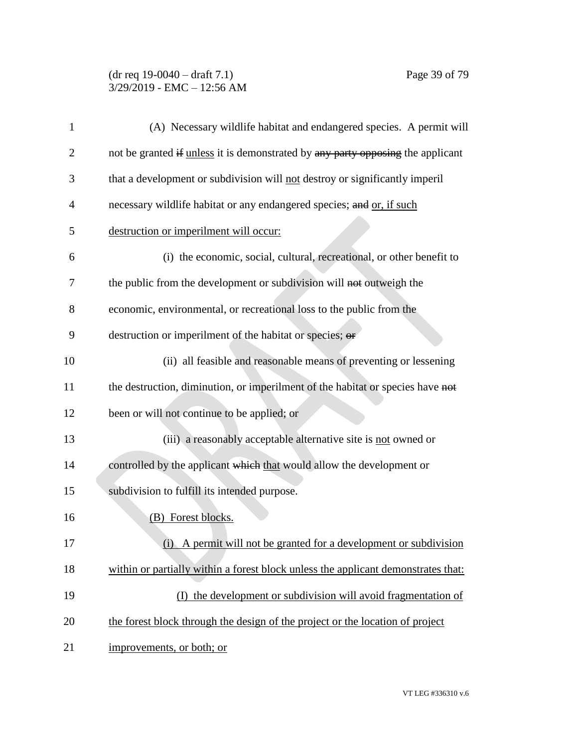# (dr req 19-0040 – draft 7.1) Page 39 of 79 3/29/2019 - EMC – 12:56 AM

| $\mathbf{1}$ | (A) Necessary wildlife habitat and endangered species. A permit will              |
|--------------|-----------------------------------------------------------------------------------|
| 2            | not be granted if unless it is demonstrated by any party opposing the applicant   |
| 3            | that a development or subdivision will not destroy or significantly imperil       |
| 4            | necessary wildlife habitat or any endangered species; and or, if such             |
| 5            | destruction or imperilment will occur:                                            |
| 6            | (i) the economic, social, cultural, recreational, or other benefit to             |
| 7            | the public from the development or subdivision will not outweigh the              |
| 8            | economic, environmental, or recreational loss to the public from the              |
| 9            | destruction or imperilment of the habitat or species; or                          |
| 10           | (ii) all feasible and reasonable means of preventing or lessening                 |
| 11           | the destruction, diminution, or imperilment of the habitat or species have not    |
| 12           | been or will not continue to be applied; or                                       |
| 13           | (iii) a reasonably acceptable alternative site is not owned or                    |
| 14           | controlled by the applicant which that would allow the development or             |
| 15           | subdivision to fulfill its intended purpose.                                      |
| 16           | (B) Forest blocks.                                                                |
| 17           | A permit will not be granted for a development or subdivision<br>(i)              |
| 18           | within or partially within a forest block unless the applicant demonstrates that: |
| 19           | (I) the development or subdivision will avoid fragmentation of                    |
| 20           | the forest block through the design of the project or the location of project     |
| 21           | improvements, or both; or                                                         |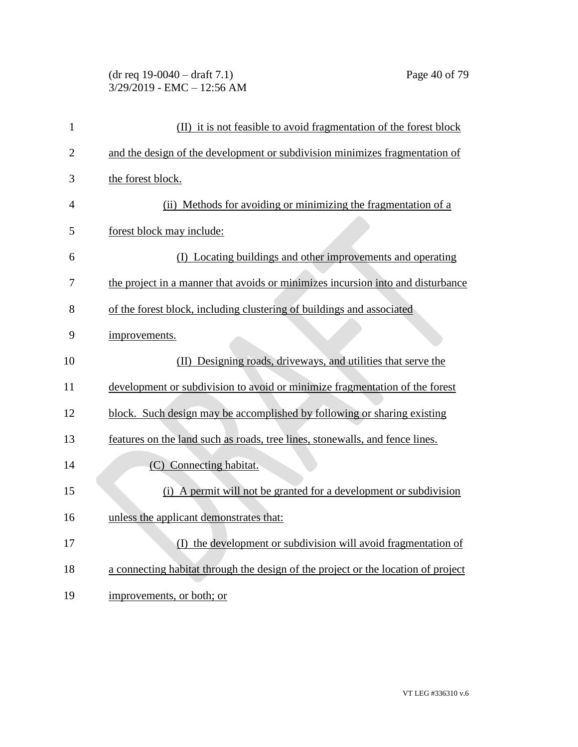# (dr req 19-0040 – draft 7.1) Page 40 of 79 3/29/2019 - EMC – 12:56 AM

| $\mathbf{1}$   | (II) it is not feasible to avoid fragmentation of the forest block                |
|----------------|-----------------------------------------------------------------------------------|
| $\overline{2}$ | and the design of the development or subdivision minimizes fragmentation of       |
| 3              | the forest block.                                                                 |
| 4              | (ii) Methods for avoiding or minimizing the fragmentation of a                    |
| 5              | forest block may include:                                                         |
| 6              | (I) Locating buildings and other improvements and operating                       |
| 7              | the project in a manner that avoids or minimizes incursion into and disturbance   |
| 8              | of the forest block, including clustering of buildings and associated             |
| 9              | improvements.                                                                     |
| 10             | (II) Designing roads, driveways, and utilities that serve the                     |
| 11             | development or subdivision to avoid or minimize fragmentation of the forest       |
| 12             | block. Such design may be accomplished by following or sharing existing           |
| 13             | features on the land such as roads, tree lines, stonewalls, and fence lines.      |
| 14             | (C) Connecting habitat.                                                           |
| 15             | (i) A permit will not be granted for a development or subdivision                 |
| 16             | unless the applicant demonstrates that:                                           |
| 17             | (I) the development or subdivision will avoid fragmentation of                    |
| 18             | a connecting habitat through the design of the project or the location of project |
| 19             | improvements, or both; or                                                         |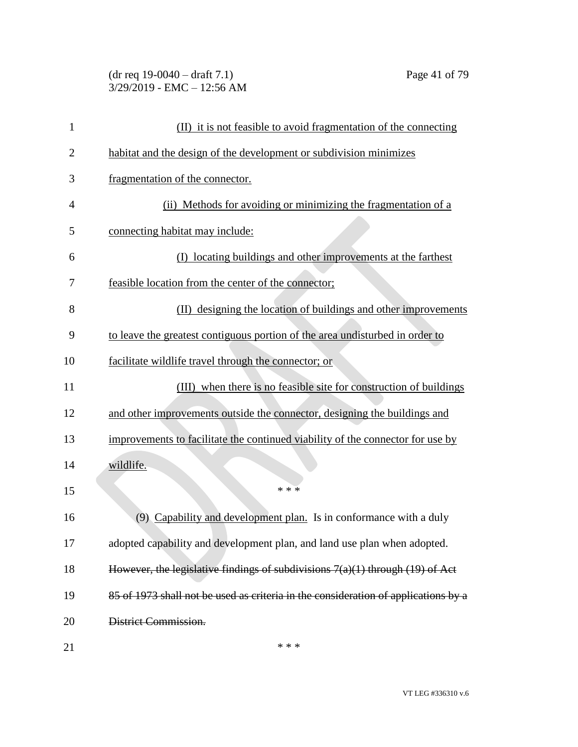| $(dr \text{ req } 19-0040 - draft } 7.1)$ |  |
|-------------------------------------------|--|
| 3/29/2019 - EMC – 12:56 AM                |  |

| 1              | (II) it is not feasible to avoid fragmentation of the connecting                   |
|----------------|------------------------------------------------------------------------------------|
| $\overline{2}$ | habitat and the design of the development or subdivision minimizes                 |
| 3              | fragmentation of the connector.                                                    |
| 4              | (ii) Methods for avoiding or minimizing the fragmentation of a                     |
| 5              | connecting habitat may include:                                                    |
| 6              | (I) locating buildings and other improvements at the farthest                      |
| 7              | feasible location from the center of the connector;                                |
| 8              | (II) designing the location of buildings and other improvements                    |
| 9              | to leave the greatest contiguous portion of the area undisturbed in order to       |
| 10             | facilitate wildlife travel through the connector; or                               |
| 11             | (III) when there is no feasible site for construction of buildings                 |
| 12             | and other improvements outside the connector, designing the buildings and          |
| 13             | improvements to facilitate the continued viability of the connector for use by     |
| 14             | wildlife.                                                                          |
| 15             | $* * *$                                                                            |
| 16             | Capability and development plan. Is in conformance with a duly<br>(9)              |
| 17             | adopted capability and development plan, and land use plan when adopted.           |
| 18             | However, the legislative findings of subdivisions $7(a)(1)$ through $(19)$ of Act  |
| 19             | 85 of 1973 shall not be used as criteria in the consideration of applications by a |
| 20             | District Commission.                                                               |
| 21             | * * *                                                                              |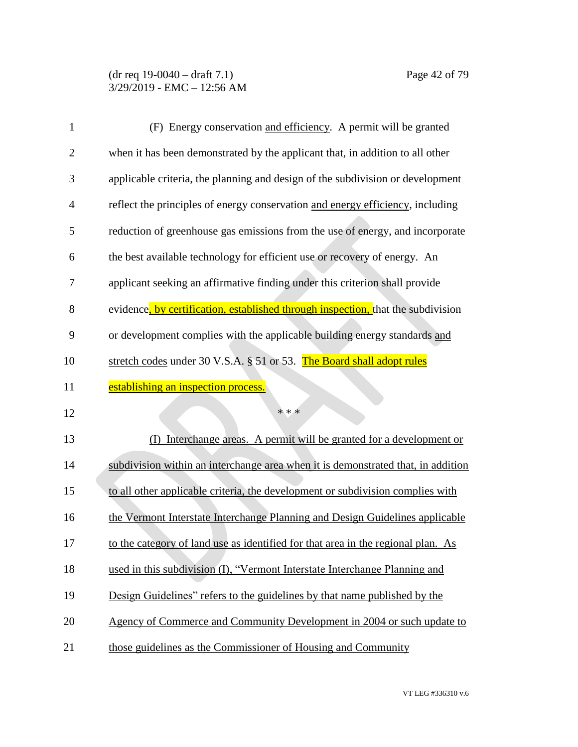| 1              | (F) Energy conservation and efficiency. A permit will be granted                 |
|----------------|----------------------------------------------------------------------------------|
| $\overline{c}$ | when it has been demonstrated by the applicant that, in addition to all other    |
| 3              | applicable criteria, the planning and design of the subdivision or development   |
| 4              | reflect the principles of energy conservation and energy efficiency, including   |
| 5              | reduction of greenhouse gas emissions from the use of energy, and incorporate    |
| 6              | the best available technology for efficient use or recovery of energy. An        |
| 7              | applicant seeking an affirmative finding under this criterion shall provide      |
| 8              | evidence, by certification, established through inspection, that the subdivision |
| 9              | or development complies with the applicable building energy standards and        |
| 10             | stretch codes under 30 V.S.A. § 51 or 53. The Board shall adopt rules            |
| 11             | establishing an inspection process.                                              |
| 12             | * * *                                                                            |
| 13             | Interchange areas. A permit will be granted for a development or                 |
| 14             | subdivision within an interchange area when it is demonstrated that, in addition |
| 15             | to all other applicable criteria, the development or subdivision complies with   |
| 16             | the Vermont Interstate Interchange Planning and Design Guidelines applicable     |
| 17             | to the category of land use as identified for that area in the regional plan. As |
| 18             | used in this subdivision (I), "Vermont Interstate Interchange Planning and       |
| 19             | Design Guidelines" refers to the guidelines by that name published by the        |
| 20             | Agency of Commerce and Community Development in 2004 or such update to           |
| 21             | those guidelines as the Commissioner of Housing and Community                    |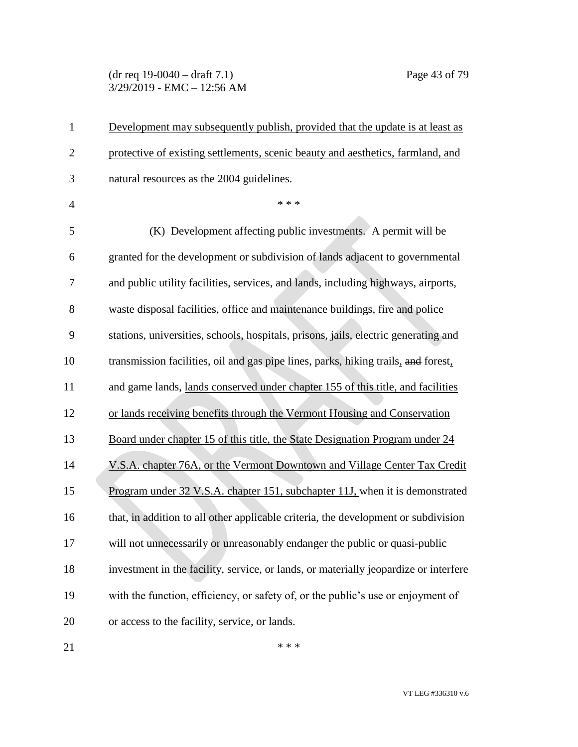(dr req 19-0040 – draft 7.1) Page 43 of 79 3/29/2019 - EMC – 12:56 AM

| 1              | Development may subsequently publish, provided that the update is at least as        |
|----------------|--------------------------------------------------------------------------------------|
| $\mathbf{2}$   | protective of existing settlements, scenic beauty and aesthetics, farmland, and      |
| 3              | natural resources as the 2004 guidelines.                                            |
| $\overline{4}$ | * * *                                                                                |
| 5              | (K) Development affecting public investments. A permit will be                       |
| 6              | granted for the development or subdivision of lands adjacent to governmental         |
| 7              | and public utility facilities, services, and lands, including highways, airports,    |
| 8              | waste disposal facilities, office and maintenance buildings, fire and police         |
| 9              | stations, universities, schools, hospitals, prisons, jails, electric generating and  |
| 10             | transmission facilities, oil and gas pipe lines, parks, hiking trails, and forest,   |
| 11             | and game lands, lands conserved under chapter 155 of this title, and facilities      |
| 12             | or lands receiving benefits through the Vermont Housing and Conservation             |
| 13             | Board under chapter 15 of this title, the State Designation Program under 24         |
| 14             | V.S.A. chapter 76A, or the Vermont Downtown and Village Center Tax Credit            |
| 15             | Program under 32 V.S.A. chapter 151, subchapter 11J, when it is demonstrated         |
| 16             | that, in addition to all other applicable criteria, the development or subdivision   |
| 17             | will not unnecessarily or unreasonably endanger the public or quasi-public           |
| 18             | investment in the facility, service, or lands, or materially jeopardize or interfere |
| 19             | with the function, efficiency, or safety of, or the public's use or enjoyment of     |
| 20             | or access to the facility, service, or lands.                                        |
|                |                                                                                      |

 $***$ 

VT LEG #336310 v.6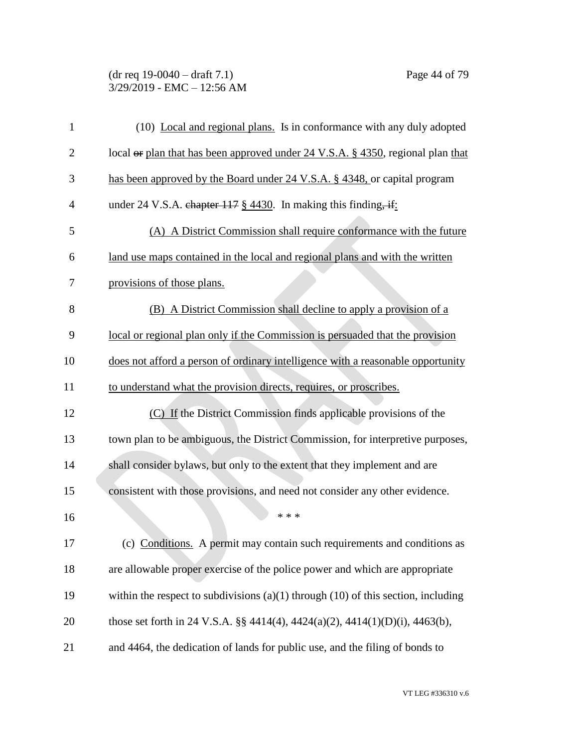### (dr req 19-0040 – draft 7.1) Page 44 of 79 3/29/2019 - EMC – 12:56 AM

| $\mathbf{1}$   | (10) Local and regional plans. Is in conformance with any duly adopted                     |
|----------------|--------------------------------------------------------------------------------------------|
| $\overline{2}$ | local or plan that has been approved under 24 V.S.A. § 4350, regional plan that            |
| 3              | has been approved by the Board under 24 V.S.A. § 4348, or capital program                  |
| 4              | under 24 V.S.A. chapter $117 \frac{\text{g}}{\text{g}} 4430$ . In making this finding, if: |
| 5              | (A) A District Commission shall require conformance with the future                        |
| 6              | land use maps contained in the local and regional plans and with the written               |
| 7              | provisions of those plans.                                                                 |
| 8              | (B) A District Commission shall decline to apply a provision of a                          |
| 9              | local or regional plan only if the Commission is persuaded that the provision              |
| 10             | does not afford a person of ordinary intelligence with a reasonable opportunity            |
| 11             | to understand what the provision directs, requires, or proscribes.                         |
| 12             | (C) If the District Commission finds applicable provisions of the                          |
| 13             | town plan to be ambiguous, the District Commission, for interpretive purposes,             |
| 14             | shall consider bylaws, but only to the extent that they implement and are                  |
| 15             | consistent with those provisions, and need not consider any other evidence.                |
| 16             | * * *                                                                                      |
| 17             | (c) Conditions. A permit may contain such requirements and conditions as                   |
| 18             | are allowable proper exercise of the police power and which are appropriate                |
| 19             | within the respect to subdivisions $(a)(1)$ through $(10)$ of this section, including      |
| 20             | those set forth in 24 V.S.A. §§ 4414(4), 4424(a)(2), 4414(1)(D)(i), 4463(b),               |
| 21             | and 4464, the dedication of lands for public use, and the filing of bonds to               |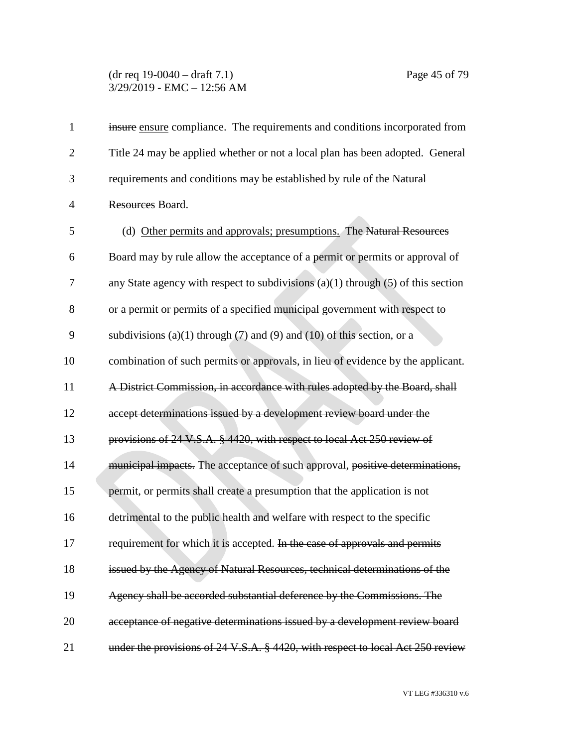#### (dr req 19-0040 – draft 7.1) Page 45 of 79 3/29/2019 - EMC – 12:56 AM

| $\mathbf 1$    | insure ensure compliance. The requirements and conditions incorporated from          |
|----------------|--------------------------------------------------------------------------------------|
| $\overline{2}$ | Title 24 may be applied whether or not a local plan has been adopted. General        |
| 3              | requirements and conditions may be established by rule of the Natural                |
| $\overline{4}$ | Resources Board.                                                                     |
| 5              | (d) Other permits and approvals; presumptions. The Natural Resources                 |
| 6              | Board may by rule allow the acceptance of a permit or permits or approval of         |
| $\overline{7}$ | any State agency with respect to subdivisions $(a)(1)$ through $(5)$ of this section |
| 8              | or a permit or permits of a specified municipal government with respect to           |
| 9              | subdivisions (a)(1) through (7) and (9) and (10) of this section, or a               |
| 10             | combination of such permits or approvals, in lieu of evidence by the applicant.      |
| 11             | A District Commission, in accordance with rules adopted by the Board, shall          |
| 12             | accept determinations issued by a development review board under the                 |
| 13             | provisions of 24 V.S.A. § 4420, with respect to local Act 250 review of              |
| 14             | municipal impacts. The acceptance of such approval, positive determinations,         |
| 15             | permit, or permits shall create a presumption that the application is not            |
| 16             | detrimental to the public health and welfare with respect to the specific            |
| 17             | requirement for which it is accepted. In the case of approvals and permits           |
| 18             | issued by the Agency of Natural Resources, technical determinations of the           |
| 19             | Agency shall be accorded substantial deference by the Commissions. The               |
| 20             | acceptance of negative determinations issued by a development review board           |
| 21             | under the provisions of 24 V.S.A. § 4420, with respect to local Act 250 review       |

VT LEG #336310 v.6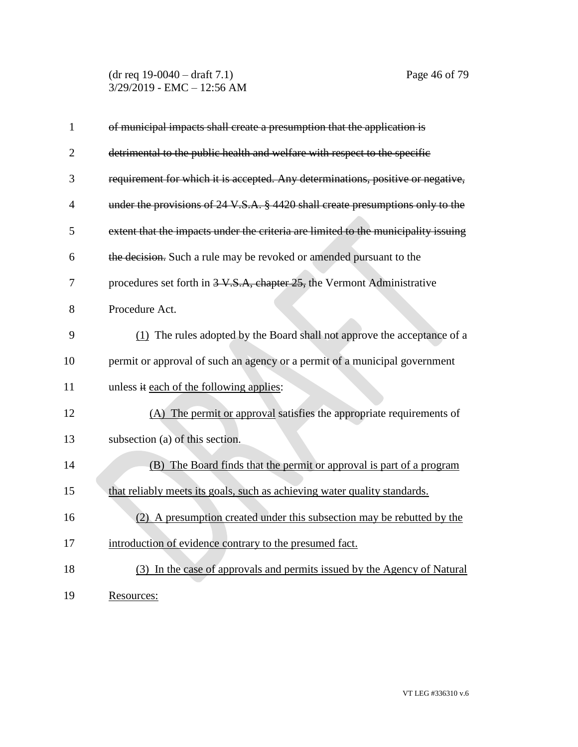(dr req 19-0040 – draft 7.1) Page 46 of 79 3/29/2019 - EMC – 12:56 AM

| $\mathbf{1}$   | of municipal impacts shall create a presumption that the application is            |
|----------------|------------------------------------------------------------------------------------|
| $\overline{2}$ | detrimental to the public health and welfare with respect to the specific          |
| 3              | requirement for which it is accepted. Any determinations, positive or negative,    |
| $\overline{4}$ | under the provisions of 24 V.S.A. § 4420 shall create presumptions only to the     |
| 5              | extent that the impacts under the criteria are limited to the municipality issuing |
| 6              | the decision. Such a rule may be revoked or amended pursuant to the                |
| 7              | procedures set forth in 3-V.S.A, chapter 25, the Vermont Administrative            |
| 8              | Procedure Act.                                                                     |
| 9              | $(1)$ The rules adopted by the Board shall not approve the acceptance of a         |
| 10             | permit or approval of such an agency or a permit of a municipal government         |
| 11             | unless it each of the following applies:                                           |
| 12             | (A) The permit or approval satisfies the appropriate requirements of               |
| 13             | subsection (a) of this section.                                                    |
| 14             | (B) The Board finds that the permit or approval is part of a program               |
| 15             | that reliably meets its goals, such as achieving water quality standards.          |
| 16             | (2) A presumption created under this subsection may be rebutted by the             |
| 17             | introduction of evidence contrary to the presumed fact.                            |
| 18             | (3) In the case of approvals and permits issued by the Agency of Natural           |
| 19             | Resources:                                                                         |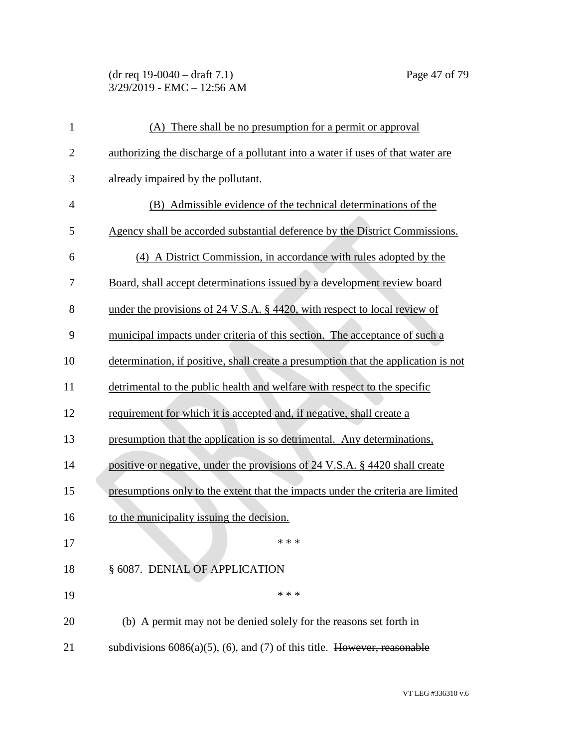# (dr req 19-0040 – draft 7.1) Page 47 of 79 3/29/2019 - EMC – 12:56 AM

| $\mathbf{1}$   | (A) There shall be no presumption for a permit or approval                         |
|----------------|------------------------------------------------------------------------------------|
| $\overline{2}$ | authorizing the discharge of a pollutant into a water if uses of that water are    |
| 3              | already impaired by the pollutant.                                                 |
| $\overline{4}$ | (B) Admissible evidence of the technical determinations of the                     |
| 5              | Agency shall be accorded substantial deference by the District Commissions.        |
| 6              | (4) A District Commission, in accordance with rules adopted by the                 |
| 7              | Board, shall accept determinations issued by a development review board            |
| 8              | under the provisions of 24 V.S.A. § 4420, with respect to local review of          |
| 9              | municipal impacts under criteria of this section. The acceptance of such a         |
| 10             | determination, if positive, shall create a presumption that the application is not |
| 11             | detrimental to the public health and welfare with respect to the specific          |
| 12             | requirement for which it is accepted and, if negative, shall create a              |
| 13             | presumption that the application is so detrimental. Any determinations,            |
| 14             | positive or negative, under the provisions of 24 V.S.A. § 4420 shall create        |
| 15             | presumptions only to the extent that the impacts under the criteria are limited    |
| 16             | to the municipality issuing the decision.                                          |
| 17             | * * *                                                                              |
| 18             | § 6087. DENIAL OF APPLICATION                                                      |
| 19             | * * *                                                                              |
| 20             | (b) A permit may not be denied solely for the reasons set forth in                 |
| 21             | subdivisions $6086(a)(5)$ , (6), and (7) of this title. However, reasonable        |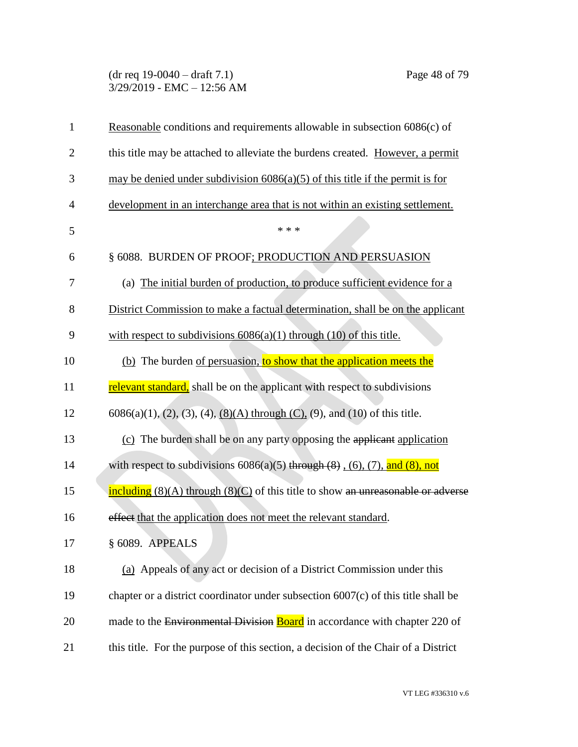#### (dr req 19-0040 – draft 7.1) Page 48 of 79 3/29/2019 - EMC – 12:56 AM

| $\mathbf{1}$   | Reasonable conditions and requirements allowable in subsection 6086(c) of                                          |
|----------------|--------------------------------------------------------------------------------------------------------------------|
| $\overline{2}$ | this title may be attached to alleviate the burdens created. However, a permit                                     |
| 3              | may be denied under subdivision $6086(a)(5)$ of this title if the permit is for                                    |
| $\overline{4}$ | development in an interchange area that is not within an existing settlement.                                      |
| 5              | * * *                                                                                                              |
| 6              | § 6088. BURDEN OF PROOF; PRODUCTION AND PERSUASION                                                                 |
| 7              | (a) The initial burden of production, to produce sufficient evidence for a                                         |
| 8              | District Commission to make a factual determination, shall be on the applicant                                     |
| 9              | with respect to subdivisions $6086(a)(1)$ through $(10)$ of this title.                                            |
| 10             | (b) The burden of persuasion, to show that the application meets the                                               |
| 11             | relevant standard, shall be on the applicant with respect to subdivisions                                          |
| 12             | $6086(a)(1)$ , (2), (3), (4), <u>(8)(A)</u> through (C), (9), and (10) of this title.                              |
| 13             | (c) The burden shall be on any party opposing the applicant application                                            |
| 14             | with respect to subdivisions $6086(a)(5)$ through $(8)$ , $(6)$ , $(7)$ , and $(8)$ , not                          |
| 15             | $\frac{\text{including}}{\text{including}}$ (8)(A) through (8)(C) of this title to show an unreasonable or adverse |
| 16             | effect that the application does not meet the relevant standard.                                                   |
| 17             | § 6089. APPEALS                                                                                                    |
| 18             | (a) Appeals of any act or decision of a District Commission under this                                             |
| 19             | chapter or a district coordinator under subsection 6007(c) of this title shall be                                  |
| 20             | made to the Environmental Division Board in accordance with chapter 220 of                                         |
| 21             | this title. For the purpose of this section, a decision of the Chair of a District                                 |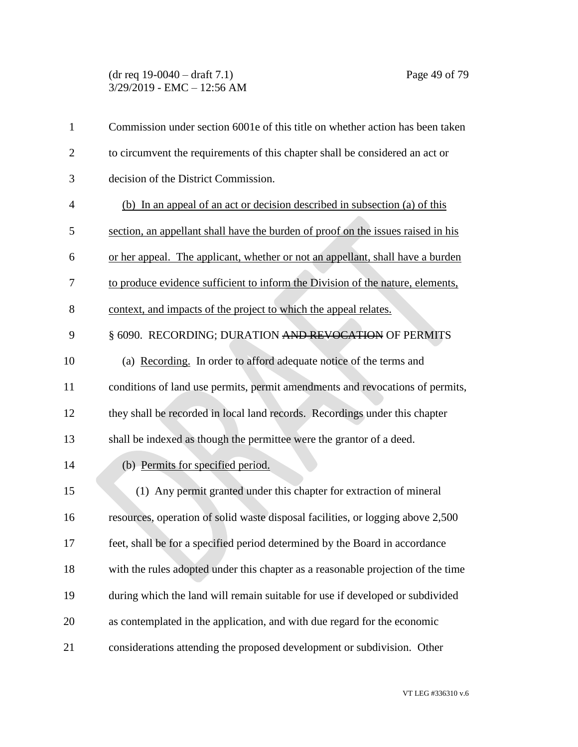#### (dr req 19-0040 – draft 7.1) Page 49 of 79 3/29/2019 - EMC – 12:56 AM

| $\mathbf{1}$   | Commission under section 6001e of this title on whether action has been taken    |
|----------------|----------------------------------------------------------------------------------|
| $\overline{2}$ | to circumvent the requirements of this chapter shall be considered an act or     |
| 3              | decision of the District Commission.                                             |
| $\overline{4}$ | (b) In an appeal of an act or decision described in subsection (a) of this       |
| 5              | section, an appellant shall have the burden of proof on the issues raised in his |
| 6              | or her appeal. The applicant, whether or not an appellant, shall have a burden   |
| 7              | to produce evidence sufficient to inform the Division of the nature, elements,   |
| 8              | context, and impacts of the project to which the appeal relates.                 |
| 9              | § 6090. RECORDING; DURATION AND REVOCATION OF PERMITS                            |
| 10             | (a) Recording. In order to afford adequate notice of the terms and               |
| 11             | conditions of land use permits, permit amendments and revocations of permits,    |
| 12             | they shall be recorded in local land records. Recordings under this chapter      |
| 13             | shall be indexed as though the permittee were the grantor of a deed.             |
| 14             | (b) Permits for specified period.                                                |
| 15             | (1) Any permit granted under this chapter for extraction of mineral              |
| 16             | resources, operation of solid waste disposal facilities, or logging above 2,500  |
| 17             | feet, shall be for a specified period determined by the Board in accordance      |
| 18             | with the rules adopted under this chapter as a reasonable projection of the time |
| 19             | during which the land will remain suitable for use if developed or subdivided    |
| 20             | as contemplated in the application, and with due regard for the economic         |
| 21             | considerations attending the proposed development or subdivision. Other          |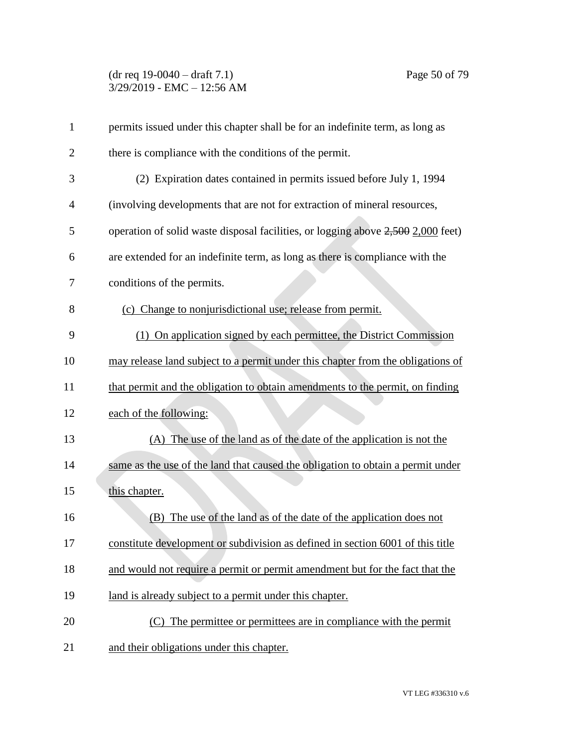## (dr req 19-0040 – draft 7.1) Page 50 of 79 3/29/2019 - EMC – 12:56 AM

| $\mathbf{1}$   | permits issued under this chapter shall be for an indefinite term, as long as    |
|----------------|----------------------------------------------------------------------------------|
| $\overline{2}$ | there is compliance with the conditions of the permit.                           |
| 3              | (2) Expiration dates contained in permits issued before July 1, 1994             |
| 4              | (involving developments that are not for extraction of mineral resources,        |
| 5              | operation of solid waste disposal facilities, or logging above 2,500 2,000 feet) |
| 6              | are extended for an indefinite term, as long as there is compliance with the     |
| 7              | conditions of the permits.                                                       |
| 8              | (c) Change to nonjurisdictional use; release from permit.                        |
| 9              | (1) On application signed by each permittee, the District Commission             |
| 10             | may release land subject to a permit under this chapter from the obligations of  |
| 11             | that permit and the obligation to obtain amendments to the permit, on finding    |
| 12             | each of the following:                                                           |
| 13             | (A) The use of the land as of the date of the application is not the             |
| 14             | same as the use of the land that caused the obligation to obtain a permit under  |
| 15             | this chapter.                                                                    |
| 16             | The use of the land as of the date of the application does not<br>(B)            |
| 17             | constitute development or subdivision as defined in section 6001 of this title   |
| 18             | and would not require a permit or permit amendment but for the fact that the     |
| 19             | land is already subject to a permit under this chapter.                          |
| 20             | (C) The permittee or permittees are in compliance with the permit                |
| 21             | and their obligations under this chapter.                                        |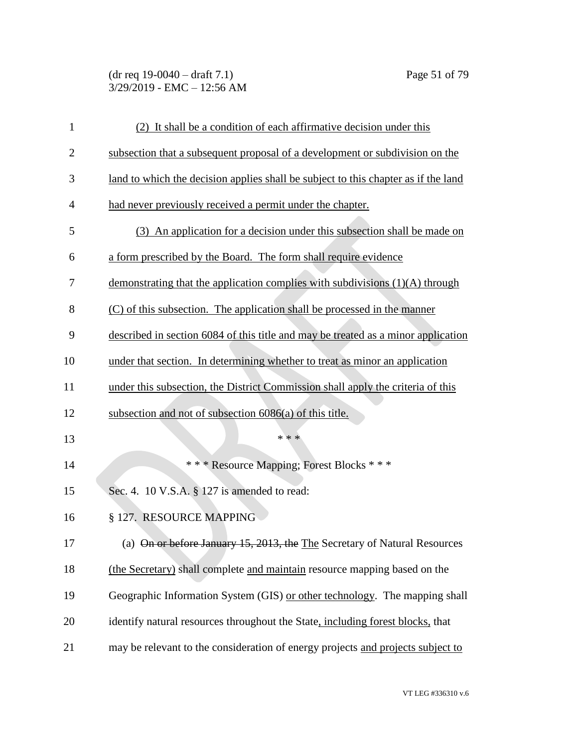# (dr req 19-0040 – draft 7.1) Page 51 of 79 3/29/2019 - EMC – 12:56 AM

| $\mathbf{1}$   | (2) It shall be a condition of each affirmative decision under this                |
|----------------|------------------------------------------------------------------------------------|
| $\overline{2}$ | subsection that a subsequent proposal of a development or subdivision on the       |
| 3              | land to which the decision applies shall be subject to this chapter as if the land |
| $\overline{4}$ | had never previously received a permit under the chapter.                          |
| 5              | (3) An application for a decision under this subsection shall be made on           |
| 6              | a form prescribed by the Board. The form shall require evidence                    |
| 7              | demonstrating that the application complies with subdivisions (1)(A) through       |
| 8              | (C) of this subsection. The application shall be processed in the manner           |
| 9              | described in section 6084 of this title and may be treated as a minor application  |
| 10             | under that section. In determining whether to treat as minor an application        |
| 11             | under this subsection, the District Commission shall apply the criteria of this    |
| 12             | subsection and not of subsection 6086(a) of this title.                            |
| 13             | * * *                                                                              |
| 14             | *** Resource Mapping; Forest Blocks ***                                            |
| 15             | Sec. 4. 10 V.S.A. § 127 is amended to read:                                        |
| 16             | § 127. RESOURCE MAPPING                                                            |
| 17             | (a) On or before January 15, 2013, the The Secretary of Natural Resources          |
| 18             | (the Secretary) shall complete and maintain resource mapping based on the          |
| 19             | Geographic Information System (GIS) or other technology. The mapping shall         |
| 20             | identify natural resources throughout the State, including forest blocks, that     |
| 21             | may be relevant to the consideration of energy projects and projects subject to    |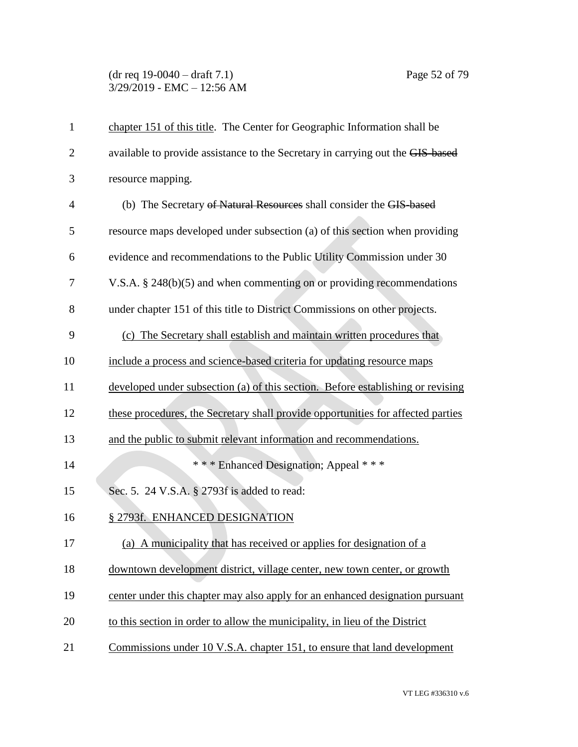### (dr req 19-0040 – draft 7.1) Page 52 of 79 3/29/2019 - EMC – 12:56 AM

| $\mathbf{1}$   | chapter 151 of this title. The Center for Geographic Information shall be        |
|----------------|----------------------------------------------------------------------------------|
| $\overline{2}$ | available to provide assistance to the Secretary in carrying out the GIS-based   |
| 3              | resource mapping.                                                                |
| $\overline{4}$ | (b) The Secretary of Natural Resources shall consider the GIS-based              |
| 5              | resource maps developed under subsection (a) of this section when providing      |
| 6              | evidence and recommendations to the Public Utility Commission under 30           |
| 7              | V.S.A. § 248(b)(5) and when commenting on or providing recommendations           |
| 8              | under chapter 151 of this title to District Commissions on other projects.       |
| 9              | (c) The Secretary shall establish and maintain written procedures that           |
| 10             | include a process and science-based criteria for updating resource maps          |
| 11             | developed under subsection (a) of this section. Before establishing or revising  |
| 12             | these procedures, the Secretary shall provide opportunities for affected parties |
| 13             | and the public to submit relevant information and recommendations.               |
| 14             | *** Enhanced Designation; Appeal ***                                             |
| 15             | Sec. 5. 24 V.S.A. § 2793f is added to read:                                      |
| 16             | § 2793f. ENHANCED DESIGNATION                                                    |
| 17             | (a) A municipality that has received or applies for designation of a             |
| 18             | downtown development district, village center, new town center, or growth        |
| 19             | center under this chapter may also apply for an enhanced designation pursuant    |
| 20             | to this section in order to allow the municipality, in lieu of the District      |
| 21             | Commissions under 10 V.S.A. chapter 151, to ensure that land development         |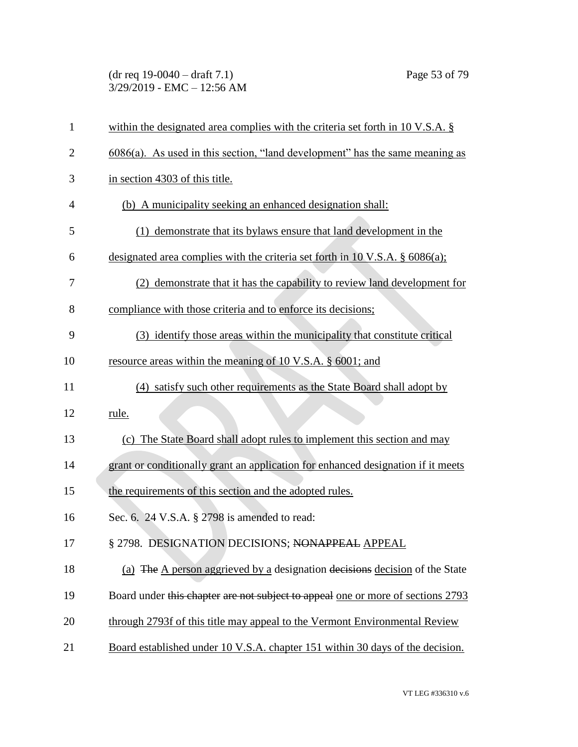### (dr req 19-0040 – draft 7.1) Page 53 of 79 3/29/2019 - EMC – 12:56 AM

| $\mathbf{1}$   | within the designated area complies with the criteria set forth in $10 \text{ V.S.A.}$ \$ |
|----------------|-------------------------------------------------------------------------------------------|
| $\overline{2}$ | $6086(a)$ . As used in this section, "land development" has the same meaning as           |
| 3              | in section 4303 of this title.                                                            |
| $\overline{4}$ | (b) A municipality seeking an enhanced designation shall:                                 |
| 5              | (1) demonstrate that its by laws ensure that land development in the                      |
| 6              | designated area complies with the criteria set forth in 10 V.S.A. $\S$ 6086(a);           |
| 7              | (2) demonstrate that it has the capability to review land development for                 |
| 8              | compliance with those criteria and to enforce its decisions;                              |
| 9              | (3) identify those areas within the municipality that constitute critical                 |
| 10             | resource areas within the meaning of 10 V.S.A. § 6001; and                                |
| 11             | (4) satisfy such other requirements as the State Board shall adopt by                     |
| 12             | rule.                                                                                     |
| 13             | (c) The State Board shall adopt rules to implement this section and may                   |
| 14             | grant or conditionally grant an application for enhanced designation if it meets          |
| 15             | the requirements of this section and the adopted rules.                                   |
| 16             | Sec. 6. 24 V.S.A. § 2798 is amended to read:                                              |
| 17             | § 2798. DESIGNATION DECISIONS; NONAPPEAL APPEAL                                           |
| 18             | (a) The A person aggrieved by a designation decisions decision of the State               |
| 19             | Board under this chapter are not subject to appeal one or more of sections 2793           |
| 20             | through 2793f of this title may appeal to the Vermont Environmental Review                |
| 21             | Board established under 10 V.S.A. chapter 151 within 30 days of the decision.             |
|                |                                                                                           |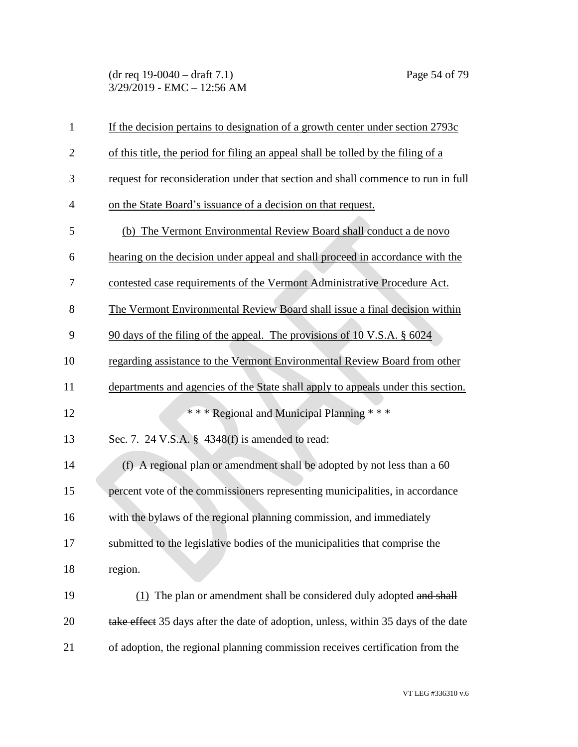(dr req 19-0040 – draft 7.1) Page 54 of 79 3/29/2019 - EMC – 12:56 AM

| $\mathbf{1}$   | If the decision pertains to designation of a growth center under section 2793c     |
|----------------|------------------------------------------------------------------------------------|
| $\mathbf{2}$   | of this title, the period for filing an appeal shall be tolled by the filing of a  |
| 3              | request for reconsideration under that section and shall commence to run in full   |
| $\overline{4}$ | on the State Board's issuance of a decision on that request.                       |
| 5              | (b) The Vermont Environmental Review Board shall conduct a de novo                 |
| 6              | hearing on the decision under appeal and shall proceed in accordance with the      |
| 7              | contested case requirements of the Vermont Administrative Procedure Act.           |
| 8              | The Vermont Environmental Review Board shall issue a final decision within         |
| 9              | 90 days of the filing of the appeal. The provisions of 10 V.S.A. § 6024            |
| 10             | regarding assistance to the Vermont Environmental Review Board from other          |
| 11             | departments and agencies of the State shall apply to appeals under this section.   |
| 12             | *** Regional and Municipal Planning ***                                            |
| 13             | Sec. 7. 24 V.S.A. § 4348(f) is amended to read:                                    |
| 14             | (f) A regional plan or amendment shall be adopted by not less than a 60            |
| 15             | percent vote of the commissioners representing municipalities, in accordance       |
| 16             | with the bylaws of the regional planning commission, and immediately               |
| 17             | submitted to the legislative bodies of the municipalities that comprise the        |
| 18             | region.                                                                            |
| 19             | (1) The plan or amendment shall be considered duly adopted and shall               |
| 20             | take effect 35 days after the date of adoption, unless, within 35 days of the date |
| 21             | of adoption, the regional planning commission receives certification from the      |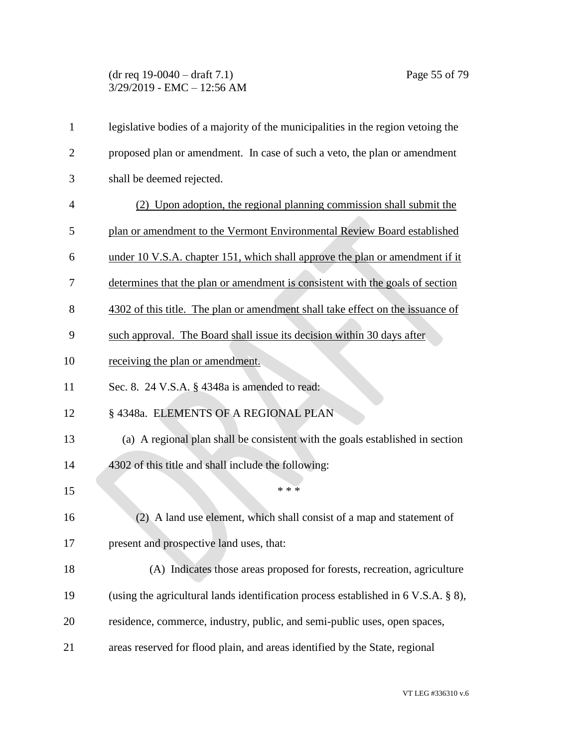## (dr req 19-0040 – draft 7.1) Page 55 of 79 3/29/2019 - EMC – 12:56 AM

| $\mathbf{1}$   | legislative bodies of a majority of the municipalities in the region vetoing the        |
|----------------|-----------------------------------------------------------------------------------------|
| $\overline{2}$ | proposed plan or amendment. In case of such a veto, the plan or amendment               |
| 3              | shall be deemed rejected.                                                               |
| $\overline{4}$ | (2) Upon adoption, the regional planning commission shall submit the                    |
| 5              | plan or amendment to the Vermont Environmental Review Board established                 |
| 6              | under 10 V.S.A. chapter 151, which shall approve the plan or amendment if it            |
| 7              | determines that the plan or amendment is consistent with the goals of section           |
| 8              | 4302 of this title. The plan or amendment shall take effect on the issuance of          |
| 9              | such approval. The Board shall issue its decision within 30 days after                  |
| 10             | receiving the plan or amendment.                                                        |
| 11             | Sec. 8. 24 V.S.A. § 4348a is amended to read:                                           |
| 12             | § 4348a. ELEMENTS OF A REGIONAL PLAN                                                    |
| 13             | (a) A regional plan shall be consistent with the goals established in section           |
| 14             | 4302 of this title and shall include the following:                                     |
| 15             | * * *                                                                                   |
| 16             | A land use element, which shall consist of a map and statement of<br>(2)                |
| 17             | present and prospective land uses, that:                                                |
| 18             | (A) Indicates those areas proposed for forests, recreation, agriculture                 |
| 19             | (using the agricultural lands identification process established in $6$ V.S.A. $\S$ 8), |
| 20             | residence, commerce, industry, public, and semi-public uses, open spaces,               |
| 21             | areas reserved for flood plain, and areas identified by the State, regional             |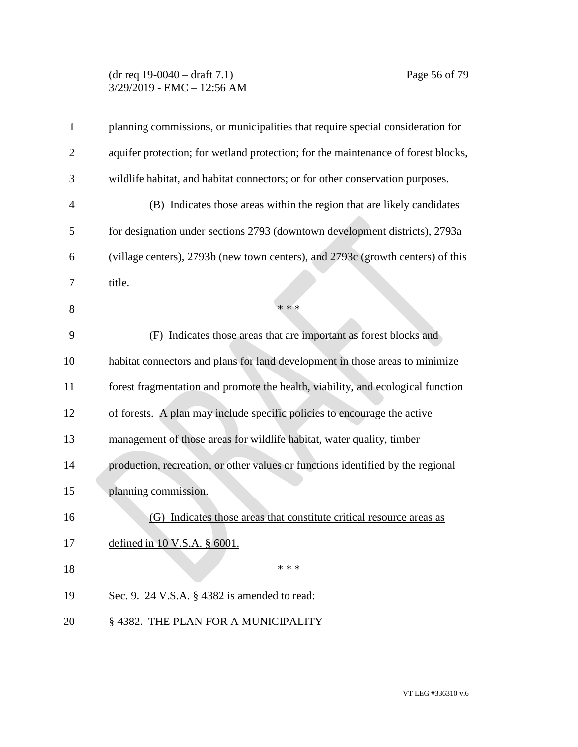# (dr req 19-0040 – draft 7.1) Page 56 of 79 3/29/2019 - EMC – 12:56 AM

| $\mathbf{1}$   | planning commissions, or municipalities that require special consideration for    |
|----------------|-----------------------------------------------------------------------------------|
| $\overline{2}$ | aquifer protection; for wetland protection; for the maintenance of forest blocks, |
| 3              | wildlife habitat, and habitat connectors; or for other conservation purposes.     |
| $\overline{4}$ | (B) Indicates those areas within the region that are likely candidates            |
| 5              | for designation under sections 2793 (downtown development districts), 2793a       |
| 6              | (village centers), 2793b (new town centers), and 2793c (growth centers) of this   |
| 7              | title.                                                                            |
| 8              | * * *                                                                             |
| 9              | (F) Indicates those areas that are important as forest blocks and                 |
| 10             | habitat connectors and plans for land development in those areas to minimize      |
| 11             | forest fragmentation and promote the health, viability, and ecological function   |
| 12             | of forests. A plan may include specific policies to encourage the active          |
| 13             | management of those areas for wildlife habitat, water quality, timber             |
| 14             | production, recreation, or other values or functions identified by the regional   |
| 15             | planning commission.                                                              |
| 16             | (G) Indicates those areas that constitute critical resource areas as              |
| 17             | defined in 10 V.S.A. $\S$ 6001.                                                   |
| 18             | * * *                                                                             |
| 19             | Sec. 9. 24 V.S.A. § 4382 is amended to read:                                      |
| 20             | §4382. THE PLAN FOR A MUNICIPALITY                                                |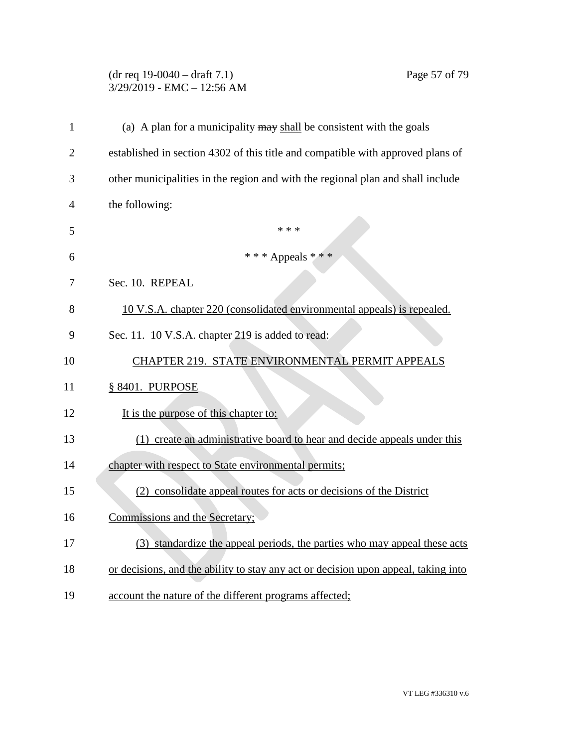# (dr req 19-0040 – draft 7.1) Page 57 of 79 3/29/2019 - EMC – 12:56 AM

| $\mathbf{1}$   | (a) A plan for a municipality $\frac{may}{head}$ be consistent with the goals      |
|----------------|------------------------------------------------------------------------------------|
| $\overline{2}$ | established in section 4302 of this title and compatible with approved plans of    |
| 3              | other municipalities in the region and with the regional plan and shall include    |
| 4              | the following:                                                                     |
| 5              | * * *                                                                              |
| 6              | *** Appeals ***                                                                    |
| 7              | Sec. 10. REPEAL                                                                    |
| 8              | 10 V.S.A. chapter 220 (consolidated environmental appeals) is repealed.            |
| 9              | Sec. 11. 10 V.S.A. chapter 219 is added to read:                                   |
| 10             | CHAPTER 219. STATE ENVIRONMENTAL PERMIT APPEALS                                    |
| 11             | § 8401. PURPOSE                                                                    |
| 12             | It is the purpose of this chapter to:                                              |
| 13             | (1) create an administrative board to hear and decide appeals under this           |
| 14             | chapter with respect to State environmental permits;                               |
| 15             | (2) consolidate appeal routes for acts or decisions of the District                |
| 16             | Commissions and the Secretary;                                                     |
| 17             | (3) standardize the appeal periods, the parties who may appeal these acts          |
| 18             | or decisions, and the ability to stay any act or decision upon appeal, taking into |
| 19             | account the nature of the different programs affected;                             |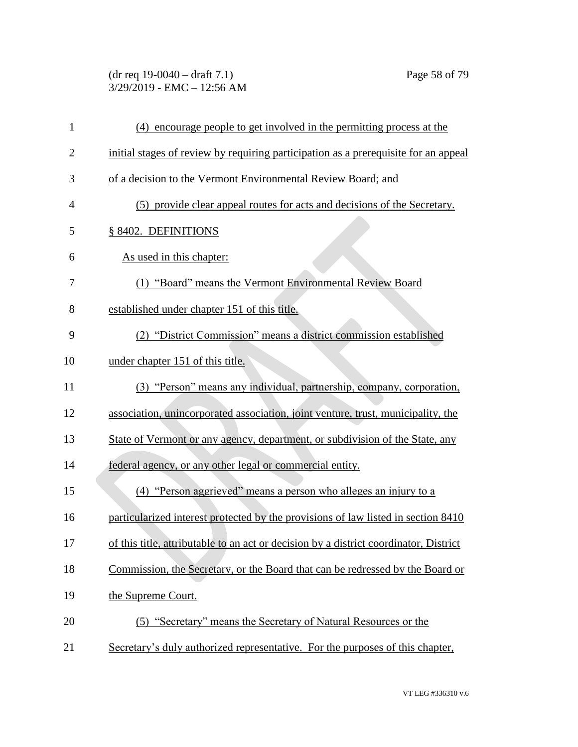# (dr req 19-0040 – draft 7.1) Page 58 of 79 3/29/2019 - EMC – 12:56 AM

| $\mathbf{1}$   | (4) encourage people to get involved in the permitting process at the                 |
|----------------|---------------------------------------------------------------------------------------|
| $\overline{2}$ | initial stages of review by requiring participation as a prerequisite for an appeal   |
| 3              | of a decision to the Vermont Environmental Review Board; and                          |
| 4              | (5) provide clear appeal routes for acts and decisions of the Secretary.              |
| 5              | § 8402. DEFINITIONS                                                                   |
| 6              | As used in this chapter:                                                              |
| 7              | (1) "Board" means the Vermont Environmental Review Board                              |
| 8              | established under chapter 151 of this title.                                          |
| 9              | (2) "District Commission" means a district commission established                     |
| 10             | under chapter 151 of this title.                                                      |
| 11             | (3) "Person" means any individual, partnership, company, corporation,                 |
| 12             | association, unincorporated association, joint venture, trust, municipality, the      |
| 13             | State of Vermont or any agency, department, or subdivision of the State, any          |
| 14             | federal agency, or any other legal or commercial entity.                              |
| 15             | (4) "Person aggrieved" means a person who alleges an injury to a                      |
| 16             | particularized interest protected by the provisions of law listed in section 8410     |
| 17             | of this title, attributable to an act or decision by a district coordinator, District |
| 18             | Commission, the Secretary, or the Board that can be redressed by the Board or         |
| 19             | the Supreme Court.                                                                    |
| 20             | (5) "Secretary" means the Secretary of Natural Resources or the                       |
| 21             | Secretary's duly authorized representative. For the purposes of this chapter,         |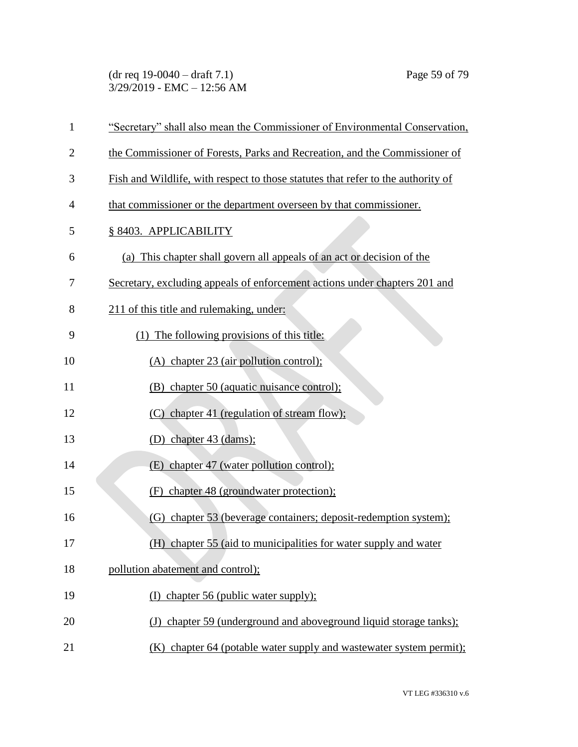(dr req 19-0040 – draft 7.1) Page 59 of 79 3/29/2019 - EMC – 12:56 AM

| $\mathbf{1}$   | "Secretary" shall also mean the Commissioner of Environmental Conservation,      |
|----------------|----------------------------------------------------------------------------------|
| $\overline{2}$ | the Commissioner of Forests, Parks and Recreation, and the Commissioner of       |
| 3              | Fish and Wildlife, with respect to those statutes that refer to the authority of |
| 4              | that commissioner or the department overseen by that commissioner.               |
| 5              | § 8403. APPLICABILITY                                                            |
| 6              | (a) This chapter shall govern all appeals of an act or decision of the           |
| 7              | Secretary, excluding appeals of enforcement actions under chapters 201 and       |
| 8              | 211 of this title and rulemaking, under:                                         |
| 9              | (1) The following provisions of this title:                                      |
| 10             | (A) chapter 23 (air pollution control);                                          |
| 11             | (B) chapter 50 (aquatic nuisance control);                                       |
| 12             | (C) chapter 41 (regulation of stream flow);                                      |
| 13             | (D) chapter $43$ (dams);                                                         |
| 14             | (E) chapter 47 (water pollution control);                                        |
| 15             | (F) chapter 48 (groundwater protection);                                         |
| 16             | (G) chapter 53 (beverage containers; deposit-redemption system);                 |
| 17             | (H) chapter 55 (aid to municipalities for water supply and water                 |
| 18             | pollution abatement and control);                                                |
| 19             | (I) chapter 56 (public water supply);                                            |
| 20             | (J) chapter 59 (underground and aboveground liquid storage tanks);               |
| 21             | (K) chapter 64 (potable water supply and wastewater system permit);              |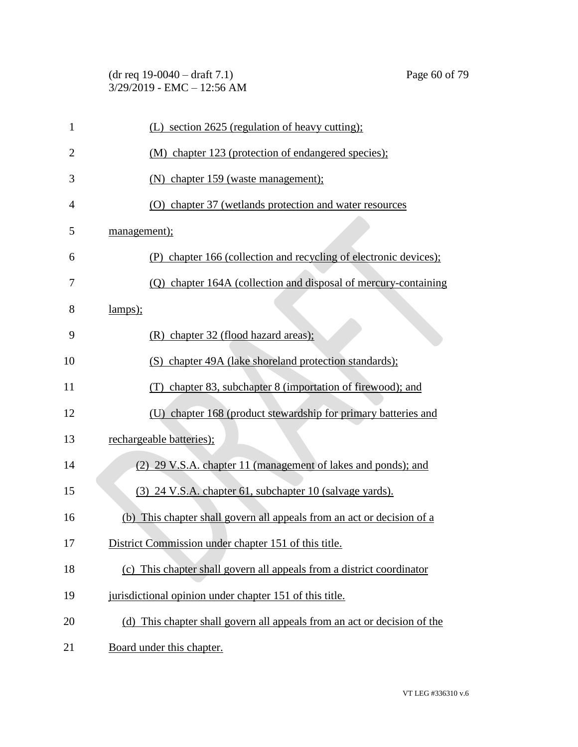| $(dr \text{ req } 19-0040 - draft 7.1)$ |  |
|-----------------------------------------|--|
| $3/29/2019$ - EMC - 12:56 AM            |  |

| $\mathbf{1}$   | (L) section 2625 (regulation of heavy cutting);                          |
|----------------|--------------------------------------------------------------------------|
| $\overline{2}$ | (M) chapter 123 (protection of endangered species);                      |
| 3              | (N) chapter 159 (waste management);                                      |
| $\overline{4}$ | (O) chapter 37 (wetlands protection and water resources                  |
| 5              | management);                                                             |
| 6              | (P) chapter 166 (collection and recycling of electronic devices);        |
| 7              | (Q) chapter 164A (collection and disposal of mercury-containing          |
| 8              | lamps);                                                                  |
| 9              | (R) chapter 32 (flood hazard areas);                                     |
| 10             | (S) chapter 49A (lake shoreland protection standards);                   |
| 11             | (T) chapter 83, subchapter 8 (importation of firewood); and              |
| 12             | (U) chapter 168 (product stewardship for primary batteries and           |
| 13             | rechargeable batteries);                                                 |
| 14             | (2) 29 V.S.A. chapter 11 (management of lakes and ponds); and            |
| 15             | (3) 24 V.S.A. chapter 61, subchapter 10 (salvage yards).                 |
| 16             | (b) This chapter shall govern all appeals from an act or decision of a   |
| 17             | District Commission under chapter 151 of this title.                     |
| 18             | (c) This chapter shall govern all appeals from a district coordinator    |
| 19             | jurisdictional opinion under chapter 151 of this title.                  |
| 20             | (d) This chapter shall govern all appeals from an act or decision of the |
| 21             | Board under this chapter.                                                |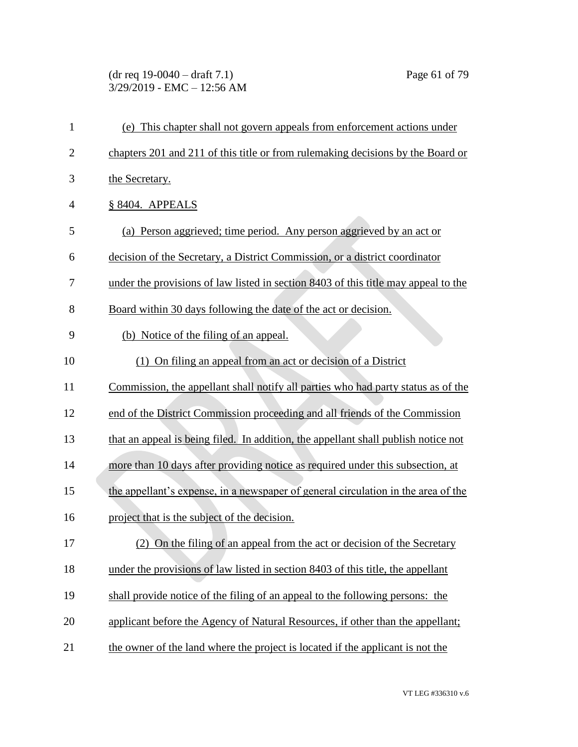# (dr req 19-0040 – draft 7.1) Page 61 of 79 3/29/2019 - EMC – 12:56 AM

| $\mathbf{1}$   | (e) This chapter shall not govern appeals from enforcement actions under           |
|----------------|------------------------------------------------------------------------------------|
| $\overline{2}$ | chapters 201 and 211 of this title or from rulemaking decisions by the Board or    |
| 3              | the Secretary.                                                                     |
| 4              | § 8404. APPEALS                                                                    |
| 5              | (a) Person aggrieved; time period. Any person aggrieved by an act or               |
| 6              | decision of the Secretary, a District Commission, or a district coordinator        |
| 7              | under the provisions of law listed in section 8403 of this title may appeal to the |
| 8              | Board within 30 days following the date of the act or decision.                    |
| 9              | (b) Notice of the filing of an appeal.                                             |
| 10             | (1) On filing an appeal from an act or decision of a District                      |
| 11             | Commission, the appellant shall notify all parties who had party status as of the  |
| 12             | end of the District Commission proceeding and all friends of the Commission        |
| 13             | that an appeal is being filed. In addition, the appellant shall publish notice not |
| 14             | more than 10 days after providing notice as required under this subsection, at     |
| 15             | the appellant's expense, in a newspaper of general circulation in the area of the  |
| 16             | project that is the subject of the decision.                                       |
| 17             | (2) On the filing of an appeal from the act or decision of the Secretary           |
| 18             | under the provisions of law listed in section 8403 of this title, the appellant    |
| 19             | shall provide notice of the filing of an appeal to the following persons: the      |
| 20             | applicant before the Agency of Natural Resources, if other than the appellant;     |
| 21             | the owner of the land where the project is located if the applicant is not the     |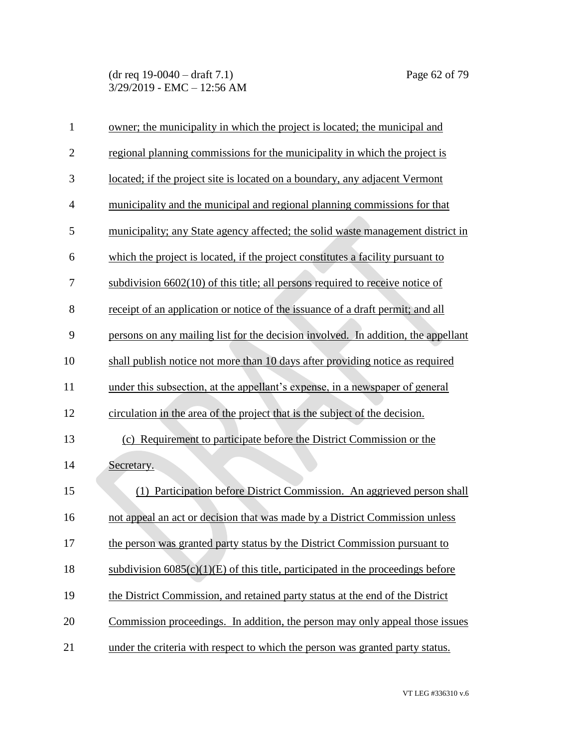| $\mathbf{1}$   | owner; the municipality in which the project is located; the municipal and        |
|----------------|-----------------------------------------------------------------------------------|
| $\overline{2}$ | regional planning commissions for the municipality in which the project is        |
| 3              | located; if the project site is located on a boundary, any adjacent Vermont       |
| $\overline{4}$ | municipality and the municipal and regional planning commissions for that         |
| 5              | municipality; any State agency affected; the solid waste management district in   |
| 6              | which the project is located, if the project constitutes a facility pursuant to   |
| 7              | subdivision 6602(10) of this title; all persons required to receive notice of     |
| 8              | receipt of an application or notice of the issuance of a draft permit; and all    |
| 9              | persons on any mailing list for the decision involved. In addition, the appellant |
| 10             | shall publish notice not more than 10 days after providing notice as required     |
| 11             | under this subsection, at the appellant's expense, in a newspaper of general      |
| 12             | circulation in the area of the project that is the subject of the decision.       |
| 13             | (c) Requirement to participate before the District Commission or the              |
| 14             | Secretary.                                                                        |
| 15             | Participation before District Commission. An aggrieved person shall<br>(1)        |
| 16             | not appeal an act or decision that was made by a District Commission unless       |
| 17             | the person was granted party status by the District Commission pursuant to        |
| 18             | subdivision $6085(c)(1)(E)$ of this title, participated in the proceedings before |
| 19             | the District Commission, and retained party status at the end of the District     |
| 20             | Commission proceedings. In addition, the person may only appeal those issues      |
| 21             | under the criteria with respect to which the person was granted party status.     |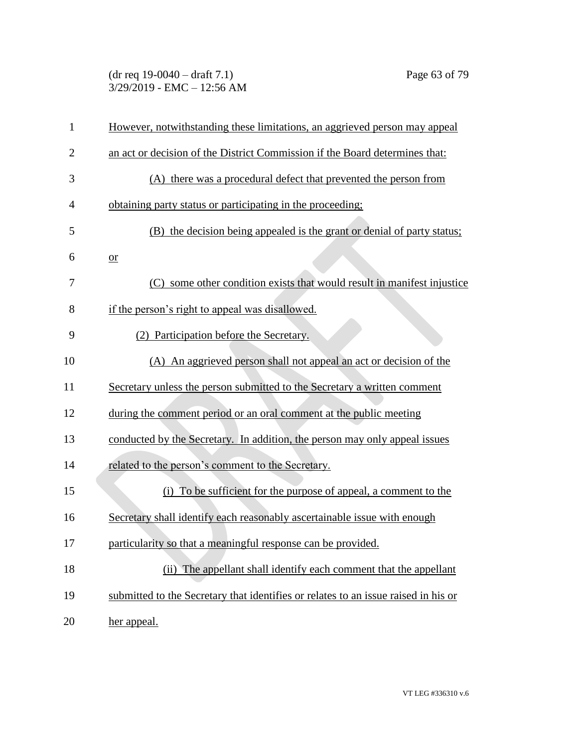### (dr req 19-0040 – draft 7.1) Page 63 of 79 3/29/2019 - EMC – 12:56 AM

| $\mathbf{1}$   | However, notwithstanding these limitations, an aggrieved person may appeal         |
|----------------|------------------------------------------------------------------------------------|
| $\overline{2}$ | an act or decision of the District Commission if the Board determines that:        |
| 3              | (A) there was a procedural defect that prevented the person from                   |
| 4              | obtaining party status or participating in the proceeding.                         |
| 5              | (B) the decision being appealed is the grant or denial of party status;            |
| 6              | $or$                                                                               |
| 7              | (C) some other condition exists that would result in manifest injustice            |
| 8              | if the person's right to appeal was disallowed.                                    |
| 9              | (2) Participation before the Secretary.                                            |
| 10             | (A) An aggrieved person shall not appeal an act or decision of the                 |
| 11             | Secretary unless the person submitted to the Secretary a written comment           |
| 12             | during the comment period or an oral comment at the public meeting                 |
| 13             | conducted by the Secretary. In addition, the person may only appeal issues         |
| 14             | related to the person's comment to the Secretary.                                  |
| 15             | (i) To be sufficient for the purpose of appeal, a comment to the                   |
| 16             | Secretary shall identify each reasonably ascertainable issue with enough           |
| 17             | particularity so that a meaningful response can be provided.                       |
| 18             | (ii) The appellant shall identify each comment that the appellant                  |
| 19             | submitted to the Secretary that identifies or relates to an issue raised in his or |
| 20             | her appeal.                                                                        |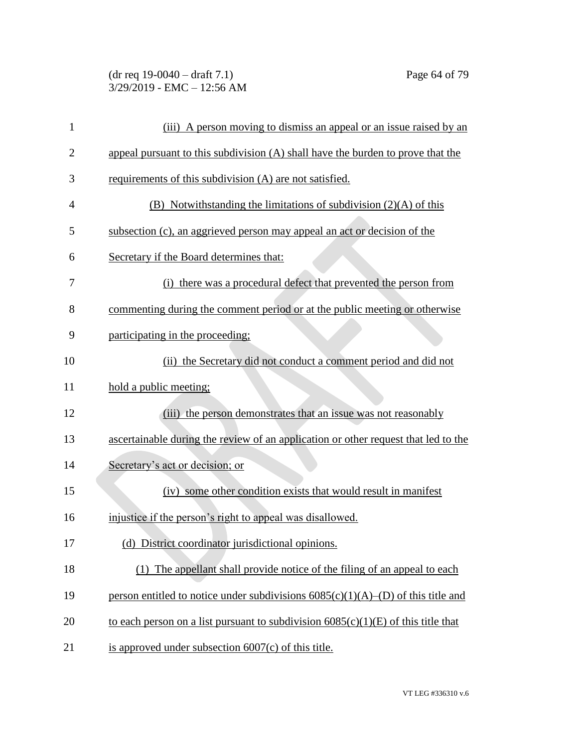| $(dr \text{ req } 19-0040 - draft } 7.1)$ |  |
|-------------------------------------------|--|
| 3/29/2019 - EMC - 12:56 AM                |  |

| 1  | (iii) A person moving to dismiss an appeal or an issue raised by an                 |
|----|-------------------------------------------------------------------------------------|
| 2  | appeal pursuant to this subdivision (A) shall have the burden to prove that the     |
| 3  | requirements of this subdivision (A) are not satisfied.                             |
| 4  | (B) Notwithstanding the limitations of subdivision $(2)(A)$ of this                 |
| 5  | subsection (c), an aggrieved person may appeal an act or decision of the            |
| 6  | Secretary if the Board determines that:                                             |
| 7  | (i) there was a procedural defect that prevented the person from                    |
| 8  | commenting during the comment period or at the public meeting or otherwise          |
| 9  | participating in the proceeding:                                                    |
| 10 | (ii) the Secretary did not conduct a comment period and did not                     |
| 11 | hold a public meeting;                                                              |
| 12 | (iii) the person demonstrates that an issue was not reasonably                      |
| 13 | ascertainable during the review of an application or other request that led to the  |
| 14 | Secretary's act or decision; or                                                     |
| 15 | (iv) some other condition exists that would result in manifest                      |
| 16 | injustice if the person's right to appeal was disallowed.                           |
| 17 | (d) District coordinator jurisdictional opinions.                                   |
| 18 | (1) The appellant shall provide notice of the filing of an appeal to each           |
| 19 | person entitled to notice under subdivisions $6085(c)(1)(A)$ –(D) of this title and |
| 20 | to each person on a list pursuant to subdivision $6085(c)(1)(E)$ of this title that |
| 21 | is approved under subsection $6007(c)$ of this title.                               |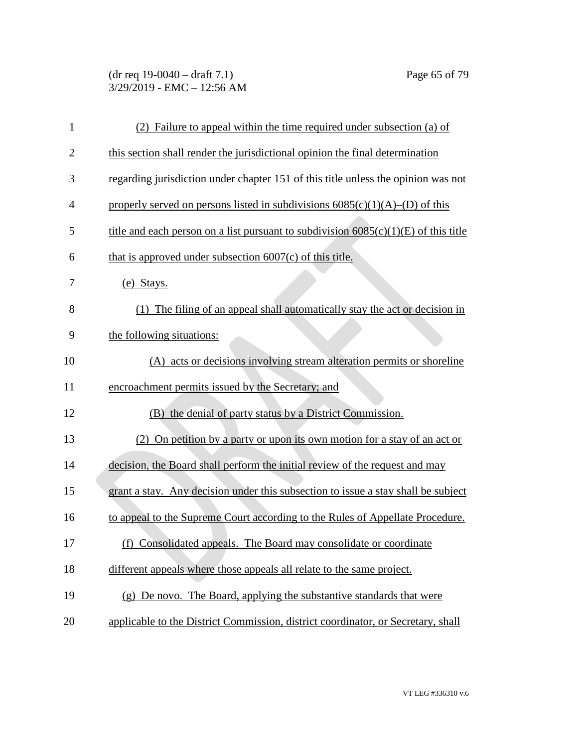# (dr req 19-0040 – draft 7.1) Page 65 of 79 3/29/2019 - EMC – 12:56 AM

| $\mathbf{1}$   | (2) Failure to appeal within the time required under subsection (a) of                |
|----------------|---------------------------------------------------------------------------------------|
| $\overline{2}$ | this section shall render the jurisdictional opinion the final determination          |
| 3              | regarding jurisdiction under chapter 151 of this title unless the opinion was not     |
| $\overline{4}$ | properly served on persons listed in subdivisions $6085(c)(1)(A)$ –(D) of this        |
| 5              | title and each person on a list pursuant to subdivision $6085(c)(1)(E)$ of this title |
| 6              | that is approved under subsection $6007(c)$ of this title.                            |
| 7              | (e) Stays.                                                                            |
| 8              | The filing of an appeal shall automatically stay the act or decision in<br>(1)        |
| 9              | the following situations:                                                             |
| 10             | (A) acts or decisions involving stream alteration permits or shoreline                |
| 11             | encroachment permits issued by the Secretary; and                                     |
| 12             | (B) the denial of party status by a District Commission.                              |
| 13             | (2) On petition by a party or upon its own motion for a stay of an act or             |
| 14             | decision, the Board shall perform the initial review of the request and may           |
| 15             | grant a stay. Any decision under this subsection to issue a stay shall be subject     |
| 16             | to appeal to the Supreme Court according to the Rules of Appellate Procedure.         |
| 17             | (f) Consolidated appeals. The Board may consolidate or coordinate                     |
| 18             | different appeals where those appeals all relate to the same project.                 |
| 19             | (g) De novo. The Board, applying the substantive standards that were                  |
| 20             | applicable to the District Commission, district coordinator, or Secretary, shall      |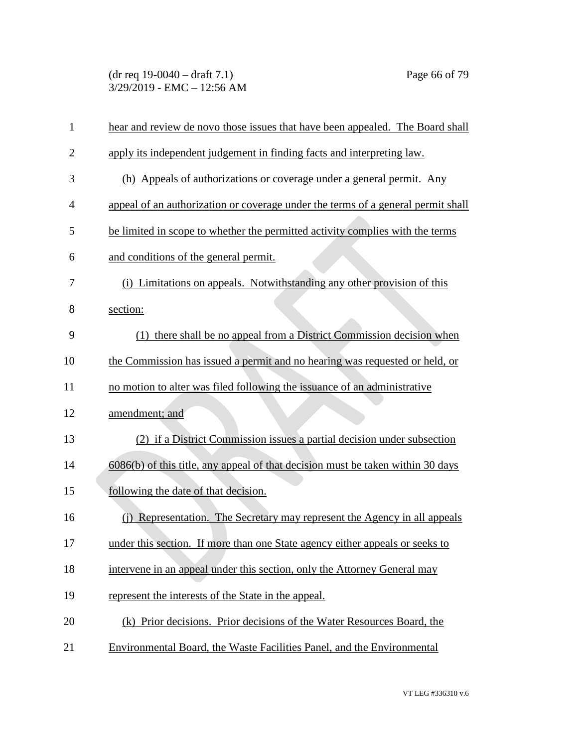(dr req 19-0040 – draft 7.1) Page 66 of 79 3/29/2019 - EMC – 12:56 AM

| $\mathbf{1}$   | hear and review de novo those issues that have been appealed. The Board shall    |
|----------------|----------------------------------------------------------------------------------|
| $\overline{2}$ | apply its independent judgement in finding facts and interpreting law.           |
| 3              | (h) Appeals of authorizations or coverage under a general permit. Any            |
| 4              | appeal of an authorization or coverage under the terms of a general permit shall |
| 5              | be limited in scope to whether the permitted activity complies with the terms    |
| 6              | and conditions of the general permit.                                            |
| 7              | (i) Limitations on appeals. Notwithstanding any other provision of this          |
| 8              | section:                                                                         |
| 9              | there shall be no appeal from a District Commission decision when<br>(1)         |
| 10             | the Commission has issued a permit and no hearing was requested or held, or      |
| 11             | no motion to alter was filed following the issuance of an administrative         |
| 12             | amendment; and                                                                   |
| 13             | (2) if a District Commission issues a partial decision under subsection          |
| 14             | 6086(b) of this title, any appeal of that decision must be taken within 30 days  |
| 15             | following the date of that decision.                                             |
| 16             | (j) Representation. The Secretary may represent the Agency in all appeals        |
| 17             | under this section. If more than one State agency either appeals or seeks to     |
| 18             | intervene in an appeal under this section, only the Attorney General may         |
| 19             | represent the interests of the State in the appeal.                              |
| 20             | (k) Prior decisions. Prior decisions of the Water Resources Board, the           |
| 21             | Environmental Board, the Waste Facilities Panel, and the Environmental           |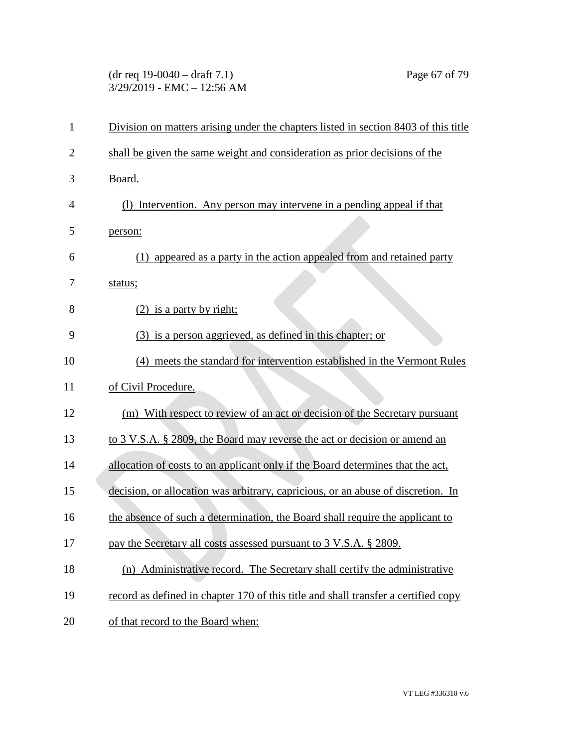(dr req 19-0040 – draft 7.1) Page 67 of 79 3/29/2019 - EMC – 12:56 AM

| $\mathbf{1}$   | Division on matters arising under the chapters listed in section 8403 of this title |
|----------------|-------------------------------------------------------------------------------------|
| $\overline{2}$ | shall be given the same weight and consideration as prior decisions of the          |
| 3              | Board.                                                                              |
| 4              | (1) Intervention. Any person may intervene in a pending appeal if that              |
| 5              | person:                                                                             |
| 6              | (1) appeared as a party in the action appealed from and retained party              |
| 7              | status;                                                                             |
| 8              | $(2)$ is a party by right;                                                          |
| 9              | (3) is a person aggrieved, as defined in this chapter; or                           |
| 10             | (4) meets the standard for intervention established in the Vermont Rules            |
| 11             | of Civil Procedure.                                                                 |
| 12             | (m) With respect to review of an act or decision of the Secretary pursuant          |
| 13             | to 3 V.S.A. § 2809, the Board may reverse the act or decision or amend an           |
| 14             | allocation of costs to an applicant only if the Board determines that the act,      |
| 15             | decision, or allocation was arbitrary, capricious, or an abuse of discretion. In    |
| 16             | the absence of such a determination, the Board shall require the applicant to       |
| 17             | pay the Secretary all costs assessed pursuant to 3 V.S.A. § 2809.                   |
| 18             | (n) Administrative record. The Secretary shall certify the administrative           |
| 19             | record as defined in chapter 170 of this title and shall transfer a certified copy  |
| 20             | of that record to the Board when:                                                   |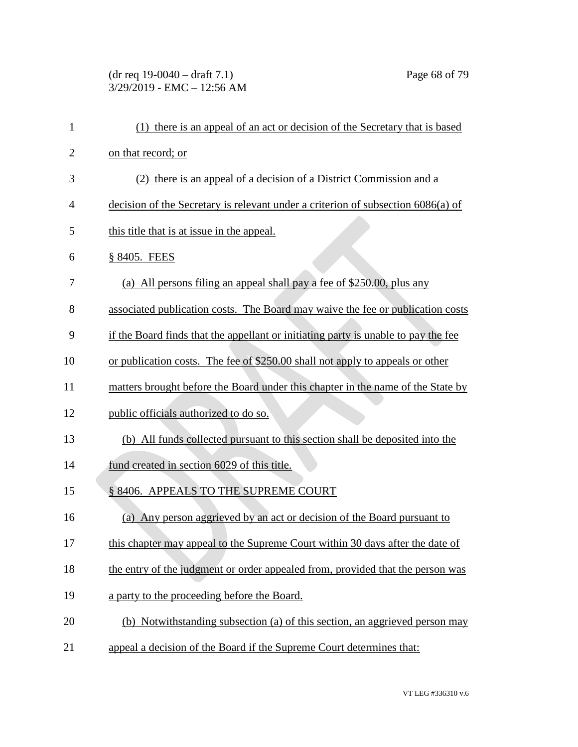# (dr req 19-0040 – draft 7.1) Page 68 of 79 3/29/2019 - EMC – 12:56 AM

| $\mathbf{1}$   | (1) there is an appeal of an act or decision of the Secretary that is based        |
|----------------|------------------------------------------------------------------------------------|
| $\overline{2}$ | on that record; or                                                                 |
| 3              | (2) there is an appeal of a decision of a District Commission and a                |
| 4              | decision of the Secretary is relevant under a criterion of subsection 6086(a) of   |
| 5              | this title that is at issue in the appeal.                                         |
| 6              | § 8405. FEES                                                                       |
| 7              | (a) All persons filing an appeal shall pay a fee of \$250.00, plus any             |
| 8              | associated publication costs. The Board may waive the fee or publication costs     |
| 9              | if the Board finds that the appellant or initiating party is unable to pay the fee |
| 10             | or publication costs. The fee of \$250.00 shall not apply to appeals or other      |
| 11             | matters brought before the Board under this chapter in the name of the State by    |
| 12             | public officials authorized to do so.                                              |
| 13             | (b) All funds collected pursuant to this section shall be deposited into the       |
| 14             | fund created in section 6029 of this title.                                        |
| 15             | § 8406. APPEALS TO THE SUPREME COURT                                               |
| 16             | Any person aggrieved by an act or decision of the Board pursuant to<br>(a)         |
| 17             | this chapter may appeal to the Supreme Court within 30 days after the date of      |
| 18             | the entry of the judgment or order appealed from, provided that the person was     |
| 19             | a party to the proceeding before the Board.                                        |
| 20             | (b) Notwithstanding subsection (a) of this section, an aggrieved person may        |
| 21             | appeal a decision of the Board if the Supreme Court determines that:               |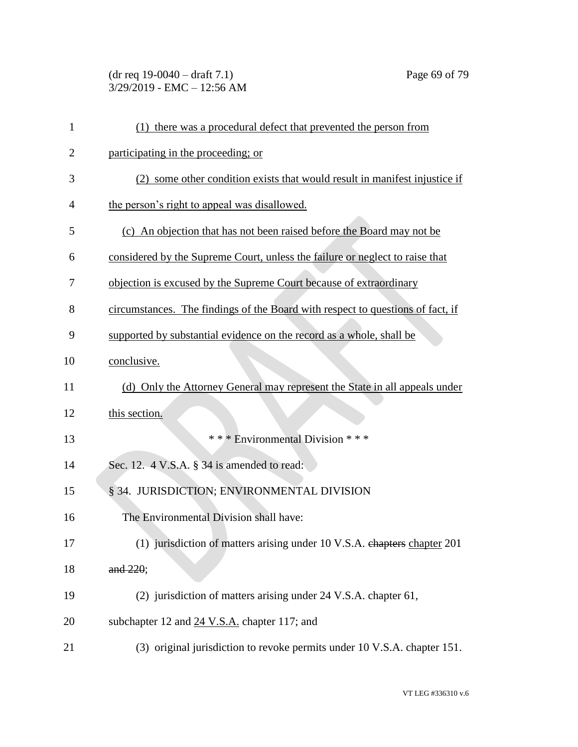### (dr req 19-0040 – draft 7.1) Page 69 of 79 3/29/2019 - EMC – 12:56 AM

| $\mathbf{1}$   | (1) there was a procedural defect that prevented the person from               |
|----------------|--------------------------------------------------------------------------------|
| $\overline{2}$ | participating in the proceeding; or                                            |
| 3              | (2) some other condition exists that would result in manifest injustice if     |
| 4              | the person's right to appeal was disallowed.                                   |
| 5              | (c) An objection that has not been raised before the Board may not be          |
| 6              | considered by the Supreme Court, unless the failure or neglect to raise that   |
| 7              | objection is excused by the Supreme Court because of extraordinary             |
| 8              | circumstances. The findings of the Board with respect to questions of fact, if |
| 9              | supported by substantial evidence on the record as a whole, shall be           |
| 10             | conclusive.                                                                    |
| 11             | (d) Only the Attorney General may represent the State in all appeals under     |
| 12             | this section.                                                                  |
| 13             | *** Environmental Division ***                                                 |
| 14             | Sec. 12. 4 V.S.A. § 34 is amended to read:                                     |
| 15             | § 34. JURISDICTION; ENVIRONMENTAL DIVISION                                     |
| 16             | The Environmental Division shall have:                                         |
| 17             | (1) jurisdiction of matters arising under 10 V.S.A. chapters chapter 201       |
| 18             | and 220:                                                                       |
| 19             | (2) jurisdiction of matters arising under 24 V.S.A. chapter 61,                |
| 20             | subchapter 12 and 24 V.S.A. chapter 117; and                                   |
| 21             | (3) original jurisdiction to revoke permits under 10 V.S.A. chapter 151.       |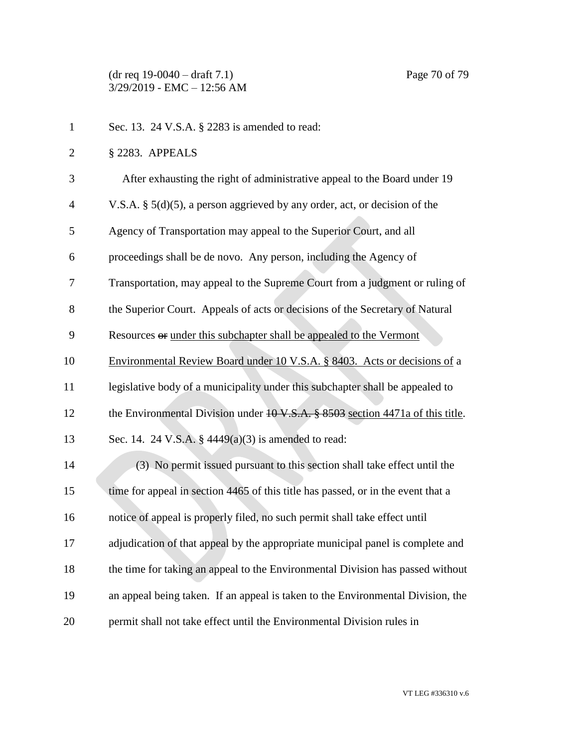| $\mathbf{1}$   | Sec. 13. 24 V.S.A. § 2283 is amended to read:                                            |
|----------------|------------------------------------------------------------------------------------------|
| $\overline{2}$ | § 2283. APPEALS                                                                          |
| 3              | After exhausting the right of administrative appeal to the Board under 19                |
| $\overline{4}$ | V.S.A. $\S$ 5(d)(5), a person aggrieved by any order, act, or decision of the            |
| 5              | Agency of Transportation may appeal to the Superior Court, and all                       |
| 6              | proceedings shall be de novo. Any person, including the Agency of                        |
| 7              | Transportation, may appeal to the Supreme Court from a judgment or ruling of             |
| 8              | the Superior Court. Appeals of acts or decisions of the Secretary of Natural             |
| 9              | Resources <del>or</del> under this subchapter shall be appealed to the Vermont           |
| 10             | Environmental Review Board under 10 V.S.A. § 8403. Acts or decisions of a                |
| 11             | legislative body of a municipality under this subchapter shall be appealed to            |
| 12             | the Environmental Division under $10 \text{ V.S.A.}$ \$8503 section 4471a of this title. |
| 13             | Sec. 14. 24 V.S.A. $\S$ 4449(a)(3) is amended to read:                                   |
| 14             | (3) No permit issued pursuant to this section shall take effect until the                |
| 15             | time for appeal in section 4465 of this title has passed, or in the event that a         |
| 16             | notice of appeal is properly filed, no such permit shall take effect until               |
| 17             | adjudication of that appeal by the appropriate municipal panel is complete and           |
| 18             | the time for taking an appeal to the Environmental Division has passed without           |
| 19             | an appeal being taken. If an appeal is taken to the Environmental Division, the          |
| 20             | permit shall not take effect until the Environmental Division rules in                   |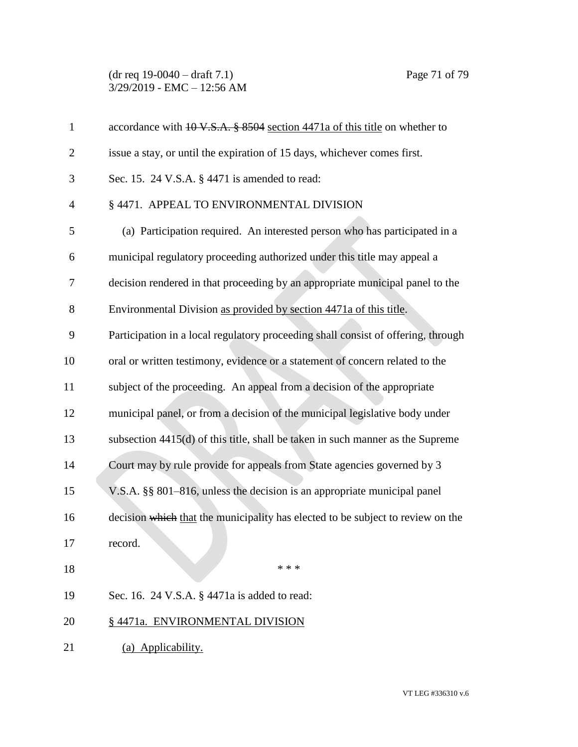#### (dr req 19-0040 – draft 7.1) Page 71 of 79 3/29/2019 - EMC – 12:56 AM

| $\mathbf{1}$   | accordance with 10 V.S.A. § 8504 section 4471a of this title on whether to        |
|----------------|-----------------------------------------------------------------------------------|
| $\overline{2}$ | issue a stay, or until the expiration of 15 days, whichever comes first.          |
| 3              | Sec. 15. 24 V.S.A. § 4471 is amended to read:                                     |
| $\overline{4}$ | § 4471. APPEAL TO ENVIRONMENTAL DIVISION                                          |
| 5              | (a) Participation required. An interested person who has participated in a        |
| 6              | municipal regulatory proceeding authorized under this title may appeal a          |
| 7              | decision rendered in that proceeding by an appropriate municipal panel to the     |
| 8              | Environmental Division as provided by section 4471a of this title.                |
| 9              | Participation in a local regulatory proceeding shall consist of offering, through |
| 10             | oral or written testimony, evidence or a statement of concern related to the      |
| 11             | subject of the proceeding. An appeal from a decision of the appropriate           |
| 12             | municipal panel, or from a decision of the municipal legislative body under       |
| 13             | subsection 4415(d) of this title, shall be taken in such manner as the Supreme    |
| 14             | Court may by rule provide for appeals from State agencies governed by 3           |
| 15             | V.S.A. §§ 801–816, unless the decision is an appropriate municipal panel          |
| 16             | decision which that the municipality has elected to be subject to review on the   |
| 17             | record.                                                                           |
| 18             | * * *                                                                             |
| 19             | Sec. 16. 24 V.S.A. § 4471a is added to read:                                      |
| 20             | § 4471a. ENVIRONMENTAL DIVISION                                                   |
| 21             | (a) Applicability.                                                                |
|                |                                                                                   |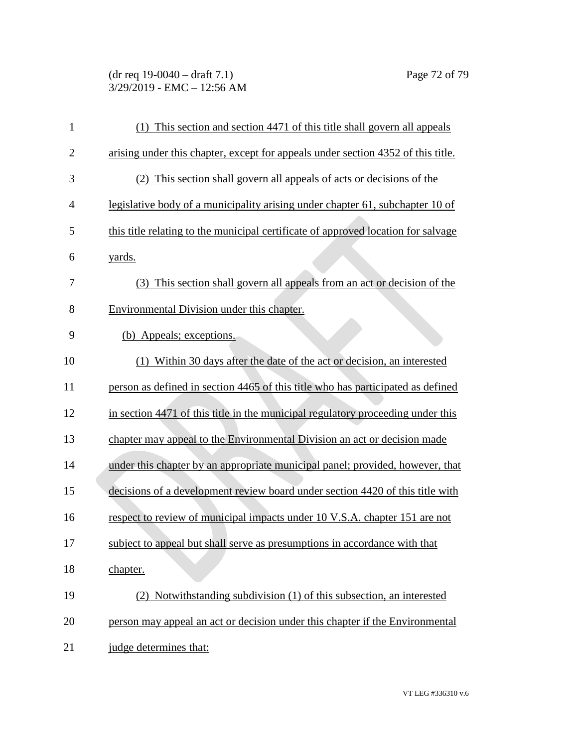# (dr req 19-0040 – draft 7.1) Page 72 of 79 3/29/2019 - EMC – 12:56 AM

| $\mathbf{1}$   | (1) This section and section 4471 of this title shall govern all appeals          |
|----------------|-----------------------------------------------------------------------------------|
| $\overline{2}$ | arising under this chapter, except for appeals under section 4352 of this title.  |
| 3              | (2) This section shall govern all appeals of acts or decisions of the             |
| 4              | legislative body of a municipality arising under chapter 61, subchapter 10 of     |
| 5              | this title relating to the municipal certificate of approved location for salvage |
| 6              | yards.                                                                            |
| 7              | (3) This section shall govern all appeals from an act or decision of the          |
| 8              | Environmental Division under this chapter.                                        |
| 9              | (b) Appeals; exceptions.                                                          |
| 10             | (1) Within 30 days after the date of the act or decision, an interested           |
| 11             | person as defined in section 4465 of this title who has participated as defined   |
| 12             | in section 4471 of this title in the municipal regulatory proceeding under this   |
| 13             | chapter may appeal to the Environmental Division an act or decision made          |
| 14             | under this chapter by an appropriate municipal panel; provided, however, that     |
| 15             | decisions of a development review board under section 4420 of this title with     |
| 16             | respect to review of municipal impacts under 10 V.S.A. chapter 151 are not        |
| 17             | subject to appeal but shall serve as presumptions in accordance with that         |
| 18             | chapter.                                                                          |
| 19             | (2) Notwithstanding subdivision (1) of this subsection, an interested             |
| 20             | person may appeal an act or decision under this chapter if the Environmental      |
| 21             | judge determines that:                                                            |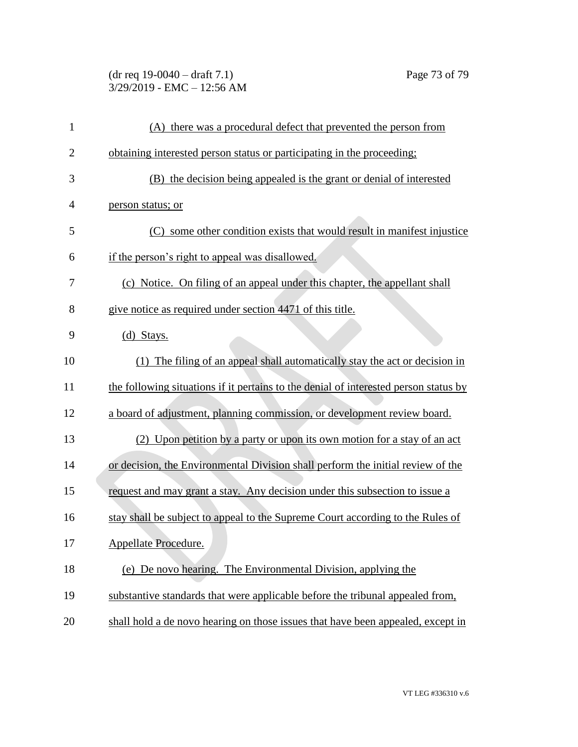## (dr req 19-0040 – draft 7.1) Page 73 of 79 3/29/2019 - EMC – 12:56 AM

| $\mathbf{1}$   | (A) there was a procedural defect that prevented the person from                     |
|----------------|--------------------------------------------------------------------------------------|
| $\overline{c}$ | obtaining interested person status or participating in the proceeding;               |
| 3              | (B) the decision being appealed is the grant or denial of interested                 |
| 4              | person status; or                                                                    |
| 5              | (C) some other condition exists that would result in manifest injustice              |
| 6              | if the person's right to appeal was disallowed.                                      |
| 7              | (c) Notice. On filing of an appeal under this chapter, the appellant shall           |
| 8              | give notice as required under section 4471 of this title.                            |
| 9              | $(d)$ Stays.                                                                         |
| 10             | (1) The filing of an appeal shall automatically stay the act or decision in          |
| 11             | the following situations if it pertains to the denial of interested person status by |
| 12             | a board of adjustment, planning commission, or development review board.             |
| 13             | (2) Upon petition by a party or upon its own motion for a stay of an act             |
| 14             | or decision, the Environmental Division shall perform the initial review of the      |
| 15             | request and may grant a stay. Any decision under this subsection to issue a          |
| 16             | stay shall be subject to appeal to the Supreme Court according to the Rules of       |
| 17             | Appellate Procedure.                                                                 |
| 18             | (e) De novo hearing. The Environmental Division, applying the                        |
| 19             | substantive standards that were applicable before the tribunal appealed from,        |
| 20             | shall hold a de novo hearing on those issues that have been appealed, except in      |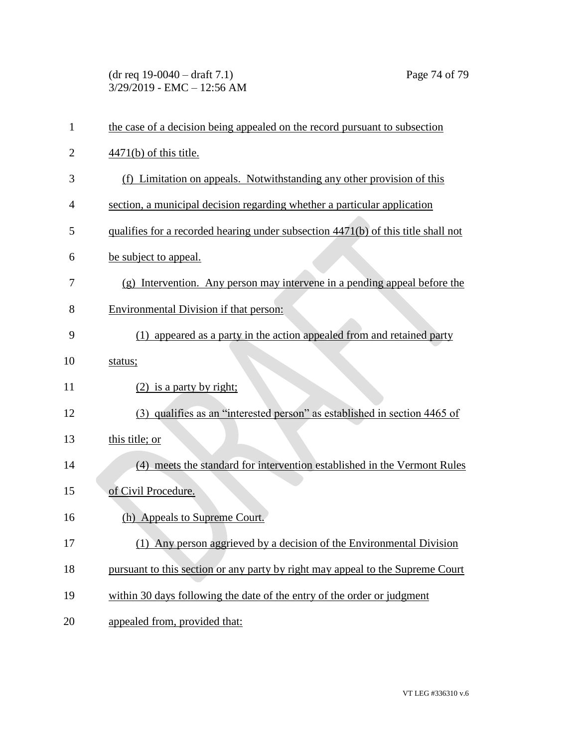(dr req 19-0040 – draft 7.1) Page 74 of 79 3/29/2019 - EMC – 12:56 AM

| $\mathbf{1}$ | the case of a decision being appealed on the record pursuant to subsection        |
|--------------|-----------------------------------------------------------------------------------|
| 2            | $4471(b)$ of this title.                                                          |
| 3            | (f) Limitation on appeals. Notwithstanding any other provision of this            |
| 4            | section, a municipal decision regarding whether a particular application          |
| 5            | qualifies for a recorded hearing under subsection 4471(b) of this title shall not |
| 6            | be subject to appeal.                                                             |
| 7            | (g) Intervention. Any person may intervene in a pending appeal before the         |
| 8            | Environmental Division if that person:                                            |
| 9            | (1) appeared as a party in the action appealed from and retained party            |
| 10           | status;                                                                           |
| 11           | $(2)$ is a party by right;                                                        |
| 12           | (3) qualifies as an "interested person" as established in section 4465 of         |
| 13           | this title; or                                                                    |
| 14           | (4) meets the standard for intervention established in the Vermont Rules          |
| 15           | of Civil Procedure.                                                               |
| 16           | (h) Appeals to Supreme Court.                                                     |
| 17           | (1) Any person aggrieved by a decision of the Environmental Division              |
| 18           | pursuant to this section or any party by right may appeal to the Supreme Court    |
| 19           | within 30 days following the date of the entry of the order or judgment           |
| 20           | appealed from, provided that:                                                     |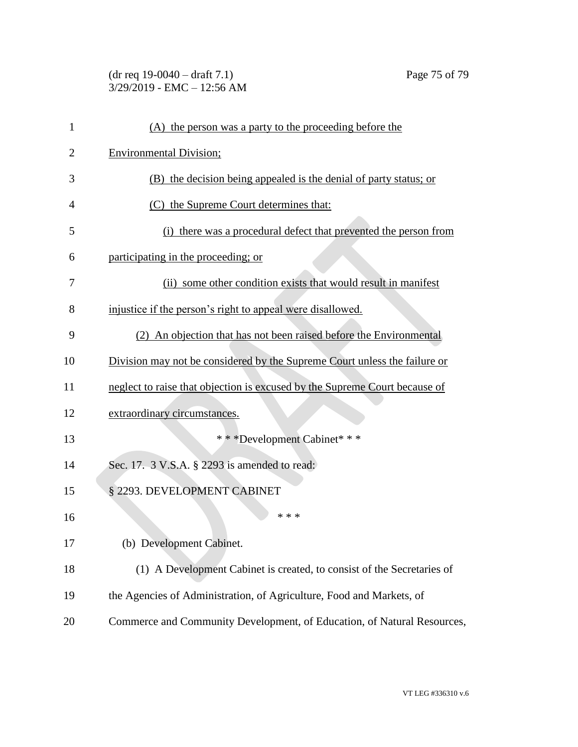## (dr req 19-0040 – draft 7.1) Page 75 of 79 3/29/2019 - EMC – 12:56 AM

| $\mathbf{1}$   | (A) the person was a party to the proceeding before the                    |
|----------------|----------------------------------------------------------------------------|
| $\overline{2}$ | <b>Environmental Division;</b>                                             |
| 3              | (B) the decision being appealed is the denial of party status; or          |
| 4              | (C) the Supreme Court determines that:                                     |
| 5              | (i) there was a procedural defect that prevented the person from           |
| 6              | participating in the proceeding; or                                        |
| 7              | (ii) some other condition exists that would result in manifest             |
| 8              | injustice if the person's right to appeal were disallowed.                 |
| 9              | (2) An objection that has not been raised before the Environmental         |
| 10             | Division may not be considered by the Supreme Court unless the failure or  |
| 11             | neglect to raise that objection is excused by the Supreme Court because of |
| 12             | extraordinary circumstances.                                               |
| 13             | * * * Development Cabinet * * *                                            |
| 14             | Sec. 17. 3 V.S.A. § 2293 is amended to read:                               |
| 15             | § 2293. DEVELOPMENT CABINET                                                |
| 16             | * * *                                                                      |
| 17             | (b) Development Cabinet.                                                   |
| 18             | (1) A Development Cabinet is created, to consist of the Secretaries of     |
| 19             | the Agencies of Administration, of Agriculture, Food and Markets, of       |
| 20             | Commerce and Community Development, of Education, of Natural Resources,    |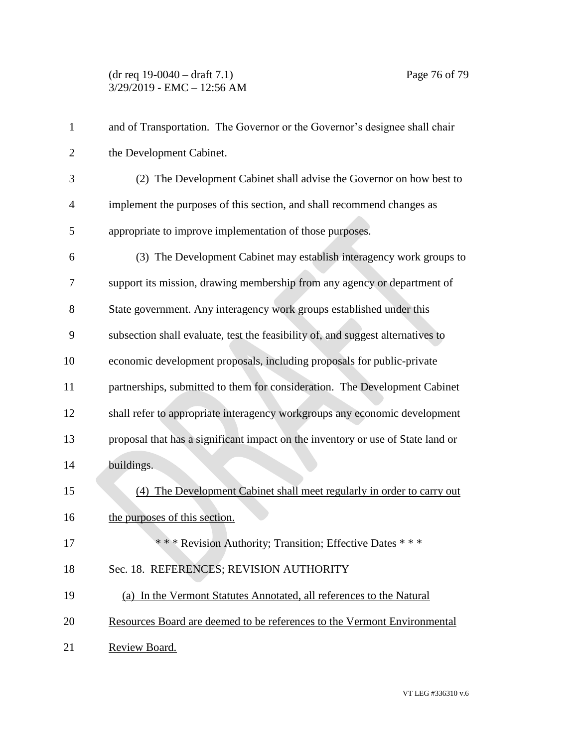## (dr req 19-0040 – draft 7.1) Page 76 of 79 3/29/2019 - EMC – 12:56 AM

| $\mathbf{1}$   | and of Transportation. The Governor or the Governor's designee shall chair      |
|----------------|---------------------------------------------------------------------------------|
| $\overline{2}$ | the Development Cabinet.                                                        |
| 3              | (2) The Development Cabinet shall advise the Governor on how best to            |
| $\overline{4}$ | implement the purposes of this section, and shall recommend changes as          |
| 5              | appropriate to improve implementation of those purposes.                        |
| 6              | (3) The Development Cabinet may establish interagency work groups to            |
| 7              | support its mission, drawing membership from any agency or department of        |
| 8              | State government. Any interagency work groups established under this            |
| 9              | subsection shall evaluate, test the feasibility of, and suggest alternatives to |
| 10             | economic development proposals, including proposals for public-private          |
| 11             | partnerships, submitted to them for consideration. The Development Cabinet      |
| 12             | shall refer to appropriate interagency workgroups any economic development      |
| 13             | proposal that has a significant impact on the inventory or use of State land or |
| 14             | buildings.                                                                      |
| 15             | (4) The Development Cabinet shall meet regularly in order to carry out          |
| 16             | the purposes of this section.                                                   |
| 17             | *** Revision Authority; Transition; Effective Dates ***                         |
| 18             | Sec. 18. REFERENCES; REVISION AUTHORITY                                         |
| 19             | (a) In the Vermont Statutes Annotated, all references to the Natural            |
| 20             | Resources Board are deemed to be references to the Vermont Environmental        |
| 21             | Review Board.                                                                   |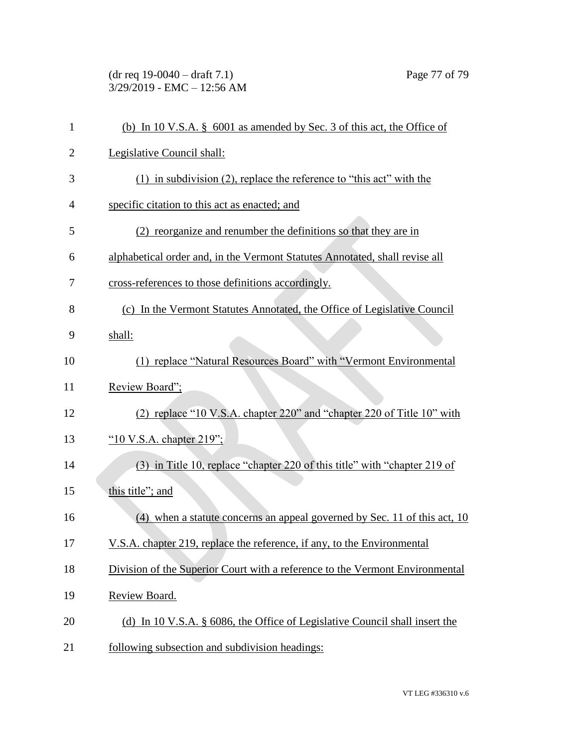(dr req 19-0040 – draft 7.1) Page 77 of 79 3/29/2019 - EMC – 12:56 AM

| $\mathbf{1}$   | (b) In 10 V.S.A. $\S$ 6001 as amended by Sec. 3 of this act, the Office of   |
|----------------|------------------------------------------------------------------------------|
| $\overline{2}$ | Legislative Council shall:                                                   |
| 3              | $(1)$ in subdivision $(2)$ , replace the reference to "this act" with the    |
| $\overline{4}$ | specific citation to this act as enacted; and                                |
| 5              | (2) reorganize and renumber the definitions so that they are in              |
| 6              | alphabetical order and, in the Vermont Statutes Annotated, shall revise all  |
| 7              | cross-references to those definitions accordingly.                           |
| 8              | (c) In the Vermont Statutes Annotated, the Office of Legislative Council     |
| 9              | shall:                                                                       |
| 10             | (1) replace "Natural Resources Board" with "Vermont Environmental            |
| 11             | Review Board";                                                               |
| 12             | (2) replace "10 V.S.A. chapter 220" and "chapter 220 of Title 10" with       |
| 13             | "10 V.S.A. chapter $219$ ";                                                  |
| 14             | (3) in Title 10, replace "chapter 220 of this title" with "chapter 219 of    |
| 15             | this title"; and                                                             |
| 16             | (4) when a statute concerns an appeal governed by Sec. 11 of this act, 10    |
| 17             | V.S.A. chapter 219, replace the reference, if any, to the Environmental      |
| 18             | Division of the Superior Court with a reference to the Vermont Environmental |
| 19             | Review Board.                                                                |
| 20             | (d) In 10 V.S.A. § 6086, the Office of Legislative Council shall insert the  |
| 21             | following subsection and subdivision headings:                               |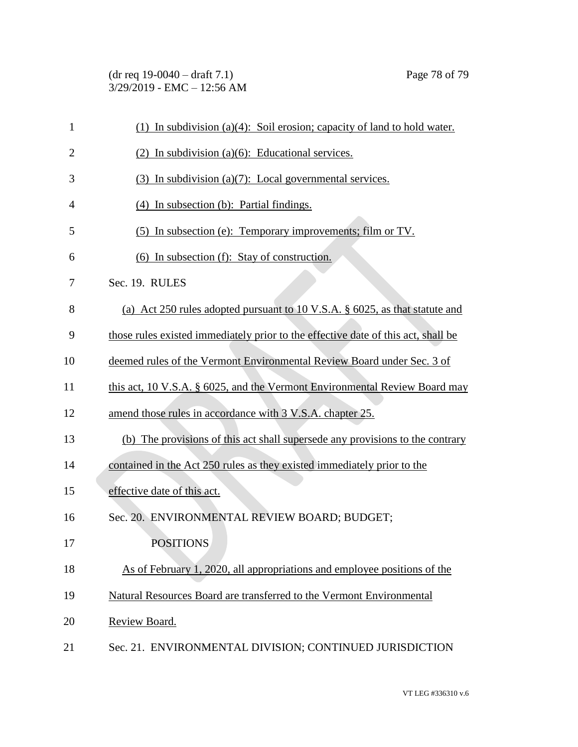| $(dr \text{ req } 19-0040 - draft } 7.1)$ |  |
|-------------------------------------------|--|
| 3/29/2019 - EMC – 12:56 AM                |  |

| $\mathbf{1}$   | (1) In subdivision (a)(4): Soil erosion; capacity of land to hold water.          |
|----------------|-----------------------------------------------------------------------------------|
| $\overline{2}$ | $(2)$ In subdivision (a)(6): Educational services.                                |
| 3              | $(3)$ In subdivision $(a)(7)$ : Local governmental services.                      |
| 4              | (4) In subsection (b): Partial findings.                                          |
| 5              | (5) In subsection (e): Temporary improvements; film or TV.                        |
| 6              | (6) In subsection (f): Stay of construction.                                      |
| 7              | Sec. 19. RULES                                                                    |
| 8              | (a) Act 250 rules adopted pursuant to 10 V.S.A. § 6025, as that statute and       |
| 9              | those rules existed immediately prior to the effective date of this act, shall be |
| 10             | deemed rules of the Vermont Environmental Review Board under Sec. 3 of            |
| 11             | this act, 10 V.S.A, $\S$ 6025, and the Vermont Environmental Review Board may     |
| 12             | amend those rules in accordance with 3 V.S.A. chapter 25.                         |
| 13             | (b) The provisions of this act shall supersede any provisions to the contrary     |
| 14             | contained in the Act 250 rules as they existed immediately prior to the           |
| 15             | effective date of this act.                                                       |
| 16             | Sec. 20. ENVIRONMENTAL REVIEW BOARD; BUDGET;                                      |
| 17             | <b>POSITIONS</b>                                                                  |
| 18             | As of February 1, 2020, all appropriations and employee positions of the          |
| 19             | Natural Resources Board are transferred to the Vermont Environmental              |
| 20             | Review Board.                                                                     |
| 21             | Sec. 21. ENVIRONMENTAL DIVISION; CONTINUED JURISDICTION                           |